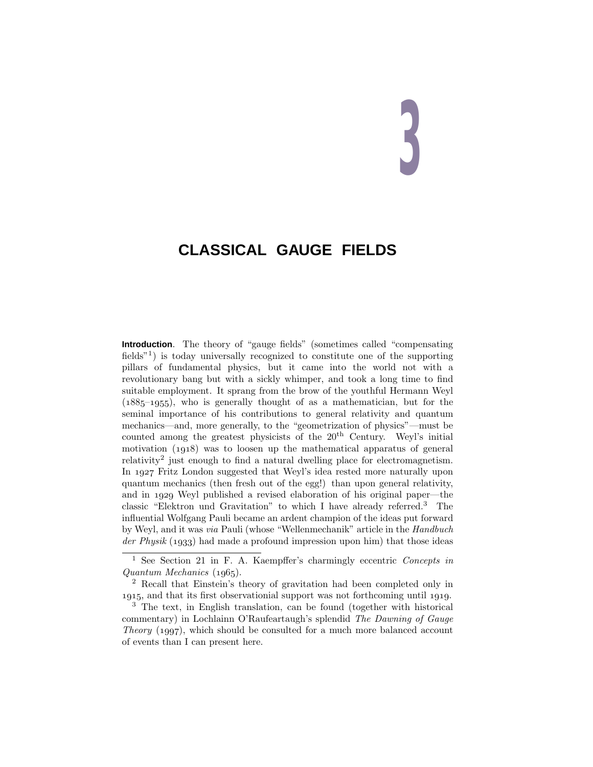# **3**

# **CLASSICAL GAUGE FIELDS**

**Introduction**. The theory of "gauge fields" (sometimes called "compensating fields<sup> $n<sup>1</sup>$ ) is today universally recognized to constitute one of the supporting</sup> pillars of fundamental physics, but it came into the world not with a revolutionary bang but with a sickly whimper, and took a long time to find suitable employment. It sprang from the brow of the youthful Hermann Weyl  $(1885-1955)$ , who is generally thought of as a mathematician, but for the seminal importance of his contributions to general relativity and quantum mechanics—and, more generally, to the "geometrization of physics"—must be counted among the greatest physicists of the  $20<sup>th</sup>$  Century. Weyl's initial motivation  $(1918)$  was to loosen up the mathematical apparatus of general relativity<sup>2</sup> just enough to find a natural dwelling place for electromagnetism. In 1927 Fritz London suggested that Weyl's idea rested more naturally upon quantum mechanics (then fresh out of the egg!) than upon general relativity, and in 1929 Weyl published a revised elaboration of his original paper—the classic "Elektron und Gravitation" to which I have already referred.<sup>3</sup> The influential Wolfgang Pauli became an ardent champion of the ideas put forward by Weyl, and it was via Pauli (whose "Wellenmechanik" article in the Handbuch der Physik  $(1933)$  had made a profound impression upon him) that those ideas

<sup>2</sup> Recall that Einstein's theory of gravitation had been completed only in 1915, and that its first observationial support was not forthcoming until 1919.

<sup>1</sup> See Section 21 in F. A. Kaempffer's charmingly eccentric Concepts in  $Quantum \ Mechanics (1965).$ 

<sup>3</sup> The text, in English translation, can be found (together with historical commentary) in Lochlainn O'Raufeartaugh's splendid The Dawning of Gauge Theory  $(1997)$ , which should be consulted for a much more balanced account of events than I can present here.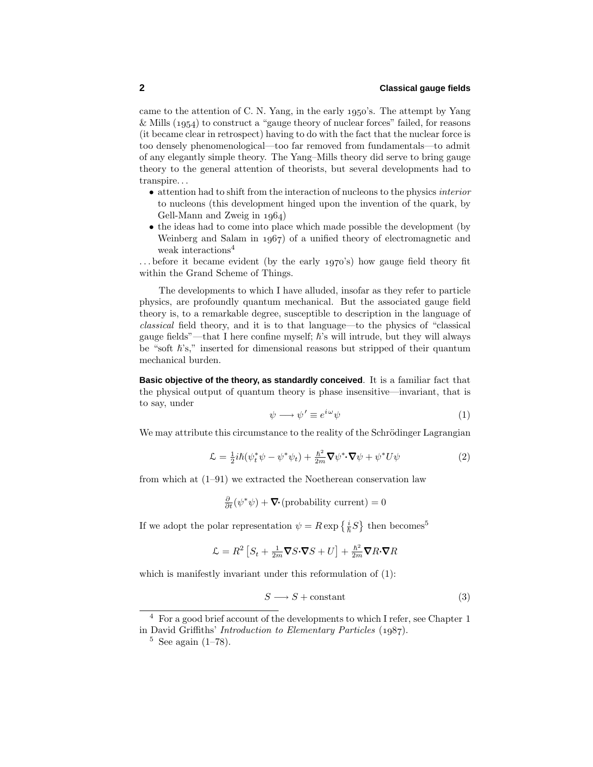came to the attention of C. N. Yang, in the early  $1950$ 's. The attempt by Yang  $&$  Mills (1954) to construct a "gauge theory of nuclear forces" failed, for reasons (it became clear in retrospect) having to do with the fact that the nuclear force is too densely phenomenological—too far removed from fundamentals—to admit of any elegantly simple theory. The Yang–Mills theory did serve to bring gauge theory to the general attention of theorists, but several developments had to transpire*...*

- attention had to shift from the interaction of nucleons to the physics interior to nucleons (this development hinged upon the invention of the quark, by Gell-Mann and Zweig in  $1964$ )
- the ideas had to come into place which made possible the development (by Weinberg and Salam in  $1967$  of a unified theory of electromagnetic and weak interactions<sup>4</sup>

... before it became evident (by the early 1970's) how gauge field theory fit within the Grand Scheme of Things.

The developments to which I have alluded, insofar as they refer to particle physics, are profoundly quantum mechanical. But the associated gauge field theory is, to a remarkable degree, susceptible to description in the language of classical field theory, and it is to that language—to the physics of "classical gauge fields"—that I here confine myself;  $\hbar$ 's will intrude, but they will always be "soft  $\hbar$ 's," inserted for dimensional reasons but stripped of their quantum mechanical burden.

**Basic objective of the theory, as standardly conceived**. It is a familiar fact that the physical output of quantum theory is phase insensitive—invariant, that is to say, under

$$
\psi \longrightarrow \psi' \equiv e^{i\omega} \psi \tag{1}
$$

We may attribute this circumstance to the reality of the Schrödinger Lagrangian

$$
\mathcal{L} = \frac{1}{2}i\hbar(\psi_t^*\psi - \psi^*\psi_t) + \frac{\hbar^2}{2m}\nabla\psi^*\cdot\nabla\psi + \psi^*U\psi \tag{2}
$$

from which at (1–91) we extracted the Noetherean conservation law

$$
\frac{\partial}{\partial t}(\psi^*\psi) + \mathbf{\nabla} \cdot (\text{probability current}) = 0
$$

If we adopt the polar representation  $\psi = R \exp\left\{\frac{i}{\hbar}S\right\}$  then becomes<sup>5</sup>

$$
\mathcal{L} = R^2 \left[ S_t + \frac{1}{2m} \nabla S \cdot \nabla S + U \right] + \frac{\hbar^2}{2m} \nabla R \cdot \nabla R
$$

which is manifestly invariant under this reformulation of (1):

$$
S \longrightarrow S + \text{constant} \tag{3}
$$

<sup>4</sup> For a good brief account of the developments to which I refer, see Chapter 1 in David Griffiths' *Introduction to Elementary Particles*  $(1987)$ .

 $5$  See again (1–78).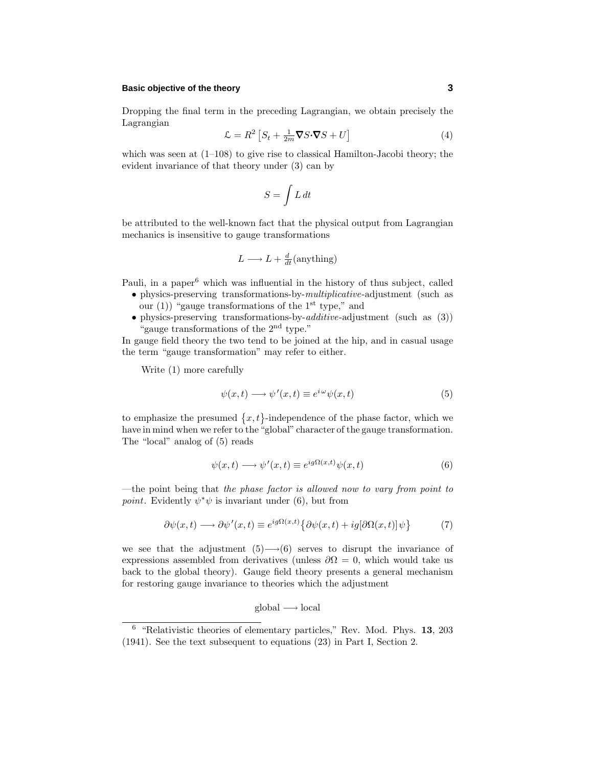### **Basic objective of the theory 3**

Dropping the final term in the preceding Lagrangian, we obtain precisely the Lagrangian

$$
\mathcal{L} = R^2 \left[ S_t + \frac{1}{2m} \nabla S \cdot \nabla S + U \right] \tag{4}
$$

which was seen at  $(1-108)$  to give rise to classical Hamilton-Jacobi theory; the evident invariance of that theory under (3) can by

$$
S=\int L\,dt
$$

be attributed to the well-known fact that the physical output from Lagrangian mechanics is insensitive to gauge transformations

$$
L \longrightarrow L + \frac{d}{dt}(\text{anything})
$$

Pauli, in a paper<sup>6</sup> which was influential in the history of thus subject, called

- physics-preserving transformations-by-*multiplicative*-adjustment (such as our (1)) "gauge transformations of the  $1<sup>st</sup>$  type," and
- physics-preserving transformations-by-*additive*-adjustment (such as  $(3)$ ) "gauge transformations of the  $2<sup>nd</sup>$  type."

In gauge field theory the two tend to be joined at the hip, and in casual usage the term "gauge transformation" may refer to either.

Write (1) more carefully

$$
\psi(x,t) \longrightarrow \psi'(x,t) \equiv e^{i\omega}\psi(x,t) \tag{5}
$$

to emphasize the presumed  $\{x, t\}$ -independence of the phase factor, which we have in mind when we refer to the "global" character of the gauge transformation. The "local" analog of (5) reads

$$
\psi(x,t) \longrightarrow \psi'(x,t) \equiv e^{ig\Omega(x,t)} \psi(x,t) \tag{6}
$$

—the point being that the phase factor is allowed now to vary from point to *point*. Evidently  $\psi^*\psi$  is invariant under (6), but from

$$
\partial \psi(x,t) \longrightarrow \partial \psi'(x,t) \equiv e^{ig\Omega(x,t)} \{ \partial \psi(x,t) + ig[\partial \Omega(x,t)] \psi \}
$$
(7)

we see that the adjustment  $(5) \rightarrow (6)$  serves to disrupt the invariance of expressions assembled from derivatives (unless  $\partial\Omega = 0$ , which would take us back to the global theory). Gauge field theory presents a general mechanism for restoring gauge invariance to theories which the adjustment

$$
global \rightarrow local
$$

<sup>6</sup> "Relativistic theories of elementary particles," Rev. Mod. Phys. **13**, 203 (1941). See the text subsequent to equations (23) in Part I, Section 2.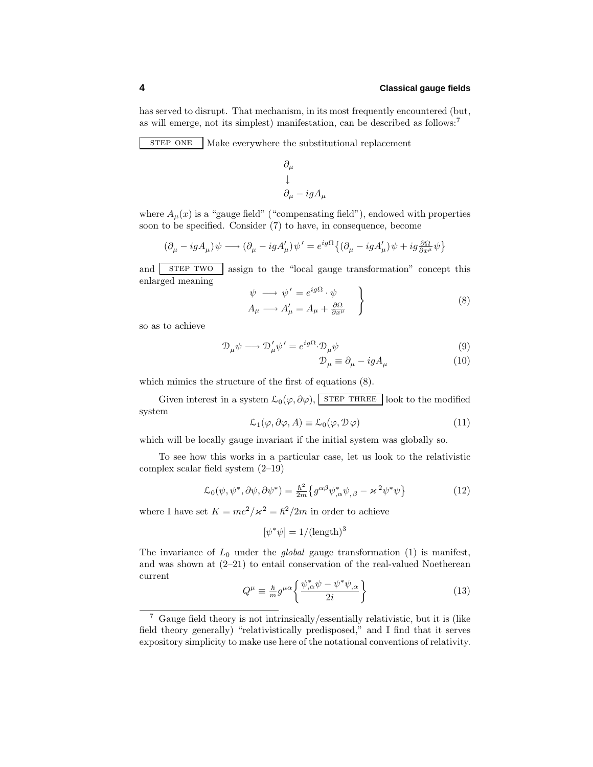has served to disrupt. That mechanism, in its most frequently encountered (but, as will emerge, not its simplest) manifestation, can be described as follows:<sup>7</sup>

STEP ONE Make everywhere the substitutional replacement

$$
\begin{array}{l} \partial_\mu \\ \downarrow \\ \partial_\mu - i g A_\mu \end{array}
$$

where  $A_\mu(x)$  is a "gauge field" ("compensating field"), endowed with properties soon to be specified. Consider (7) to have, in consequence, become

$$
(\partial_{\mu} - igA_{\mu})\psi \longrightarrow (\partial_{\mu} - igA'_{\mu})\psi' = e^{ig\Omega} \{ (\partial_{\mu} - igA'_{\mu})\psi + ig\frac{\partial \Omega}{\partial x^{\mu}}\psi \}
$$

and strep two assign to the "local gauge transformation" concept this enlarged meaning

$$
\psi \longrightarrow \psi' = e^{ig\Omega} \cdot \psi
$$
  
\n
$$
A_{\mu} \longrightarrow A'_{\mu} = A_{\mu} + \frac{\partial \Omega}{\partial x^{\mu}}
$$
 (8)

so as to achieve

$$
\mathcal{D}_{\mu}\psi \longrightarrow \mathcal{D}'_{\mu}\psi' = e^{ig\Omega} \cdot \mathcal{D}_{\mu}\psi \tag{9}
$$

$$
\mathcal{D}_{\mu} \equiv \partial_{\mu} - igA_{\mu} \tag{10}
$$

which mimics the structure of the first of equations (8).

Given interest in a system  $\mathcal{L}_0(\varphi, \partial \varphi)$ , STEP THREE look to the modified system

$$
\mathcal{L}_1(\varphi, \partial \varphi, A) \equiv \mathcal{L}_0(\varphi, \mathcal{D}\varphi) \tag{11}
$$

which will be locally gauge invariant if the initial system was globally so.

To see how this works in a particular case, let us look to the relativistic complex scalar field system (2–19)

$$
\mathcal{L}_0(\psi, \psi^*, \partial \psi, \partial \psi^*) = \frac{\hbar^2}{2m} \left\{ g^{\alpha\beta} \psi^*_{,\alpha} \psi_{,\beta} - \varkappa^2 \psi^* \psi \right\} \tag{12}
$$

where I have set  $K = mc^2/\varkappa^2 = \hbar^2/2m$  in order to achieve

$$
[\psi^*\psi] = 1/(\text{length})^3
$$

The invariance of  $L_0$  under the *global* gauge transformation  $(1)$  is manifest, and was shown at  $(2-21)$  to entail conservation of the real-valued Noetherean current

$$
Q^{\mu} \equiv \frac{\hbar}{m} g^{\mu \alpha} \left\{ \frac{\psi_{,\alpha}^* \psi - \psi^* \psi_{,\alpha}}{2i} \right\} \tag{13}
$$

<sup>7</sup> Gauge field theory is not intrinsically/essentially relativistic, but it is (like field theory generally) "relativistically predisposed," and I find that it serves expository simplicity to make use here of the notational conventions of relativity.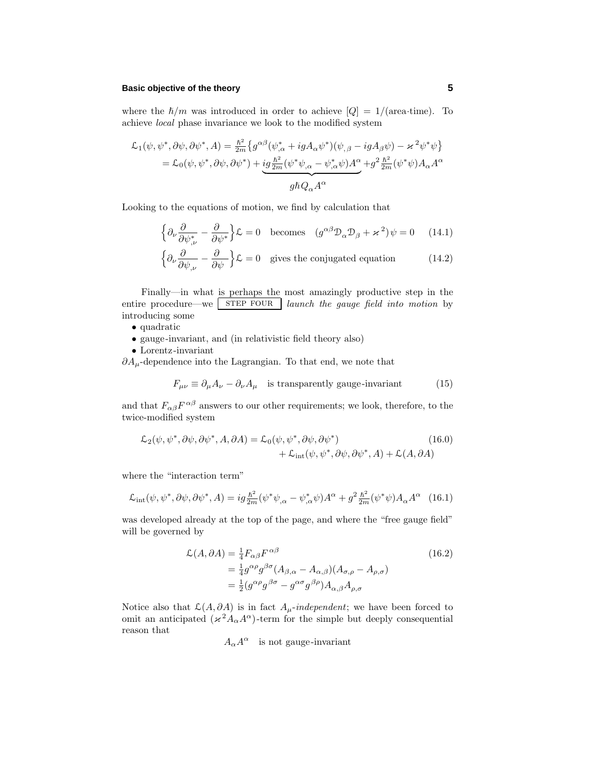### **Basic objective of the theory 5**

where the  $\hbar/m$  was introduced in order to achieve  $|Q|=1/(area\cdot time)$ . To achieve *local* phase invariance we look to the modified system

$$
\mathcal{L}_1(\psi, \psi^*, \partial \psi, \partial \psi^*, A) = \frac{\hbar^2}{2m} \left\{ g^{\alpha\beta} (\psi^*_{,\alpha} + igA_{\alpha}\psi^*) (\psi_{,\beta} - igA_{\beta}\psi) - \varkappa^2 \psi^* \psi \right\}
$$
  
=  $\mathcal{L}_0(\psi, \psi^*, \partial \psi, \partial \psi^*) + \underbrace{ig\frac{\hbar^2}{2m} (\psi^* \psi_{,\alpha} - \psi^*_{,\alpha}\psi) A^{\alpha}}_{g\hbar Q_{\alpha} A^{\alpha}} + g^2 \frac{\hbar^2}{2m} (\psi^* \psi) A_{\alpha} A^{\alpha}$ 

Looking to the equations of motion, we find by calculation that

$$
\left\{\partial_{\nu}\frac{\partial}{\partial\psi^{*}_{,\nu}} - \frac{\partial}{\partial\psi^{*}}\right\}\mathcal{L} = 0 \quad \text{becomes} \quad (g^{\alpha\beta}\mathcal{D}_{\alpha}\mathcal{D}_{\beta} + \varkappa^{2})\psi = 0 \quad (14.1)
$$

$$
\left\{\partial_{\nu}\frac{\partial}{\partial\psi_{,\nu}} - \frac{\partial}{\partial\psi}\right\}\mathcal{L} = 0 \quad \text{gives the conjugated equation} \tag{14.2}
$$

Finally—in what is perhaps the most amazingly productive step in the entire procedure—we step  $\vert$  step four launch the gauge field into motion by introducing some

- quadratic
- gauge-invariant, and (in relativistic field theory also)
- $\bullet$  Lorentz-invariant

*∂A*<sub>µ</sub>-dependence into the Lagrangian. To that end, we note that

$$
F_{\mu\nu} \equiv \partial_{\mu}A_{\nu} - \partial_{\nu}A_{\mu}
$$
 is transparently gauge-invariant (15)

and that  $F_{\alpha\beta}F^{\alpha\beta}$  answers to our other requirements; we look, therefore, to the twice-modified system

$$
\mathcal{L}_2(\psi, \psi^*, \partial \psi, \partial \psi^*, A, \partial A) = \mathcal{L}_0(\psi, \psi^*, \partial \psi, \partial \psi^*) + \mathcal{L}_{int}(\psi, \psi^*, \partial \psi, \partial \psi^*, A) + \mathcal{L}(A, \partial A)
$$
\n(16.0)

where the "interaction term"

$$
\mathcal{L}_{\text{int}}(\psi, \psi^*, \partial \psi, \partial \psi^*, A) = ig \frac{\hbar^2}{2m} (\psi^* \psi_{,\alpha} - \psi^*_{,\alpha} \psi) A^{\alpha} + g^2 \frac{\hbar^2}{2m} (\psi^* \psi) A_{\alpha} A^{\alpha} \quad (16.1)
$$

was developed already at the top of the page, and where the "free gauge field" will be governed by

$$
\mathcal{L}(A, \partial A) = \frac{1}{4} F_{\alpha\beta} F^{\alpha\beta}
$$
\n
$$
= \frac{1}{4} g^{\alpha\rho} g^{\beta\sigma} (A_{\beta,\alpha} - A_{\alpha,\beta}) (A_{\sigma,\rho} - A_{\rho,\sigma})
$$
\n
$$
= \frac{1}{2} (g^{\alpha\rho} g^{\beta\sigma} - g^{\alpha\sigma} g^{\beta\rho}) A_{\alpha,\beta} A_{\rho,\sigma}
$$
\n(16.2)

Notice also that  $\mathcal{L}(A, \partial A)$  is in fact  $A_\mu$ -independent; we have been forced to omit an anticipated  $(\varkappa^2 A_\alpha A^\alpha)$ -term for the simple but deeply consequential reason that

$$
A_{\alpha}A^{\alpha}\quad \hbox{is not gauge-invariant} \\
$$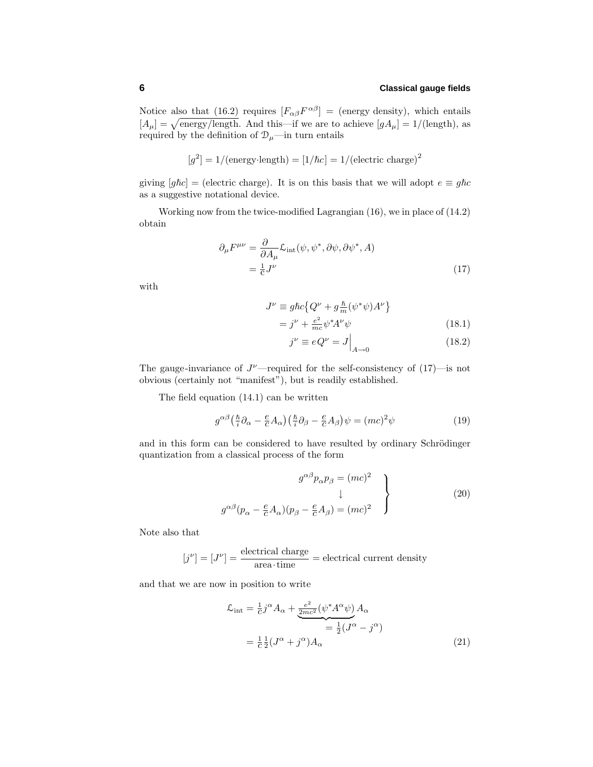Notice also that (16.2) requires  $[F_{\alpha\beta}F^{\alpha\beta}] =$  (energy density), which entails  $[A_\mu] = \sqrt{\text{energy/length}}$ . And this—if we are to achieve  $[gA_\mu] = 1/(\text{length})$ , as required by the definition of  $\mathcal{D}_{\mu}$ —in turn entails

$$
[g^2] = 1/(\text{energy-length}) = [1/\hbar c] = 1/(\text{electric charge})^2
$$

giving  $[g\hbar c] =$  (electric charge). It is on this basis that we will adopt  $e \equiv g\hbar c$ as a suggestive notational device.

Working now from the twice-modified Lagrangian (16), we in place of (14.2) obtain

$$
\partial_{\mu}F^{\mu\nu} = \frac{\partial}{\partial A_{\mu}}\mathcal{L}_{int}(\psi, \psi^*, \partial \psi, \partial \psi^*, A)
$$
  
=  $\frac{1}{c}J^{\nu}$  (17)

with

$$
J^{\nu} \equiv g\hbar c \left\{ Q^{\nu} + g\frac{\hbar}{m}(\psi^*\psi)A^{\nu} \right\}
$$

$$
=j^{\nu} + \frac{e^2}{mc}\psi^* A^{\nu}\psi\tag{18.1}
$$

$$
j^{\nu} \equiv e Q^{\nu} = J \Big|_{A \to 0} \tag{18.2}
$$

The gauge-invariance of  $J^{\nu}$ —required for the self-consistency of  $(17)$ —is not obvious (certainly not "manifest"), but is readily established.

The field equation (14.1) can be written

$$
g^{\alpha\beta} \left(\frac{\hbar}{i}\partial_{\alpha} - \frac{e}{c}A_{\alpha}\right) \left(\frac{\hbar}{i}\partial_{\beta} - \frac{e}{c}A_{\beta}\right)\psi = (mc)^2\psi\tag{19}
$$

and in this form can be considered to have resulted by ordinary Schrödinger quantization from a classical process of the form

$$
g^{\alpha\beta}p_{\alpha}p_{\beta} = (mc)^2
$$
  

$$
\downarrow
$$
  

$$
g^{\alpha\beta}(p_{\alpha} - \frac{e}{c}A_{\alpha})(p_{\beta} - \frac{e}{c}A_{\beta}) = (mc)^2
$$
 (20)

Note also that

$$
[j^{\nu}] = [J^{\nu}] = \frac{\text{electrical charge}}{\text{area-time}} = \text{electrical current density}
$$

and that we are now in position to write

$$
\mathcal{L}_{int} = \frac{1}{c} j^{\alpha} A_{\alpha} + \underbrace{\frac{e^2}{2mc^2} (\psi^* A^{\alpha} \psi)}_{= \frac{1}{2} (J^{\alpha} - j^{\alpha})} A_{\alpha}
$$
\n
$$
= \frac{1}{c} \frac{1}{2} (J^{\alpha} + j^{\alpha}) A_{\alpha}
$$
\n(21)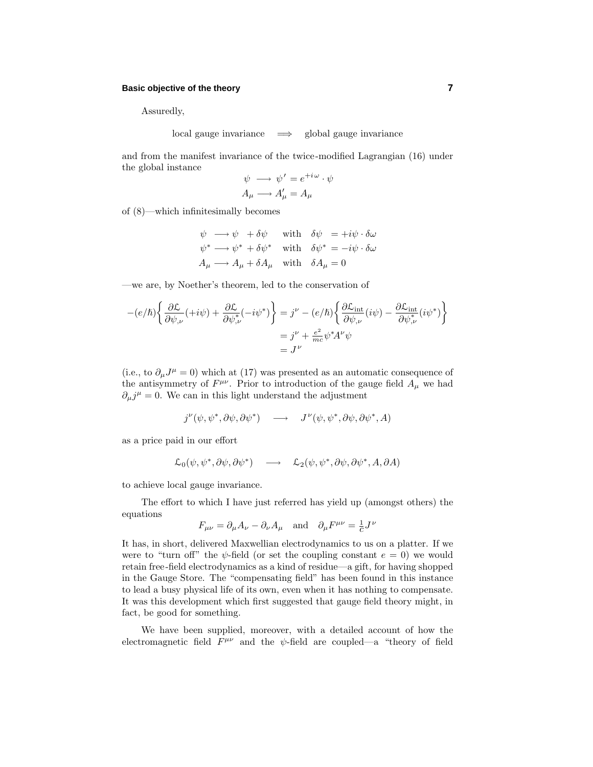### **Basic objective of the theory 7**

Assuredly,

local gauge invariance =⇒ global gauge invariance

and from the manifest invariance of the twice-modified Lagrangian (16) under the global instance

$$
\psi \longrightarrow \psi' = e^{+i\omega} \cdot \psi
$$

$$
A_{\mu} \longrightarrow A'_{\mu} = A_{\mu}
$$

of (8)—which infinitesimally becomes

$$
\psi \longrightarrow \psi + \delta \psi \quad \text{with} \quad \delta \psi = +i\psi \cdot \delta \omega
$$
  

$$
\psi^* \longrightarrow \psi^* + \delta \psi^* \quad \text{with} \quad \delta \psi^* = -i\psi \cdot \delta \omega
$$
  

$$
A_{\mu} \longrightarrow A_{\mu} + \delta A_{\mu} \quad \text{with} \quad \delta A_{\mu} = 0
$$

—we are, by Noether's theorem, led to the conservation of

$$
-(e/\hbar)\left\{\frac{\partial \mathcal{L}}{\partial \psi_{,\nu}}(+i\psi) + \frac{\partial \mathcal{L}}{\partial \psi_{,\nu}^*}(-i\psi^*)\right\} = j^{\nu} - (e/\hbar)\left\{\frac{\partial \mathcal{L}_{\text{int}}}{\partial \psi_{,\nu}}(i\psi) - \frac{\partial \mathcal{L}_{\text{int}}}{\partial \psi_{,\nu}^*}(i\psi^*)\right\}
$$

$$
= j^{\nu} + \frac{e^2}{mc}\psi^*A^{\nu}\psi
$$

$$
= J^{\nu}
$$

(i.e., to  $\partial_{\mu}J^{\mu} = 0$ ) which at (17) was presented as an automatic consequence of the antisymmetry of  $F^{\mu\nu}$ . Prior to introduction of the gauge field  $A_{\mu}$  we had  $\partial_{\mu}j^{\mu} = 0$ . We can in this light understand the adjustment

$$
j^{\nu}(\psi, \psi^*, \partial \psi, \partial \psi^*) \quad \longrightarrow \quad J^{\nu}(\psi, \psi^*, \partial \psi, \partial \psi^*, A)
$$

as a price paid in our effort

$$
\mathcal{L}_0(\psi, \psi^*, \partial \psi, \partial \psi^*) \quad \longrightarrow \quad \mathcal{L}_2(\psi, \psi^*, \partial \psi, \partial \psi^*, A, \partial A)
$$

to achieve local gauge invariance.

The effort to which I have just referred has yield up (amongst others) the equations

$$
F_{\mu\nu} = \partial_{\mu}A_{\nu} - \partial_{\nu}A_{\mu} \text{ and } \partial_{\mu}F^{\mu\nu} = \frac{1}{c}J^{\nu}
$$

It has, in short, delivered Maxwellian electrodynamics to us on a platter. If we were to "turn off" the  $\psi$ -field (or set the coupling constant  $e = 0$ ) we would retain free-field electrodynamics as a kind of residue—a gift, for having shopped in the Gauge Store. The "compensating field" has been found in this instance to lead a busy physical life of its own, even when it has nothing to compensate. It was this development which first suggested that gauge field theory might, in fact, be good for something.

We have been supplied, moreover, with a detailed account of how the electromagnetic field  $F^{\mu\nu}$  and the *ψ*-field are coupled—a "theory of field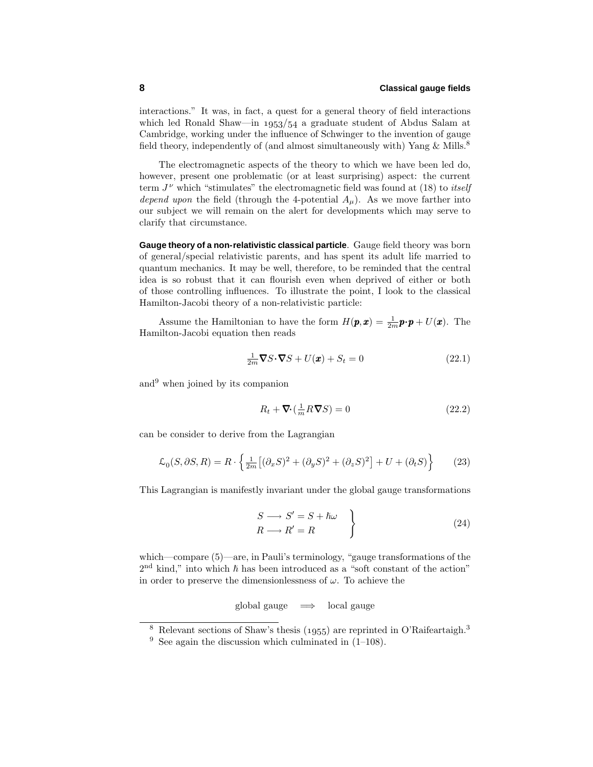interactions." It was, in fact, a quest for a general theory of field interactions which led Ronald Shaw—in  $1953/54$  a graduate student of Abdus Salam at Cambridge, working under the influence of Schwinger to the invention of gauge field theory, independently of (and almost simultaneously with) Yang  $\&$  Mills.<sup>8</sup>

The electromagnetic aspects of the theory to which we have been led do, however, present one problematic (or at least surprising) aspect: the current term  $J^{\nu}$  which "stimulates" the electromagnetic field was found at (18) to *itself* depend upon the field (through the 4-potential  $A_\mu$ ). As we move farther into our subject we will remain on the alert for developments which may serve to clarify that circumstance.

**Gauge theory of a non-relativistic classical particle**. Gauge field theory was born of general/special relativistic parents, and has spent its adult life married to quantum mechanics. It may be well, therefore, to be reminded that the central idea is so robust that it can flourish even when deprived of either or both of those controlling influences. To illustrate the point, I lookto the classical Hamilton-Jacobi theory of a non-relativistic particle:

Assume the Hamiltonian to have the form  $H(\mathbf{p}, \mathbf{x}) = \frac{1}{2m}\mathbf{p} \cdot \mathbf{p} + U(\mathbf{x})$ . The Hamilton-Jacobi equation then reads

$$
\frac{1}{2m}\nabla S \cdot \nabla S + U(\mathbf{x}) + S_t = 0
$$
\n(22.1)

and<sup>9</sup> when joined by its companion

$$
R_t + \nabla \cdot \left(\frac{1}{m} R \nabla S\right) = 0\tag{22.2}
$$

can be consider to derive from the Lagrangian

$$
\mathcal{L}_0(S, \partial S, R) = R \cdot \left\{ \frac{1}{2m} \left[ (\partial_x S)^2 + (\partial_y S)^2 + (\partial_z S)^2 \right] + U + (\partial_t S) \right\}
$$
(23)

This Lagrangian is manifestly invariant under the global gauge transformations

$$
S \longrightarrow S' = S + \hbar\omega
$$
  
\n
$$
R \longrightarrow R' = R
$$
\n(24)

which—compare (5)—are, in Pauli's terminology, "gauge transformations of the  $2<sup>nd</sup>$  kind," into which  $\hbar$  has been introduced as a "soft constant of the action" in order to preserve the dimensionlessness of *ω*. To achieve the

global gauge  $\implies$  local gauge

<sup>&</sup>lt;sup>8</sup> Relevant sections of Shaw's thesis (1955) are reprinted in O'Raifeartaigh.<sup>3</sup>

<sup>&</sup>lt;sup>9</sup> See again the discussion which culminated in  $(1-108)$ .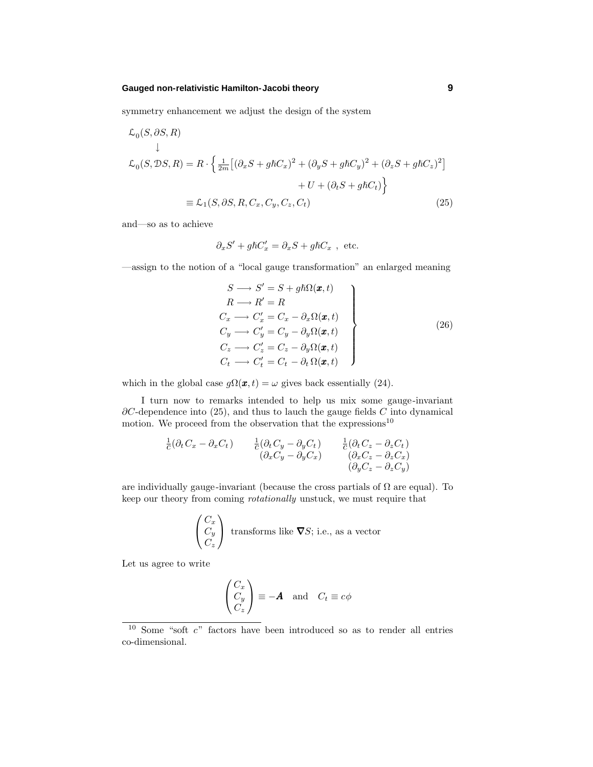### **Gauged non-relativistic Hamilton-Jacobi theory 9**

symmetry enhancement we adjust the design of the system

$$
\mathcal{L}_0(S, \partial S, R)
$$
\n
$$
\downarrow
$$
\n
$$
\mathcal{L}_0(S, \partial S, R) = R \cdot \left\{ \frac{1}{2m} \left[ (\partial_x S + g \hbar C_x)^2 + (\partial_y S + g \hbar C_y)^2 + (\partial_z S + g \hbar C_z)^2 \right] + U + (\partial_t S + g \hbar C_t) \right\}
$$
\n
$$
= \mathcal{L}_1(S, \partial S, R, C_x, C_y, C_z, C_t) \tag{25}
$$

and—so as to achieve

$$
\partial_x S' + g \hbar C_x' = \partial_x S + g \hbar C_x , \text{ etc.}
$$

—assign to the notion of a "local gauge transformation" an enlarged meaning

$$
S \longrightarrow S' = S + g\hbar\Omega(\boldsymbol{x}, t)
$$
  
\n
$$
R \longrightarrow R' = R
$$
  
\n
$$
C_x \longrightarrow C'_x = C_x - \partial_x\Omega(\boldsymbol{x}, t)
$$
  
\n
$$
C_y \longrightarrow C'_y = C_y - \partial_y\Omega(\boldsymbol{x}, t)
$$
  
\n
$$
C_z \longrightarrow C'_z = C_z - \partial_y\Omega(\boldsymbol{x}, t)
$$
  
\n
$$
C_t \longrightarrow C'_t = C_t - \partial_t\Omega(\boldsymbol{x}, t)
$$
\n(26)

which in the global case  $g\Omega(\boldsymbol{x}, t) = \omega$  gives back essentially (24).

I turn now to remarks intended to help us mix some gauge-invariant *∂C*-dependence into (25), and thus to lauch the gauge fields *C* into dynamical motion. We proceed from the observation that the expressions<sup>10</sup>

$$
\frac{1}{c}(\partial_t C_x - \partial_x C_t) \qquad \frac{1}{c}(\partial_t C_y - \partial_y C_t) \qquad \frac{1}{c}(\partial_t C_z - \partial_z C_t) \n(\partial_x C_y - \partial_y C_x) \qquad (\partial_x C_z - \partial_z C_x) \n(\partial_y C_z - \partial_z C_y)
$$

are individually gauge-invariant (because the cross partials of  $\Omega$  are equal). To keep our theory from coming *rotationally* unstuck, we must require that

$$
\begin{pmatrix} C_x \\ C_y \\ C_z \end{pmatrix}
$$
 transforms like  $\nabla S$ ; i.e., as a vector

Let us agree to write

$$
\begin{pmatrix} C_x \\ C_y \\ C_z \end{pmatrix} \equiv -\mathbf{A} \text{ and } C_t \equiv c\phi
$$

<sup>10</sup> Some "soft *c*" factors have been introduced so as to render all entries co-dimensional.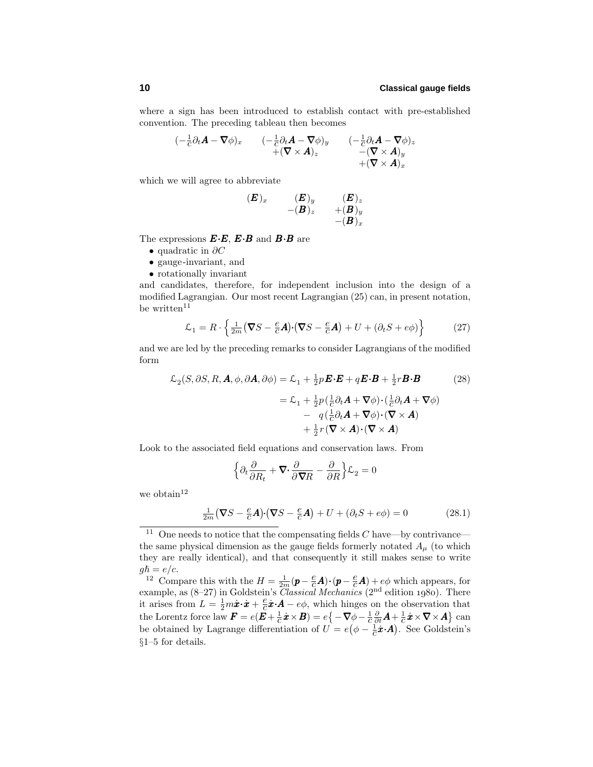where a sign has been introduced to establish contact with pre-established convention. The preceding tableau then becomes

$$
\begin{array}{ccc}\n(-\frac{1}{c}\partial_t \boldsymbol{A} - \boldsymbol{\nabla} \phi)_x & & (-\frac{1}{c}\partial_t \boldsymbol{A} - \boldsymbol{\nabla} \phi)_y & & (-\frac{1}{c}\partial_t \boldsymbol{A} - \boldsymbol{\nabla} \phi)_z \\
 & & + (\boldsymbol{\nabla} \times \boldsymbol{A})_z & & -(\boldsymbol{\nabla} \times \boldsymbol{A})_y \\
 & & + (\boldsymbol{\nabla} \times \boldsymbol{A})_x\n\end{array}
$$

which we will agree to abbreviate

$$
\begin{array}{ll}(\boldsymbol{E})_x & (\boldsymbol{E})_y & (\boldsymbol{E})_z \\ & -(\boldsymbol{B})_z & +(\boldsymbol{B})_y \\ & -(\boldsymbol{B})_x & \end{array}
$$

The expressions *E*·*E*, *E*·*B* and *B*·*B* are

- quadratic in *∂C*
- gauge-invariant, and
- rotationally invariant

and candidates, therefore, for independent inclusion into the design of a modified Lagrangian. Our most recent Lagrangian (25) can, in present notation, be written $11$ 

$$
\mathcal{L}_1 = R \cdot \left\{ \frac{1}{2m} \left( \nabla S - \frac{e}{c} \mathbf{A} \right) \cdot \left( \nabla S - \frac{e}{c} \mathbf{A} \right) + U + \left( \partial_t S + e \phi \right) \right\} \tag{27}
$$

and we are led by the preceding remarks to consider Lagrangians of the modified form

$$
\mathcal{L}_2(S, \partial S, R, \mathbf{A}, \phi, \partial \mathbf{A}, \partial \phi) = \mathcal{L}_1 + \frac{1}{2} p \mathbf{E} \cdot \mathbf{E} + q \mathbf{E} \cdot \mathbf{B} + \frac{1}{2} r \mathbf{B} \cdot \mathbf{B}
$$
(28)  

$$
= \mathcal{L}_1 + \frac{1}{2} p \left( \frac{1}{C} \partial_t \mathbf{A} + \nabla \phi \right) \cdot \left( \frac{1}{C} \partial_t \mathbf{A} + \nabla \phi \right)
$$

$$
- q \left( \frac{1}{C} \partial_t \mathbf{A} + \nabla \phi \right) \cdot (\nabla \times \mathbf{A})
$$

$$
+ \frac{1}{2} r \left( \nabla \times \mathbf{A} \right) \cdot (\nabla \times \mathbf{A})
$$

Look to the associated field equations and conservation laws. From

$$
\left\{\partial_t \frac{\partial}{\partial R_t} + \mathbf{\nabla} \cdot \frac{\partial}{\partial \mathbf{\nabla} R} - \frac{\partial}{\partial R}\right\} \mathcal{L}_2 = 0
$$

we obtain  $12$ 

$$
\frac{1}{2m}(\nabla S - \frac{e}{c}\mathbf{A}) \cdot (\nabla S - \frac{e}{c}\mathbf{A}) + U + (\partial_t S + e\phi) = 0
$$
 (28.1)

<sup>12</sup> Compare this with the  $H = \frac{1}{2m}(\mathbf{p} - \frac{e}{c}\mathbf{A}) \cdot (\mathbf{p} - \frac{e}{c}\mathbf{A}) + e\phi$  which appears, for example, as  $(8-27)$  in Goldstein's *Classical Mechanics*  $(2<sup>nd</sup>$  edition 1980). There it arises from  $L = \frac{1}{2}m\dot{x}\cdot\dot{x} + \frac{e}{c}\dot{x}\cdot\vec{A} - e\phi$ , which hinges on the observation that  $\text{the Lorentz force law } \boldsymbol{F} = e(\boldsymbol{E} + \frac{1}{c}\boldsymbol{\dot{x}} \times \boldsymbol{B}) = e\big\{-\boldsymbol{\nabla}\phi - \frac{1}{c}\frac{\partial}{\partial t}\boldsymbol{A} + \frac{1}{c}\boldsymbol{\dot{x}} \times \boldsymbol{\nabla} \times \boldsymbol{A}\big\} \text{ can}$ be obtained by Lagrange differentiation of  $U = e(\phi - \frac{1}{c}\dot{x} \cdot \mathbf{A})$ . See Goldstein's §1–5 for details.

<sup>&</sup>lt;sup>11</sup> One needs to notice that the compensating fields  $C$  have—by contrivance the same physical dimension as the gauge fields formerly notated  $A<sub>u</sub>$  (to which they are really identical), and that consequently it still makes sense to write  $g\hbar = e/c$ .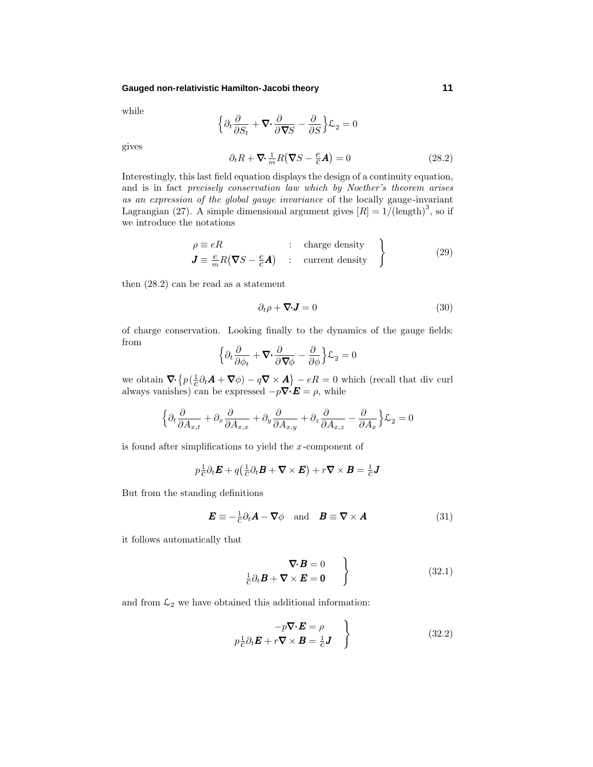### **Gauged non-relativistic Hamilton-Jacobi theory 11**

while

$$
\Big\{\partial_t\frac{\partial}{\partial S_t}+\pmb{\nabla}\cdot\frac{\partial}{\partial\pmb{\nabla}S}-\frac{\partial}{\partial S}\Big\}\mathcal{L}_2=0
$$

gives

$$
\partial_t R + \nabla \cdot \frac{1}{m} R (\nabla S - \frac{e}{c} \mathbf{A}) = 0 \tag{28.2}
$$

Interestingly, this last field equation displays the design of a continuity equation, and is in fact precisely conservation law which by Noether's theorem arises as an expression of the global gauge invariance of the locally gauge-invariant Lagrangian (27). A simple dimensional argument gives  $[R] = 1/(length)^3$ , so if we introduce the notations

$$
\rho \equiv eR \qquad : \text{ charge density} \qquad}
$$
  
\n
$$
\mathbf{J} \equiv \frac{e}{m} R (\nabla S - \frac{e}{c} \mathbf{A}) \qquad : \text{ current density} \qquad (29)
$$

then (28.2) can be read as a statement

$$
\partial_t \rho + \nabla \cdot \mathbf{J} = 0 \tag{30}
$$

of charge conservation. Looking finally to the dynamics of the gauge fields: from

$$
\Big\{\partial_t\frac{\partial}{\partial \phi_t} + \mathbf{\nabla}\cdot\frac{\partial}{\partial \mathbf{\nabla}\phi} - \frac{\partial}{\partial \phi}\Big\}\mathcal{L}_2 = 0
$$

we obtain  $\nabla \cdot \left\{ p(\frac{1}{c}\partial_t \mathbf{A} + \nabla \phi) - q\nabla \times \mathbf{A} \right\} - eR = 0$  which (recall that div curl always vanishes) can be expressed  $-p\nabla \cdot \mathbf{E} = \rho$ , while

$$
\left\{\partial_t\frac{\partial}{\partial A_{x,t}} + \partial_x\frac{\partial}{\partial A_{x,x}} + \partial_y\frac{\partial}{\partial A_{x,y}} + \partial_z\frac{\partial}{\partial A_{x,z}} - \frac{\partial}{\partial A_x}\right\}\mathcal{L}_2 = 0
$$

is found after simplifications to yield the *x*-component of

$$
p_{\overline{c}}^{\underline{1}} \partial_t \boldsymbol{E} + q \left( \frac{1}{c} \partial_t \boldsymbol{B} + \boldsymbol{\nabla} \times \boldsymbol{E} \right) + r \boldsymbol{\nabla} \times \boldsymbol{B} = \frac{1}{c} \boldsymbol{J}
$$

But from the standing definitions

$$
\boldsymbol{E} \equiv -\frac{1}{c}\partial_t \boldsymbol{A} - \boldsymbol{\nabla}\phi \quad \text{and} \quad \boldsymbol{B} \equiv \boldsymbol{\nabla} \times \boldsymbol{A} \tag{31}
$$

it follows automatically that

$$
\nabla \cdot \boldsymbol{B} = 0
$$
\n
$$
\frac{1}{c} \partial_t \boldsymbol{B} + \nabla \times \boldsymbol{E} = 0
$$
\n(32.1)

and from  $\mathcal{L}_2$  we have obtained this additional information:

$$
-p\nabla \cdot \mathbf{E} = \rho
$$
  
\n
$$
p_{\overline{C}}^{\perp} \partial_t \mathbf{E} + r\nabla \times \mathbf{B} = \frac{1}{C} \mathbf{J}
$$
 (32.2)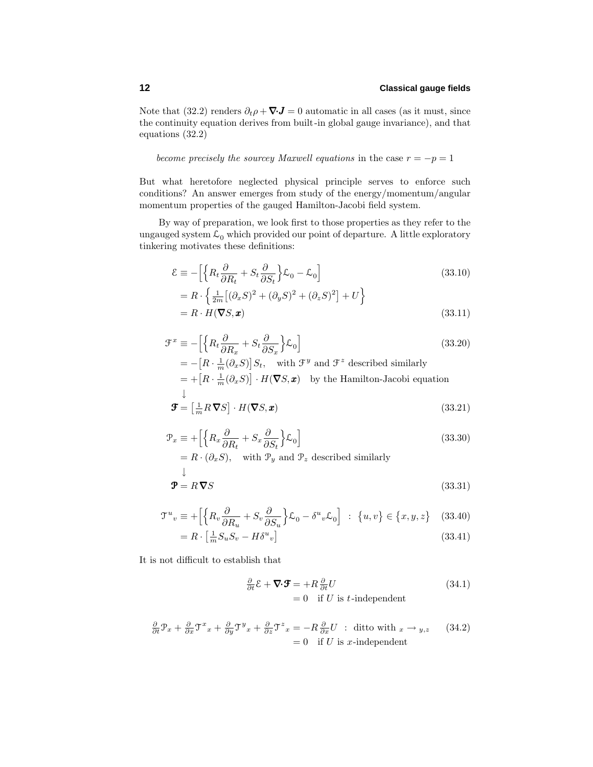Note that (32.2) renders  $\partial_t \rho + \nabla \cdot \mathbf{J} = 0$  automatic in all cases (as it must, since the continuity equation derives from built-in global gauge invariance), and that equations (32.2)

become precisely the sourcey Maxwell equations in the case  $r = -p = 1$ 

But what heretofore neglected physical principle serves to enforce such conditions? An answer emerges from study of the energy/momentum/angular momentum properties of the gauged Hamilton-Jacobi field system.

By way of preparation, we look first to those properties as they refer to the ungauged system  $\mathcal{L}_0$  which provided our point of departure. A little exploratory tinkering motivates these definitions:

$$
\mathcal{E} \equiv -\left[\left\{R_t \frac{\partial}{\partial R_t} + S_t \frac{\partial}{\partial S_t}\right\} \mathcal{L}_0 - \mathcal{L}_0\right]
$$
(33.10)

$$
= R \cdot \left\{ \frac{1}{2m} \left[ (\partial_x S)^2 + (\partial_y S)^2 + (\partial_z S)^2 \right] + U \right\}
$$
  
=  $R \cdot H(\nabla S, \mathbf{x})$  (33.11)

$$
\mathcal{F}^{x} \equiv -\Big[\Big\{R_t\frac{\partial}{\partial R_x} + S_t\frac{\partial}{\partial S_x}\Big\}\mathcal{L}_0\Big]
$$
(33.20)  
\n
$$
= -\Big[R\cdot\frac{1}{m}(\partial_x S)\Big]S_t, \text{ with } \mathcal{F}^{y} \text{ and } \mathcal{F}^{z} \text{ described similarly}
$$
\n
$$
= +\Big[R\cdot\frac{1}{m}(\partial_x S)\Big]\cdot H(\boldsymbol{\nabla}S, \boldsymbol{x}) \text{ by the Hamilton-Jacobi equation}
$$
\n
$$
\downarrow
$$
\n
$$
\mathcal{F} = \Big[\frac{1}{m}R\boldsymbol{\nabla}S\Big]\cdot H(\boldsymbol{\nabla}S, \boldsymbol{x})
$$
(33.21)

$$
\mathcal{P}_x \equiv + \left[ \left\{ R_x \frac{\partial}{\partial R_t} + S_x \frac{\partial}{\partial S_t} \right\} \mathcal{L}_0 \right] \n= R \cdot (\partial_x S), \quad \text{with } \mathcal{P}_y \text{ and } \mathcal{P}_z \text{ described similarly}
$$
\n(33.30)

$$
\Psi = R \nabla S \tag{33.31}
$$

$$
\mathcal{T}^{u}{}_{v} \equiv + \left[ \left\{ R_{v} \frac{\partial}{\partial R_{u}} + S_{v} \frac{\partial}{\partial S_{u}} \right\} \mathcal{L}_{0} - \delta^{u}{}_{v} \mathcal{L}_{0} \right] ; \ \{u, v\} \in \{x, y, z\} \quad (33.40)
$$

$$
=R \cdot \left[\frac{1}{m} S_u S_v - H \delta^u{}_v\right] \tag{33.41}
$$

It is not difficult to establish that

$$
\frac{\partial}{\partial t} \mathcal{E} + \nabla \cdot \mathbf{F} = +R \frac{\partial}{\partial t} U
$$
\n
$$
= 0 \quad \text{if } U \text{ is } t \text{-independent}
$$
\n(34.1)

$$
\frac{\partial}{\partial t}\mathcal{P}_x + \frac{\partial}{\partial x}\mathcal{T}^x{}_x + \frac{\partial}{\partial y}\mathcal{T}^y{}_x + \frac{\partial}{\partial z}\mathcal{T}^z{}_x = -R\frac{\partial}{\partial x}U : \text{ditto with } x \to y, z \qquad (34.2)
$$

$$
= 0 \quad \text{if } U \text{ is } x\text{-independent}
$$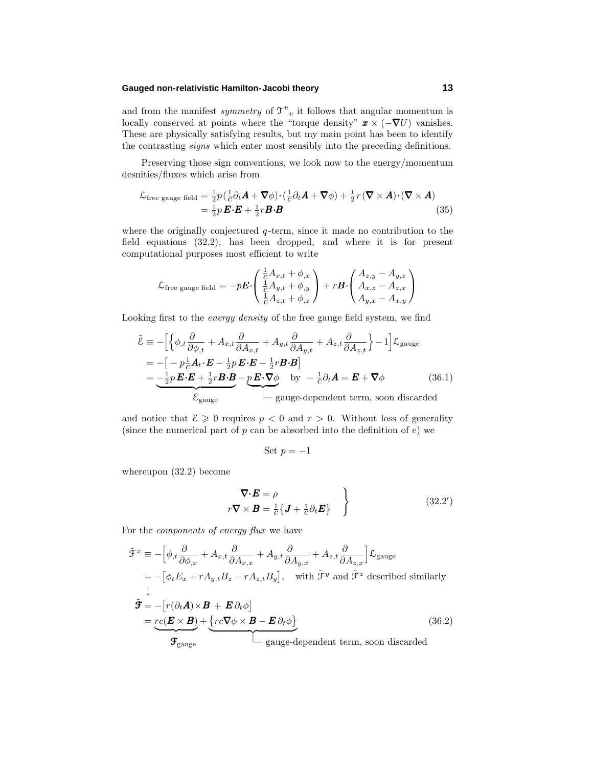### **Gauged non-relativistic Hamilton-Jacobi theory 13**

and from the manifest *symmetry* of  $\mathcal{T}^u$ <sub>v</sub> it follows that angular momentum is locally conserved at points where the "torque density"  $\mathbf{x} \times (-\nabla U)$  vanishes. These are physically satisfying results, but my main point has been to identify the contrasting signs which enter most sensibly into the preceding definitions.

Preserving those sign conventions, we look now to the energy/momentum desnities/fluxes which arise from

$$
\mathcal{L}_{\text{free gauge field}} = \frac{1}{2} p \left( \frac{1}{C} \partial_t \mathbf{A} + \nabla \phi \right) \cdot \left( \frac{1}{C} \partial_t \mathbf{A} + \nabla \phi \right) + \frac{1}{2} r \left( \nabla \times \mathbf{A} \right) \cdot \left( \nabla \times \mathbf{A} \right) \n= \frac{1}{2} p \mathbf{E} \cdot \mathbf{E} + \frac{1}{2} r \mathbf{B} \cdot \mathbf{B}
$$
\n(35)

where the originally conjectured  $q$ -term, since it made no contribution to the field equations (32.2), has been dropped, and where it is for present computational purposes most efficient to write

$$
\mathcal{L}_{\text{free gauge field}} = -p\boldsymbol{E} \cdot \begin{pmatrix} \frac{1}{C} A_{x,t} + \phi_{,x} \\ \frac{1}{C} A_{y,t} + \phi_{,y} \\ \frac{1}{C} A_{z,t} + \phi_{,z} \end{pmatrix} + r\boldsymbol{B} \cdot \begin{pmatrix} A_{z,y} - A_{y,z} \\ A_{x,z} - A_{z,x} \\ A_{y,x} - A_{x,y} \end{pmatrix}
$$

Looking first to the energy density of the free gauge field system, we find

$$
\tilde{\mathcal{E}} = -\Big[\Big\{\phi_{,t}\frac{\partial}{\partial \phi_{,t}} + A_{x,t}\frac{\partial}{\partial A_{x,t}} + A_{y,t}\frac{\partial}{\partial A_{y,t}} + A_{z,t}\frac{\partial}{\partial A_{z,t}}\Big\} - 1\Big]\mathcal{L}_{\text{gauge}}
$$
\n
$$
= -\Big[-p\frac{1}{c}A_t \cdot \mathbf{E} - \frac{1}{2}p\mathbf{E} \cdot \mathbf{E} - \frac{1}{2}r\mathbf{B} \cdot \mathbf{B}\Big]
$$
\n
$$
= -\frac{1}{2}p\mathbf{E} \cdot \mathbf{E} + \frac{1}{2}r\mathbf{B} \cdot \mathbf{B} - p\mathbf{E} \cdot \nabla \phi \qquad \text{by} \quad -\frac{1}{c}\partial_t \mathbf{A} = \mathbf{E} + \nabla \phi \qquad (36.1)
$$
\n
$$
\mathcal{E}_{\text{gauge}}
$$
\n
$$
\Big[\text{gauge-dependent term, soon discarded}\Big]
$$

and notice that  $\mathcal{E} \geq 0$  requires  $p < 0$  and  $r > 0$ . Without loss of generality (since the numerical part of *p* can be absorbed into the definition of *e*) we

Set 
$$
p = -1
$$

whereupon (32.2) become

$$
\nabla \cdot \mathbf{E} = \rho
$$
  

$$
r \nabla \times \mathbf{B} = \frac{1}{c} \{ \mathbf{J} + \frac{1}{c} \partial_t \mathbf{E} \}
$$
 (32.2')

For the components of energy flux we have

$$
\tilde{\mathcal{F}}^{x} = -\left[\phi_{,t}\frac{\partial}{\partial\phi_{,x}} + A_{x,t}\frac{\partial}{\partial A_{x,x}} + A_{y,t}\frac{\partial}{\partial A_{y,x}} + A_{z,t}\frac{\partial}{\partial A_{z,x}}\right] \mathcal{L}_{gauge}
$$
\n
$$
= -\left[\phi_{t}E_{x} + rA_{y,t}B_{z} - rA_{z,t}B_{y}\right], \text{ with } \tilde{\mathcal{F}}^{y} \text{ and } \tilde{\mathcal{F}}^{z} \text{ described similarly}
$$
\n
$$
\tilde{\mathbf{F}} = -\left[r(\partial_{t}\mathbf{A}) \times \mathbf{B} + \mathbf{E}\partial_{t}\phi\right]
$$
\n
$$
= \underbrace{r c(\mathbf{E} \times \mathbf{B})}_{\mathbf{F}_{gauge}} + \underbrace{\left\{r c \nabla \phi \times \mathbf{B} - \mathbf{E}\partial_{t}\phi\right\}}_{\text{gauge-dependent term, soon discarded}}
$$
\n(36.2)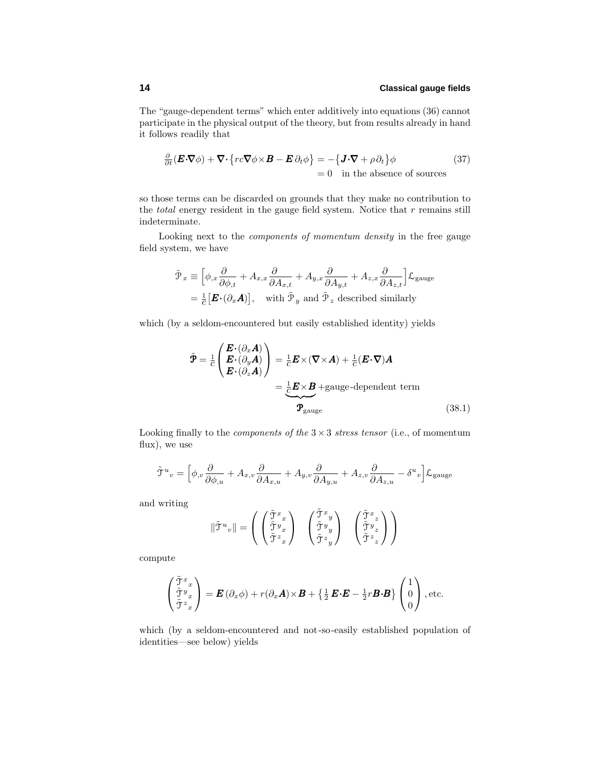The "gauge-dependent terms" which enter additively into equations (36) cannot participate in the physical output of the theory, but from results already in hand it follows readily that

$$
\frac{\partial}{\partial t}(\mathbf{E}\cdot\nabla\phi) + \nabla\cdot\left\{rc\nabla\phi\times\mathbf{B} - \mathbf{E}\,\partial_t\phi\right\} = -\left\{\mathbf{J}\cdot\nabla + \rho\,\partial_t\right\}\phi\tag{37}
$$
\n
$$
= 0 \quad \text{in the absence of sources}
$$

so those terms can be discarded on grounds that they make no contribution to the total energy resident in the gauge field system. Notice that *r* remains still indeterminate.

Looking next to the components of momentum density in the free gauge field system, we have

$$
\tilde{\mathcal{P}}_x \equiv \left[ \phi_{,x} \frac{\partial}{\partial \phi_{,t}} + A_{x,x} \frac{\partial}{\partial A_{x,t}} + A_{y,x} \frac{\partial}{\partial A_{y,t}} + A_{z,x} \frac{\partial}{\partial A_{z,t}} \right] \mathcal{L}_{\text{gauge}}
$$
\n
$$
= \frac{1}{c} \left[ \mathbf{E} \cdot (\partial_x \mathbf{A}) \right], \quad \text{with } \tilde{\mathcal{P}}_y \text{ and } \tilde{\mathcal{P}}_z \text{ described similarly}
$$

which (by a seldom-encountered but easily established identity) yields

$$
\tilde{\mathbf{\Psi}} = \frac{1}{c} \begin{pmatrix} \boldsymbol{E} \cdot (\partial_x \boldsymbol{A}) \\ \boldsymbol{E} \cdot (\partial_y \boldsymbol{A}) \\ \boldsymbol{E} \cdot (\partial_z \boldsymbol{A}) \end{pmatrix} = \frac{1}{c} \boldsymbol{E} \times (\nabla \times \boldsymbol{A}) + \frac{1}{c} (\boldsymbol{E} \cdot \nabla) \boldsymbol{A}
$$
\n
$$
= \frac{1}{c} \boldsymbol{E} \times \boldsymbol{B} + \text{gauge-dependent term}
$$
\n
$$
\mathbf{\mathcal{P}}_{\text{gauge}}
$$
\n(38.1)

Looking finally to the *components of the*  $3 \times 3$  *stress tensor* (i.e., of momentum flux), we use

$$
\tilde{\mathbf{T}}^u{}_v=\Big[\phi_{,v}\frac{\partial}{\partial \phi_{,u}}+A_{x,v}\frac{\partial}{\partial A_{x,u}}+A_{y,v}\frac{\partial}{\partial A_{y,u}}+A_{z,v}\frac{\partial}{\partial A_{z,u}}-\delta^u{}_v\Big]\mathcal{L}_{\text{gauge}}
$$

and writing

$$
\|\tilde{\mathbf{J}}^{u}{}_{v}\| = \left(\begin{array}{c} \left(\begin{matrix} \tilde{\mathbf{J}}^{x}{}_{x} \\ \tilde{\mathbf{J}}^{y}{}_{x} \\ \tilde{\mathbf{J}}^{z}{}_{x} \end{matrix}\right) & \left(\begin{matrix} \tilde{\mathbf{J}}^{x}{}_{y} \\ \tilde{\mathbf{J}}^{y}{}_{y} \\ \tilde{\mathbf{J}}^{z}{}_{y} \end{matrix}\right) & \left(\begin{matrix} \tilde{\mathbf{J}}^{x}{}_{z} \\ \tilde{\mathbf{J}}^{y}{}_{z} \\ \tilde{\mathbf{J}}^{z}{}_{z} \end{matrix}\right) \right)
$$

compute

$$
\begin{pmatrix} \tilde{\mathfrak{T}}^x{}_x \\ \tilde{\mathfrak{T}}^y{}_x \\ \tilde{\mathfrak{T}}^z{}_x \end{pmatrix} = \boldsymbol{E} (\partial_x \phi) + r(\partial_x \boldsymbol{A}) \times \boldsymbol{B} + \left\{ \frac{1}{2} \boldsymbol{E} \cdot \boldsymbol{E} - \frac{1}{2} r \boldsymbol{B} \cdot \boldsymbol{B} \right\} \begin{pmatrix} 1 \\ 0 \\ 0 \end{pmatrix}, \text{etc.}
$$

which (by a seldom-encountered and not-so-easily established population of identities—see below) yields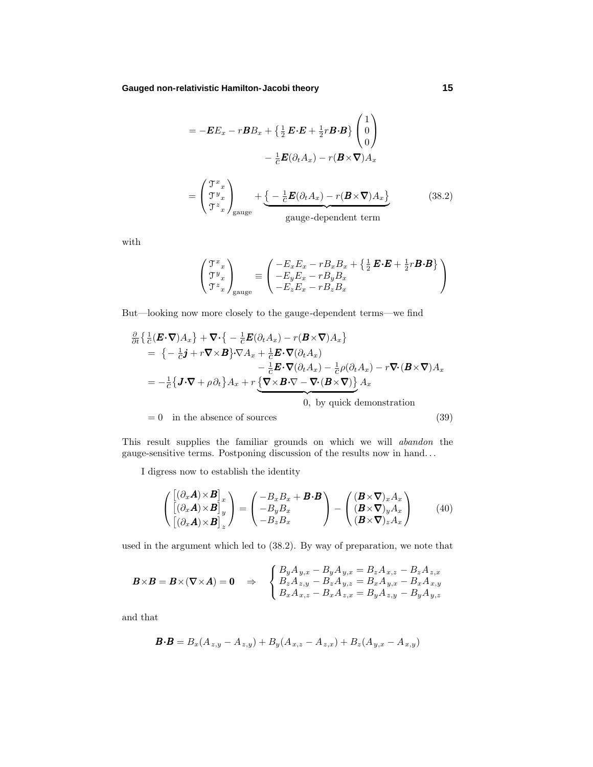**Gauged non-relativistic Hamilton-Jacobi theory 15**

$$
= -\boldsymbol{E}E_x - r\boldsymbol{B}B_x + \left\{\frac{1}{2}\boldsymbol{E}\cdot\boldsymbol{E} + \frac{1}{2}r\boldsymbol{B}\cdot\boldsymbol{B}\right\}\begin{pmatrix} 1\\0\\0 \end{pmatrix}
$$

$$
- \frac{1}{c}\boldsymbol{E}(\partial_t A_x) - r(\boldsymbol{B}\times\nabla)A_x
$$

$$
= \begin{pmatrix} \mathcal{T}^x{}_x \\ \mathcal{T}^y{}_x \\ \mathcal{T}^z{}_x \end{pmatrix}_{\text{gauge}} + \underbrace{\left\{-\frac{1}{c}\boldsymbol{E}(\partial_t A_x) - r(\boldsymbol{B}\times\nabla)A_x\right\}}_{\text{gauge-dependent term}}
$$
(38.2)

with

$$
\begin{pmatrix} \mathfrak{T}^x{}_x \\ \mathfrak{T}^y{}_x \\ \mathfrak{T}^z{}_x \end{pmatrix}_{\text{gauge}} \equiv \begin{pmatrix} -E_x E_x - rB_x B_x + \left\{ \frac{1}{2} \mathbf{E} \cdot \mathbf{E} + \frac{1}{2} r \mathbf{B} \cdot \mathbf{B} \right\} \\ -E_y E_x - rB_y B_x \\ -E_z E_x - rB_z B_x \end{pmatrix}
$$

But—looking now more closely to the gauge-dependent terms—we find

$$
\frac{\partial}{\partial t} \left\{ \frac{1}{c} (\boldsymbol{E} \cdot \nabla) A_x \right\} + \nabla \cdot \left\{ -\frac{1}{c} \boldsymbol{E} (\partial_t A_x) - r (\boldsymbol{B} \times \nabla) A_x \right\} \n= \left\{ -\frac{1}{c} \boldsymbol{j} + r \nabla \times \boldsymbol{B} \right\} \cdot \nabla A_x + \frac{1}{c} \boldsymbol{E} \cdot \nabla (\partial_t A_x) \n- \frac{1}{c} \boldsymbol{E} \cdot \nabla (\partial_t A_x) - \frac{1}{c} \rho (\partial_t A_x) - r \nabla \cdot (\boldsymbol{B} \times \nabla) A_x \n= -\frac{1}{c} \left\{ \boldsymbol{J} \cdot \nabla + \rho \partial_t \right\} A_x + r \underbrace{\left\{ \nabla \times \boldsymbol{B} \cdot \nabla - \nabla \cdot (\boldsymbol{B} \times \nabla) \right\}}_{0, \text{ by quick demonstration} A_x \n= 0 \text{ in the absence of sources}
$$
\n(39)

This result supplies the familiar grounds on which we will abandon the gauge-sensitive terms. Postponing discussion of the results now in hand*...*

I digress now to establish the identity

$$
\begin{pmatrix}\n\left[\left(\partial_x \mathbf{A}\right) \times \mathbf{B}\right]_x \\
\left[\left(\partial_x \mathbf{A}\right) \times \mathbf{B}\right]_y \\
\left[\left(\partial_x \mathbf{A}\right) \times \mathbf{B}\right]_z\n\end{pmatrix} = \begin{pmatrix}\n-B_x B_x + \mathbf{B} \cdot \mathbf{B} \\
-B_y B_x \\
-B_z B_x\n\end{pmatrix} - \begin{pmatrix}\n(\mathbf{B} \times \nabla)_x A_x \\
(\mathbf{B} \times \nabla)_y A_x \\
(\mathbf{B} \times \nabla)_z A_x\n\end{pmatrix}
$$
\n(40)

used in the argument which led to (38.2). By way of preparation, we note that

$$
\boldsymbol{B} \times \boldsymbol{B} = \boldsymbol{B} \times (\boldsymbol{\nabla} \times \boldsymbol{A}) = \boldsymbol{0} \quad \Rightarrow \quad \begin{cases} B_y A_{y,x} - B_y A_{y,x} = B_z A_{x,z} - B_z A_{z,x} \\ B_z A_{z,y} - B_z A_{y,z} = B_x A_{y,x} - B_x A_{x,y} \\ B_x A_{x,z} - B_x A_{z,x} = B_y A_{z,y} - B_y A_{y,z} \end{cases}
$$

and that

$$
\mathbf{B} \cdot \mathbf{B} = B_x (A_{z,y} - A_{z,y}) + B_y (A_{x,z} - A_{z,x}) + B_z (A_{y,x} - A_{x,y})
$$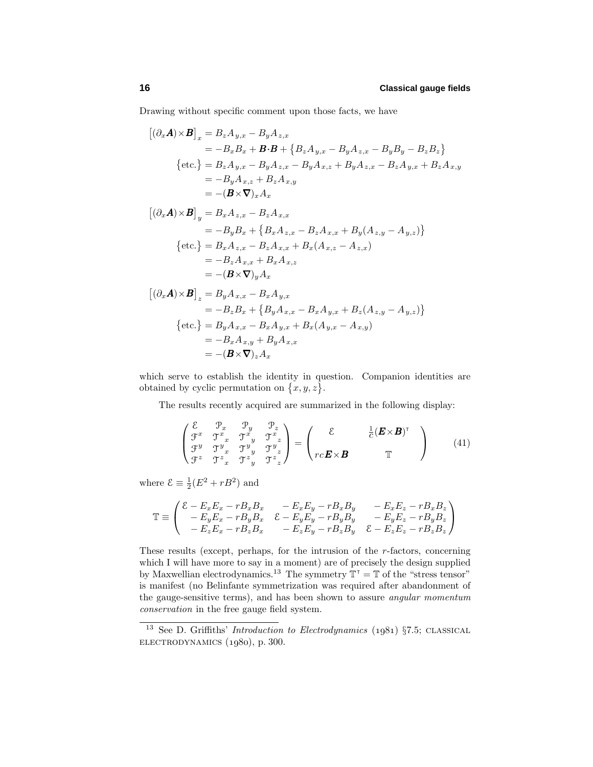Drawing without specific comment upon those facts, we have

$$
[(\partial_x \mathbf{A}) \times \mathbf{B}]_x = B_z A_{y,x} - B_y A_{z,x}
$$
  
\n
$$
= -B_x B_x + \mathbf{B} \cdot \mathbf{B} + \{B_z A_{y,x} - B_y A_{z,x} - B_y B_y - B_z B_z\}
$$
  
\n{etc.} =  $B_z A_{y,x} - B_y A_{z,x} - B_y A_{x,z} + B_y A_{z,x} - B_z A_{y,x} + B_z A_{x,y}$   
\n
$$
= -B_y A_{x,z} + B_z A_{x,y}
$$
  
\n
$$
= -(\mathbf{B} \times \nabla)_x A_x
$$
  
\n
$$
[(\partial_x \mathbf{A}) \times \mathbf{B}]_y = B_x A_{z,x} - B_z A_{x,x}
$$
  
\n
$$
= -B_y B_x + \{B_x A_{z,x} - B_z A_{x,x} + B_y (A_{z,y} - A_{y,z})\}
$$
  
\n{etc.} =  $B_x A_{z,x} - B_z A_{x,x} + B_x (A_{x,z} - A_{z,x})$   
\n
$$
= -B_z A_{x,x} + B_x A_{x,z}
$$
  
\n
$$
= -(\mathbf{B} \times \nabla)_y A_x
$$
  
\n
$$
[(\partial_x \mathbf{A}) \times \mathbf{B}]_z = B_y A_{x,x} - B_x A_{y,x}
$$
  
\n
$$
= -B_z B_x + \{B_y A_{x,x} - B_x A_{y,x} + B_z (A_{z,y} - A_{y,z})\}
$$
  
\n{etc.} =  $B_y A_{x,x} - B_x A_{y,x} + B_x (A_{y,x} - A_{x,y})$   
\n
$$
= -B_x A_{x,y} + B_y A_{x,x}
$$
  
\n
$$
= -(\mathbf{B} \times \nabla)_z A_x
$$

which serve to establish the identity in question. Companion identities are obtained by cyclic permutation on  $\{x, y, z\}$ .

The results recently acquired are summarized in the following display:

$$
\begin{pmatrix}\n\xi & \mathcal{P}_x & \mathcal{P}_y & \mathcal{P}_z \\
\mathcal{F}^x & \mathcal{T}^x_x & \mathcal{T}^x_y & \mathcal{T}^x_z \\
\mathcal{F}^y & \mathcal{T}^y_x & \mathcal{T}^y_y & \mathcal{T}^y_z \\
\mathcal{F}^z & \mathcal{T}^z_x & \mathcal{T}^z_y & \mathcal{T}^z_z\n\end{pmatrix} = \begin{pmatrix}\n\xi & \frac{1}{C} (\mathbf{E} \times \mathbf{B})^{\mathrm{T}} \\
r_c \mathbf{E} \times \mathbf{B} & \mathbb{T}\n\end{pmatrix} (41)
$$

where  $\mathcal{E} \equiv \frac{1}{2}(E^2 + rB^2)$  and

$$
\mathbb{T} \equiv \begin{pmatrix} \mathcal{E} - E_x E_x - r B_x B_x & -E_x E_y - r B_x B_y & -E_x E_z - r B_x B_z \\ -E_y E_x - r B_y B_x & \mathcal{E} - E_y E_y - r B_y B_y & -E_y E_z - r B_y B_z \\ -E_z E_x - r B_z B_x & -E_z E_y - r B_z B_y & \mathcal{E} - E_z E_z - r B_z B_z \end{pmatrix}
$$

These results (except, perhaps, for the intrusion of the *r*-factors, concerning which I will have more to say in a moment) are of precisely the design supplied by Maxwellian electrodynamics.<sup>13</sup> The symmetry  $\mathbb{T}^{\top} = \mathbb{T}$  of the "stress tensor" is manifest (no Belinfante symmetrization was required after abandonment of the gauge-sensitive terms), and has been shown to assure angular momentum conservation in the free gauge field system.

 $13$  See D. Griffiths' *Introduction to Electrodynamics* (1981) §7.5; CLASSICAL  $ELECTRODYNAMICS (1980), p. 300.$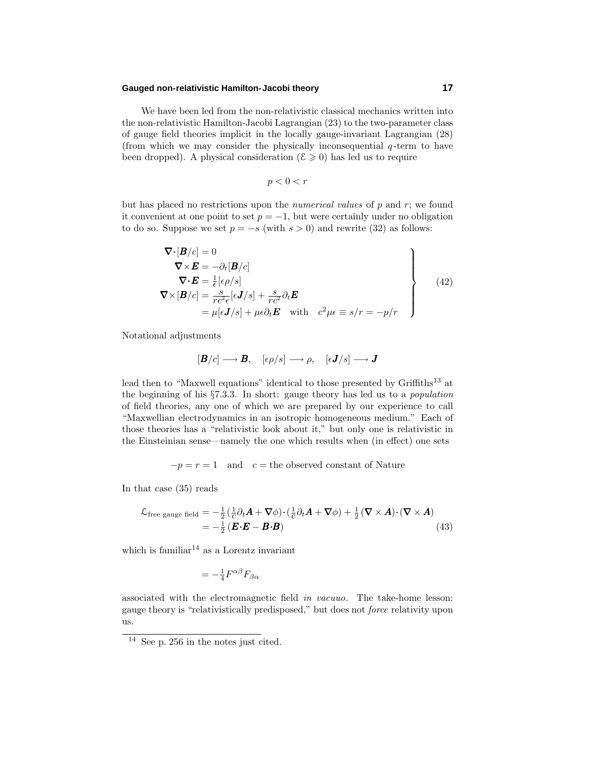### **Gauged non-relativistic Hamilton-Jacobi theory 17**

We have been led from the non-relativistic classical mechanics written into the non-relativistic Hamilton-Jacobi Lagrangian (23) to the two-parameter class of gauge field theories implicit in the locally gauge-invariant Lagrangian (28) (from which we may consider the physically inconsequential *q* -term to have been dropped). A physical consideration ( $\mathcal{E} \geq 0$ ) has led us to require

$$
p < 0 < r
$$

but has placed no restrictions upon the numerical values of *p* and *r*; we found it convenient at one point to set  $p = -1$ , but were certainly under no obligation to do so. Suppose we set  $p = -s$  (with  $s > 0$ ) and rewrite (32) as follows:

$$
\nabla \cdot [\mathbf{B}/c] = 0
$$
\n
$$
\nabla \times \mathbf{E} = -\partial_t [\mathbf{B}/c]
$$
\n
$$
\nabla \cdot \mathbf{E} = \frac{1}{\epsilon} [\epsilon \rho / s]
$$
\n
$$
\nabla \times [\mathbf{B}/c] = \frac{s}{rc^2 \epsilon} [\epsilon \mathbf{J}/s] + \frac{s}{rc^2} \partial_t \mathbf{E}
$$
\n
$$
= \mu [\epsilon \mathbf{J}/s] + \mu \epsilon \partial_t \mathbf{E} \quad \text{with} \quad c^2 \mu \epsilon \equiv s/r = -p/r
$$
\n(42)

Notational adjustments

$$
[\mathbf{B}/c]\longrightarrow\mathbf{B},\quad [\epsilon\rho/s]\longrightarrow\rho,\quad [\epsilon\mathbf{J}/s]\longrightarrow\mathbf{J}
$$

lead then to "Maxwell equations" identical to those presented by Griffiths<sup>13</sup> at the beginning of his §7.3.3. In short: gauge theory has led us to a population of field theories, any one of which we are prepared by our experience to call "Maxwellian electrodynamics in an isotropic homogeneous medium." Each of those theories has a "relativistic lookabout it," but only one is relativistic in the Einsteinian sense—namely the one which results when (in effect) one sets

 $-p = r = 1$  and  $c =$  the observed constant of Nature

In that case (35) reads

$$
\mathcal{L}_{\text{free gauge field}} = -\frac{1}{2} \left( \frac{1}{c} \partial_t \mathbf{A} + \nabla \phi \right) \cdot \left( \frac{1}{c} \partial_t \mathbf{A} + \nabla \phi \right) + \frac{1}{2} \left( \nabla \times \mathbf{A} \right) \cdot \left( \nabla \times \mathbf{A} \right) \n= -\frac{1}{2} \left( \mathbf{E} \cdot \mathbf{E} - \mathbf{B} \cdot \mathbf{B} \right)
$$
\n(43)

which is familiar<sup>14</sup> as a Lorentz invariant

$$
=-\tfrac{1}{4}F^{\alpha\beta}F_{\beta\alpha}
$$

associated with the electromagnetic field in vacuuo. The take-home lesson: gauge theory is "relativistically predisposed," but does not force relativity upon us.

<sup>14</sup> See p. 256 in the notes just cited.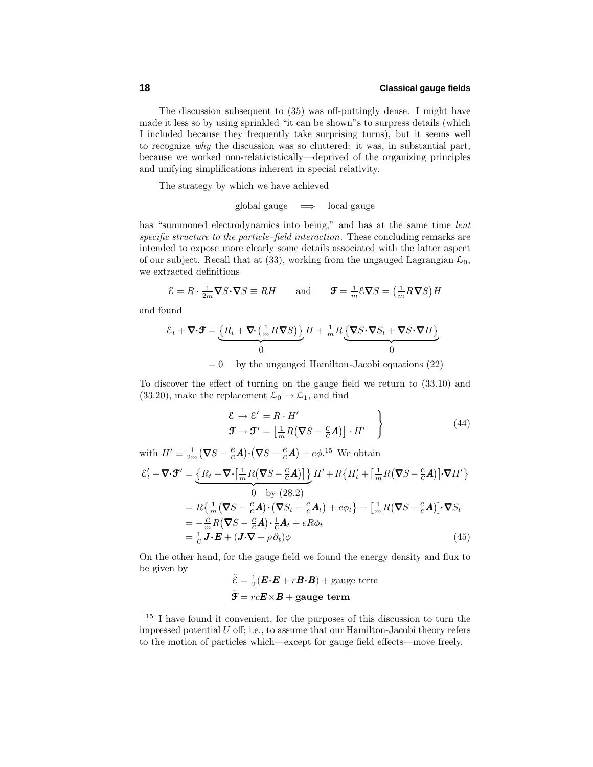The discussion subsequent to (35) was off-puttingly dense. I might have made it less so by using sprinkled "it can be shown"s to surpress details (which I included because they frequently take surprising turns), but it seems well to recognize  $why$  the discussion was so cluttered: it was, in substantial part, because we worked non-relativistically—deprived of the organizing principles and unifying simplifications inherent in special relativity.

The strategy by which we have achieved

global gauge  $\implies$  local gauge

has "summoned electrodynamics into being," and has at the same time *lent* specific structure to the particle–field interaction. These concluding remarks are intended to expose more clearly some details associated with the latter aspect of our subject. Recall that at (33), working from the ungauged Lagrangian  $\mathcal{L}_0$ , we extracted definitions

 $\mathcal{E} = R \cdot \frac{1}{2m} \nabla S \cdot \nabla S \equiv RH$  and  $\mathcal{F} = \frac{1}{m} \mathcal{E} \nabla S = \left(\frac{1}{m} R \nabla S\right) H$ 

and found

$$
\mathcal{E}_t + \nabla \cdot \mathbf{F} = \underbrace{\left\{ R_t + \nabla \cdot \left( \frac{1}{m} R \nabla S \right) \right\}}_{0} H + \frac{1}{m} R \underbrace{\left\{ \nabla S \cdot \nabla S_t + \nabla S \cdot \nabla H \right\}}_{0}
$$

 $= 0$  by the ungauged Hamilton-Jacobi equations (22)

To discover the effect of turning on the gauge field we return to (33.10) and (33.20), make the replacement  $\mathcal{L}_0 \to \mathcal{L}_1$ , and find

$$
\mathcal{E} \to \mathcal{E}' = R \cdot H'
$$
  
\n
$$
\mathcal{F} \to \mathcal{F}' = \left[\frac{1}{m}R(\nabla S - \frac{e}{c}\mathbf{A})\right] \cdot H'
$$
\n(44)

with  $H' \equiv \frac{1}{2m} (\nabla S - \frac{e}{c} \mathbf{A}) \cdot (\nabla S - \frac{e}{c} \mathbf{A}) + e \phi$ .<sup>15</sup> We obtain  $\mathcal{E}'_t + \nabla \cdot \mathbf{F}' = \left\{ R_t + \nabla \cdot \left[ \frac{1}{m} R (\nabla S - \frac{e}{c} \mathbf{A}) \right] \right\}$  $\frac{1}{2}$  by (98.9)  $H' + R\left\{H'_t + \left[\frac{1}{m}R\left(\nabla S - \frac{e}{c}A\right)\right]\cdot\nabla H'\right\}$ 0 by (28.2)  $= R\left\{\frac{1}{m}(\nabla S - \frac{e}{c}\mathbf{A})\cdot(\nabla S_t - \frac{e}{c}\mathbf{A}_t) + e\phi_t\right\} - \left[\frac{1}{m}R(\nabla S - \frac{e}{c}\mathbf{A})\right]\cdot\nabla S_t$  $= -\frac{e}{m}R(\nabla S - \frac{e}{c}A)\cdot \frac{1}{c}A_t + eR\phi_t$  $=\frac{1}{c} \mathbf{J} \cdot \mathbf{E} + (\mathbf{J} \cdot \nabla + \rho \partial_t) \phi$  (45)

On the other hand, for the gauge field we found the energy density and flux to be given by

$$
\tilde{\mathcal{E}} = \frac{1}{2} (\boldsymbol{E} \cdot \boldsymbol{E} + r \boldsymbol{B} \cdot \boldsymbol{B}) + \text{gauge term}
$$
  

$$
\tilde{\mathcal{F}} = rc\boldsymbol{E} \times \boldsymbol{B} + \text{gauge term}
$$

<sup>15</sup> I have found it convenient, for the purposes of this discussion to turn the impressed potential *U* off; i.e., to assume that our Hamilton-Jacobi theory refers to the motion of particles which—except for gauge field effects—move freely.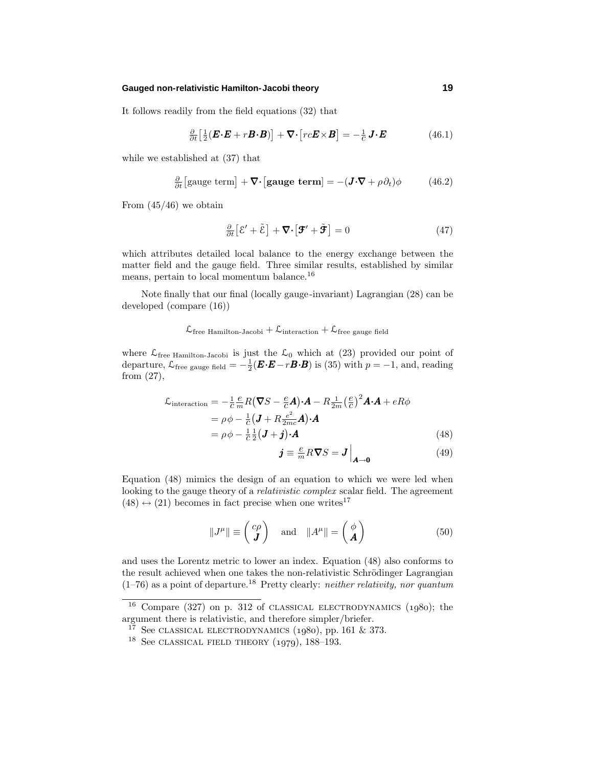### **Gauged non-relativistic Hamilton-Jacobi theory 19**

It follows readily from the field equations (32) that

$$
\frac{\partial}{\partial t} \left[ \frac{1}{2} (\boldsymbol{E} \cdot \boldsymbol{E} + r \boldsymbol{B} \cdot \boldsymbol{B}) \right] + \nabla \cdot \left[ r c \boldsymbol{E} \times \boldsymbol{B} \right] = -\frac{1}{c} \boldsymbol{J} \cdot \boldsymbol{E}
$$
(46.1)

while we established at (37) that

$$
\frac{\partial}{\partial t} \left[ \text{gauge term} \right] + \nabla \cdot \left[ \text{gauge term} \right] = -(\mathbf{J} \cdot \nabla + \rho \partial_t) \phi \tag{46.2}
$$

From  $(45/46)$  we obtain

$$
\frac{\partial}{\partial t} \left[ \mathcal{E}' + \tilde{\mathcal{E}} \right] + \nabla \cdot \left[ \mathbf{\mathcal{F}}' + \tilde{\mathbf{\mathcal{F}}} \right] = 0 \tag{47}
$$

which attributes detailed local balance to the energy exchange between the matter field and the gauge field. Three similar results, established by similar means, pertain to local momentum balance.<sup>16</sup>

Note finally that our final (locally gauge-invariant) Lagrangian (28) can be developed (compare (16))

## $\mathcal{L}_{\text{free Hamilton-Jacobi}} + \mathcal{L}_{\text{interaction}} + \mathcal{L}_{\text{free gauge field}}$

where  $\mathcal{L}_{\text{free Hamilton-Jacobi}}$  is just the  $\mathcal{L}_0$  which at (23) provided our point of departure,  $\mathcal{L}_{\text{free gauge field}} = -\frac{1}{2} (\mathbf{E} \cdot \mathbf{E} - r \mathbf{B} \cdot \mathbf{B})$  is (35) with  $p = -1$ , and, reading from (27),

$$
\mathcal{L}_{\text{interaction}} = -\frac{1}{c} \frac{e}{m} R (\nabla S - \frac{e}{c} \mathbf{A}) \cdot \mathbf{A} - R \frac{1}{2m} \left(\frac{e}{c}\right)^2 \mathbf{A} \cdot \mathbf{A} + eR\phi
$$
\n
$$
= \rho \phi - \frac{1}{c} (\mathbf{J} + R \frac{e^2}{2mc} \mathbf{A}) \cdot \mathbf{A}
$$
\n
$$
= \rho \phi - \frac{1}{c} \frac{1}{2} (\mathbf{J} + \mathbf{j}) \cdot \mathbf{A}
$$
\n(48)

$$
\boldsymbol{j} \equiv \frac{e}{m} R \boldsymbol{\nabla} S = \boldsymbol{J} \Big|_{\boldsymbol{A} \to \boldsymbol{0}} \tag{49}
$$

Equation (48) mimics the design of an equation to which we were led when looking to the gauge theory of a *relativistic complex* scalar field. The agreement  $(48) \leftrightarrow (21)$  becomes in fact precise when one writes<sup>17</sup>

$$
||J^{\mu}|| \equiv \begin{pmatrix} c\rho \\ J \end{pmatrix} \text{ and } ||A^{\mu}|| = \begin{pmatrix} \phi \\ A \end{pmatrix}
$$
 (50)

and uses the Lorentz metric to lower an index. Equation (48) also conforms to the result achieved when one takes the non-relativistic Schrödinger Lagrangian  $(1–76)$  as a point of departure.<sup>18</sup> Pretty clearly: *neither relativity, nor quantum* 

 $16$  Compare (327) on p. 312 of CLASSICAL ELECTRODYNAMICS (1980); the argument there is relativistic, and therefore simpler/briefer.

 $1^7$  See CLASSICAL ELECTRODYNAMICS (1980), pp. 161 & 373.

<sup>&</sup>lt;sup>18</sup> See CLASSICAL FIELD THEORY  $(1979)$ , 188–193.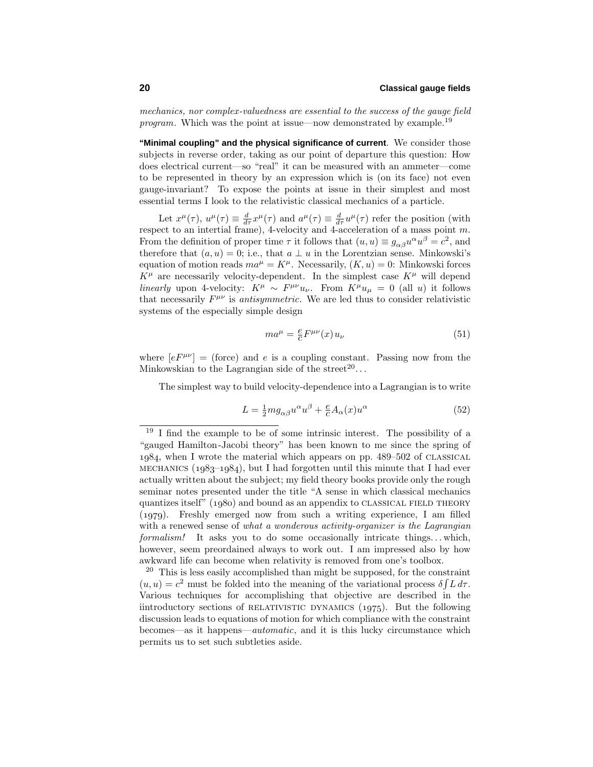mechanics, nor complex-valuedness are essential to the success of the gauge field program. Which was the point at issue—now demonstrated by example.<sup>19</sup>

**"Minimal coupling" and the physical significance of current**. We consider those subjects in reverse order, taking as our point of departure this question: How does electrical current—so "real" it can be measured with an ammeter—come to be represented in theory by an expression which is (on its face) not even gauge-invariant? To expose the points at issue in their simplest and most essential terms I look to the relativistic classical mechanics of a particle.

Let  $x^{\mu}(\tau)$ ,  $u^{\mu}(\tau) \equiv \frac{d}{d\tau}x^{\mu}(\tau)$  and  $a^{\mu}(\tau) \equiv \frac{d}{d\tau}u^{\mu}(\tau)$  refer the position (with respect to an intertial frame), 4-velocity and 4-acceleration of a mass point *m*. From the definition of proper time  $\tau$  it follows that  $(u, u) \equiv g_{\alpha\beta}u^{\alpha}u^{\beta} = c^2$ , and therefore that  $(a, u) = 0$ ; i.e., that  $a \perp u$  in the Lorentzian sense. Minkowski's equation of motion reads  $ma^{\mu} = K^{\mu}$ . Necessarily,  $(K, u) = 0$ : Minkowski forces  $K^{\mu}$  are necessarily velocity-dependent. In the simplest case  $K^{\mu}$  will depend linearly upon 4-velocity:  $K^{\mu} \sim F^{\mu\nu}u_{\nu}$ . From  $K^{\mu}u_{\mu} = 0$  (all *u*) it follows that necessarily  $F^{\mu\nu}$  is *antisymmetric*. We are led thus to consider relativistic systems of the especially simple design

$$
ma^{\mu} = \frac{e}{c} F^{\mu\nu}(x) u_{\nu}
$$
\n(51)

where  $[eF^{\mu\nu}]$  = (force) and *e* is a coupling constant. Passing now from the Minkowskian to the Lagrangian side of the street<sup>20</sup>...

The simplest way to build velocity-dependence into a Lagrangian is to write

$$
L = \frac{1}{2} m g_{\alpha\beta} u^{\alpha} u^{\beta} + \frac{e}{c} A_{\alpha}(x) u^{\alpha}
$$
\n(52)

 $19$  I find the example to be of some intrinsic interest. The possibility of a "gauged Hamilton-Jacobi theory" has been known to me since the spring of 1984, when I wrote the material which appears on pp. 489-502 of CLASSICAL MECHANICS ( $1983-1984$ ), but I had forgotten until this minute that I had ever actually written about the subject; my field theory books provide only the rough seminar notes presented under the title "A sense in which classical mechanics quantizes itself"  $(1980)$  and bound as an appendix to CLASSICAL FIELD THEORY  $(1979)$ . Freshly emerged now from such a writing experience, I am filled with a renewed sense of what a wonderous activity-organizer is the Lagrangian formalism! It asks you to do some occasionally intricate things*...* which, however, seem preordained always to work out. I am impressed also by how awkward life can become when relativity is removed from one's toolbox.

 $20$  This is less easily accomplished than might be supposed, for the constraint  $(u, u) = c^2$  must be folded into the meaning of the variational process  $\delta \int L d\tau$ . Various techniques for accomplishing that objective are described in the iintroductory sections of RELATIVISTIC DYNAMICS  $(1975)$ . But the following discussion leads to equations of motion for which compliance with the constraint becomes—as it happens—automatic, and it is this lucky circumstance which permits us to set such subtleties aside.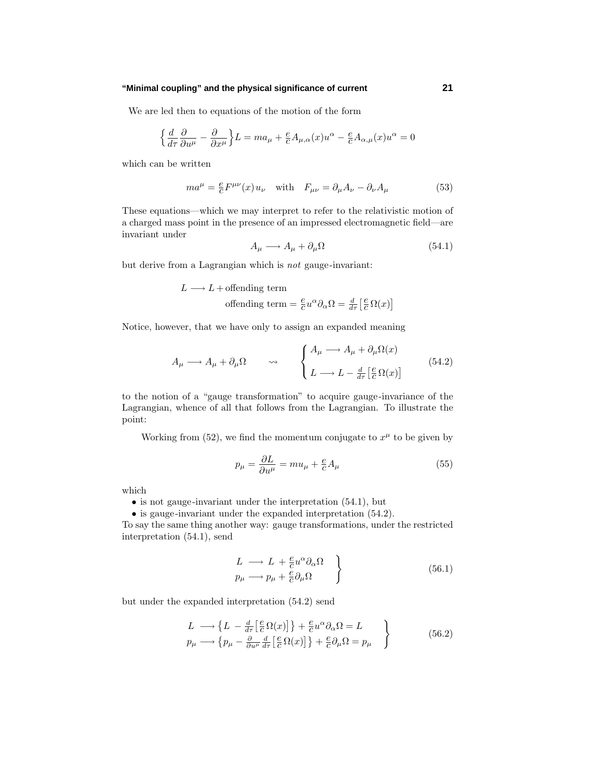### **"Minimal coupling" and the physical significance of current 21**

We are led then to equations of the motion of the form

$$
\Big\{\frac{d}{d\tau}\frac{\partial}{\partial u^\mu}-\frac{\partial}{\partial x^\mu}\Big\}L=ma_\mu+\frac{e}{c}A_{\mu,\alpha}(x)u^\alpha-\frac{e}{c}A_{\alpha,\mu}(x)u^\alpha=0
$$

which can be written

$$
ma^{\mu} = \frac{e}{c}F^{\mu\nu}(x)u_{\nu} \quad \text{with} \quad F_{\mu\nu} = \partial_{\mu}A_{\nu} - \partial_{\nu}A_{\mu} \tag{53}
$$

These equations—which we may interpret to refer to the relativistic motion of a charged mass point in the presence of an impressed electromagnetic field—are invariant under

$$
A_{\mu} \longrightarrow A_{\mu} + \partial_{\mu} \Omega \tag{54.1}
$$

but derive from a Lagrangian which is not gauge-invariant:

$$
L \longrightarrow L + \text{offending term}
$$
  
offending term  $= \frac{e}{c} u^{\alpha} \partial_{\alpha} \Omega = \frac{d}{d\tau} \left[ \frac{e}{c} \Omega(x) \right]$ 

Notice, however, that we have only to assign an expanded meaning

$$
A_{\mu} \longrightarrow A_{\mu} + \partial_{\mu}\Omega \qquad \leadsto \qquad \begin{cases} A_{\mu} \longrightarrow A_{\mu} + \partial_{\mu}\Omega(x) \\ L \longrightarrow L - \frac{d}{d\tau} \left[\frac{e}{c}\Omega(x)\right] \end{cases} \tag{54.2}
$$

to the notion of a "gauge transformation" to acquire gauge-invariance of the Lagrangian, whence of all that follows from the Lagrangian. To illustrate the point:

Working from (52), we find the momentum conjugate to  $x^{\mu}$  to be given by

$$
p_{\mu} = \frac{\partial L}{\partial u^{\mu}} = m u_{\mu} + \frac{e}{c} A_{\mu}
$$
\n(55)

which

 $\bullet$  is not gauge-invariant under the interpretation  $(54.1)$ , but

• is gauge-invariant under the expanded interpretation  $(54.2)$ .

To say the same thing another way: gauge transformations, under the restricted interpretation (54.1), send

$$
\left.\begin{array}{c}\nL \longrightarrow L + \frac{e}{c} u^{\alpha} \partial_{\alpha} \Omega \\
p_{\mu} \longrightarrow p_{\mu} + \frac{e}{c} \partial_{\mu} \Omega\n\end{array}\right\} \tag{56.1}
$$

but under the expanded interpretation (54.2) send

$$
L \longrightarrow \left\{ L - \frac{d}{d\tau} \left[ \frac{e}{c} \Omega(x) \right] \right\} + \frac{e}{c} u^{\alpha} \partial_{\alpha} \Omega = L
$$
  
\n
$$
p_{\mu} \longrightarrow \left\{ p_{\mu} - \frac{\partial}{\partial u^{\mu}} \frac{d}{d\tau} \left[ \frac{e}{c} \Omega(x) \right] \right\} + \frac{e}{c} \partial_{\mu} \Omega = p_{\mu}
$$
 (56.2)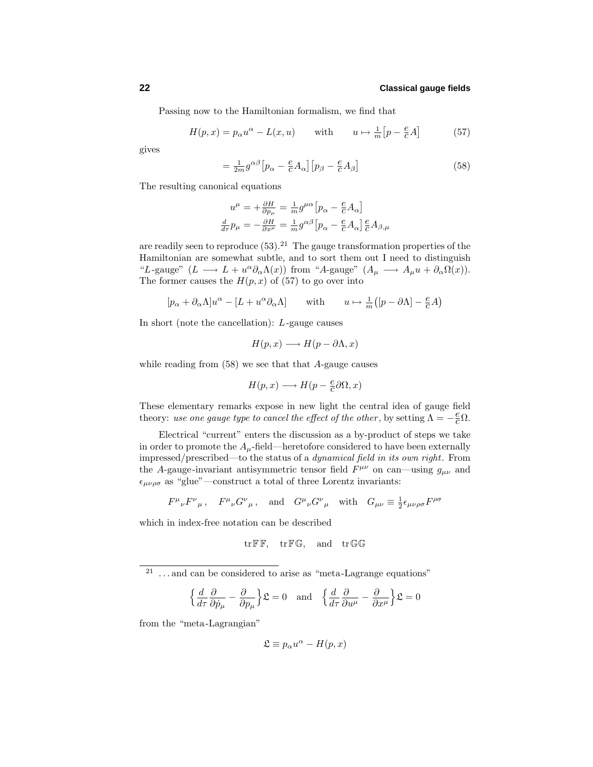Passing now to the Hamiltonian formalism, we find that

$$
H(p,x) = p_{\alpha}u^{\alpha} - L(x,u) \quad \text{with} \quad u \mapsto \frac{1}{m}[p - \frac{e}{c}A] \quad (57)
$$

gives

$$
=\frac{1}{2m}g^{\alpha\beta}\left[p_{\alpha}-\frac{e}{c}A_{\alpha}\right]\left[p_{\beta}-\frac{e}{c}A_{\beta}\right]
$$
\n(58)

The resulting canonical equations

$$
u^{\mu} = +\frac{\partial H}{\partial p_{\mu}} = \frac{1}{m}g^{\mu\alpha} \left[ p_{\alpha} - \frac{e}{c}A_{\alpha} \right]
$$

$$
\frac{d}{d\tau}p_{\mu} = -\frac{\partial H}{\partial x^{\mu}} = \frac{1}{m}g^{\alpha\beta} \left[ p_{\alpha} - \frac{e}{c}A_{\alpha} \right] \frac{e}{c}A_{\beta,\mu}
$$

are readily seen to reproduce  $(53).^{21}$  The gauge transformation properties of the Hamiltonian are somewhat subtle, and to sort them out I need to distinguish "*L*-gauge" ( $L \longrightarrow L + u^{\alpha} \partial_{\alpha} \Lambda(x)$ ) from "*A*-gauge" ( $A_{\mu} \longrightarrow A_{\mu} u + \partial_{\alpha} \Omega(x)$ ). The former causes the  $H(p, x)$  of (57) to go over into

$$
[p_\alpha + \partial_\alpha \Lambda]u^\alpha - [L + u^\alpha \partial_\alpha \Lambda] \qquad \text{with} \qquad u \mapsto \frac{1}{m}([p - \partial \Lambda] - \frac{e}{c}A)
$$

In short (note the cancellation): *L*-gauge causes

$$
H(p,x) \longrightarrow H(p-\partial \Lambda,x)
$$

while reading from (58) we see that that *A*-gauge causes

$$
H(p,x) \longrightarrow H(p-\tfrac{e}{c}\partial\Omega,x)
$$

These elementary remarks expose in new light the central idea of gauge field theory: use one gauge type to cancel the effect of the other, by setting  $\Lambda = -\frac{e}{c}\Omega$ .

Electrical "current" enters the discussion as a by-product of steps we take in order to promote the  $A_\mu$ -field—heretofore considered to have been externally impressed/prescribed—to the status of a dynamical field in its own right. From the *A*-gauge-invariant antisymmetric tensor field  $F^{\mu\nu}$  on can—using  $g_{\mu\nu}$  and  $\epsilon_{\mu\nu\rho\sigma}$  as "glue"—construct a total of three Lorentz invariants:

$$
F^{\mu}{}_{\nu}F^{\nu}{}_{\mu}
$$
,  $F^{\mu}{}_{\nu}G^{\nu}{}_{\mu}$ , and  $G^{\mu}{}_{\nu}G^{\nu}{}_{\mu}$  with  $G_{\mu\nu} \equiv \frac{1}{2}\epsilon_{\mu\nu\rho\sigma}F^{\rho\sigma}$ 

which in index-free notation can be described

$$
\operatorname{tr} \mathbb{F} \mathbb{F}, \quad \operatorname{tr} \mathbb{F} \mathbb{G}, \quad \text{and} \quad \operatorname{tr} \mathbb{G} \mathbb{G}
$$

<sup>21</sup> ... and can be considered to arise as "meta-Lagrange equations"

$$
\left\{\frac{d}{d\tau}\frac{\partial}{\partial \dot{p}_{\mu}} - \frac{\partial}{\partial p_{\mu}}\right\}\mathfrak{L} = 0 \text{ and } \left\{\frac{d}{d\tau}\frac{\partial}{\partial u^{\mu}} - \frac{\partial}{\partial x^{\mu}}\right\}\mathfrak{L} = 0
$$

from the "meta-Lagrangian"

$$
\mathfrak{L} \equiv p_{\alpha}u^{\alpha} - H(p, x)
$$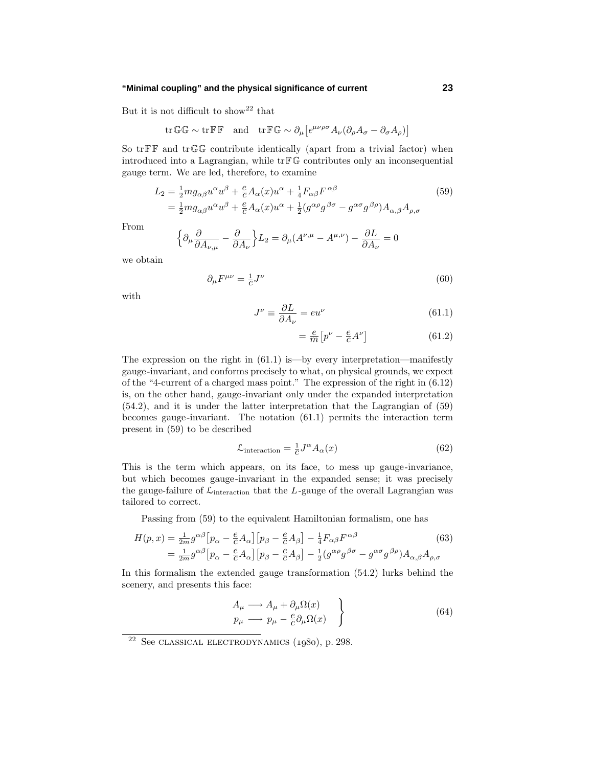### **"Minimal coupling" and the physical significance of current 23**

But it is not difficult to show<sup>22</sup> that

$$
\mathrm{tr}\,\mathbb{G}\,\mathbb{G} \sim \mathrm{tr}\,\mathbb{F}\,\mathbb{F} \quad \text{and} \quad \mathrm{tr}\,\mathbb{F}\,\mathbb{G} \sim \partial_\mu \big[ \epsilon^{\mu\nu\rho\sigma} A_\nu (\partial_\rho A_\sigma - \partial_\sigma A_\rho) \big]
$$

So  $tr \mathbb{F} \mathbb{F}$  and  $tr \mathbb{G} \mathbb{G}$  contribute identically (apart from a trivial factor) when introduced into a Lagrangian, while trFG contributes only an inconsequential gauge term. We are led, therefore, to examine

$$
L_2 = \frac{1}{2} m g_{\alpha\beta} u^{\alpha} u^{\beta} + \frac{e}{c} A_{\alpha}(x) u^{\alpha} + \frac{1}{4} F_{\alpha\beta} F^{\alpha\beta}
$$
  
= 
$$
\frac{1}{2} m g_{\alpha\beta} u^{\alpha} u^{\beta} + \frac{e}{c} A_{\alpha}(x) u^{\alpha} + \frac{1}{2} (g^{\alpha\rho} g^{\beta\sigma} - g^{\alpha\sigma} g^{\beta\rho}) A_{\alpha,\beta} A_{\rho,\sigma}
$$
(59)

From

$$
\left\{\partial_{\mu}\frac{\partial}{\partial A_{\nu,\mu}} - \frac{\partial}{\partial A_{\nu}}\right\} L_{2} = \partial_{\mu}(A^{\nu,\mu} - A^{\mu,\nu}) - \frac{\partial L}{\partial A_{\nu}} = 0
$$

we obtain

$$
\partial_{\mu}F^{\mu\nu} = \frac{1}{c}J^{\nu} \tag{60}
$$

with

$$
J^{\nu} \equiv \frac{\partial L}{\partial A_{\nu}} = eu^{\nu} \tag{61.1}
$$

$$
= \frac{e}{m} \left[ p^{\nu} - \frac{e}{c} A^{\nu} \right] \tag{61.2}
$$

The expression on the right in  $(61.1)$  is—by every interpretation—manifestly gauge-invariant, and conforms precisely to what, on physical grounds, we expect of the "4-current of a charged mass point." The expression of the right in (6.12) is, on the other hand, gauge-invariant only under the expanded interpretation (54.2), and it is under the latter interpretation that the Lagrangian of (59) becomes gauge-invariant. The notation (61.1) permits the interaction term present in (59) to be described

$$
\mathcal{L}_{\text{interaction}} = \frac{1}{c} J^{\alpha} A_{\alpha}(x) \tag{62}
$$

This is the term which appears, on its face, to mess up gauge-invariance, but which becomes gauge-invariant in the expanded sense; it was precisely the gauge-failure of  $\mathcal{L}_{\text{interaction}}$  that the *L*-gauge of the overall Lagrangian was tailored to correct.

Passing from (59) to the equivalent Hamiltonian formalism, one has

$$
H(p,x) = \frac{1}{2m} g^{\alpha\beta} \left[ p_{\alpha} - \frac{e}{c} A_{\alpha} \right] \left[ p_{\beta} - \frac{e}{c} A_{\beta} \right] - \frac{1}{4} F_{\alpha\beta} F^{\alpha\beta} \tag{63}
$$

$$
= \frac{1}{2m} g^{\alpha\beta} \left[ p_{\alpha} - \frac{e}{c} A_{\alpha} \right] \left[ p_{\beta} - \frac{e}{c} A_{\beta} \right] - \frac{1}{2} (g^{\alpha\rho} g^{\beta\sigma} - g^{\alpha\sigma} g^{\beta\rho}) A_{\alpha,\beta} A_{\rho,\sigma}
$$

In this formalism the extended gauge transformation (54.2) lurks behind the scenery, and presents this face:

$$
\begin{aligned}\nA_{\mu} &\longrightarrow A_{\mu} + \partial_{\mu}\Omega(x) \\
p_{\mu} &\longrightarrow p_{\mu} - \frac{e}{c}\partial_{\mu}\Omega(x)\n\end{aligned}\n\bigg\} \tag{64}
$$

 $22$  See CLASSICAL ELECTRODYNAMICS  $(1980)$ , p. 298.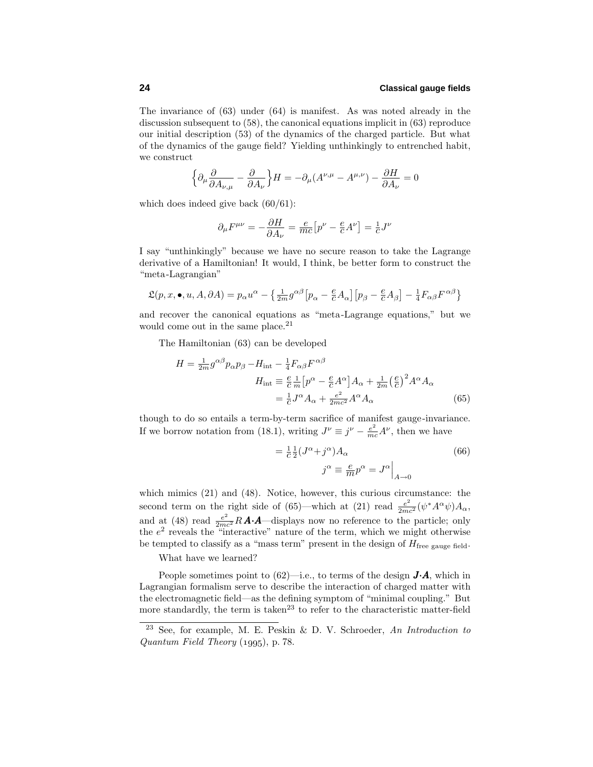The invariance of (63) under (64) is manifest. As was noted already in the discussion subsequent to (58), the canonical equations implicit in (63) reproduce our initial description (53) of the dynamics of the charged particle. But what of the dynamics of the gauge field? Yielding unthinkingly to entrenched habit, we construct

$$
\Big\{\partial_\mu \frac{\partial}{\partial A_{\nu,\mu}}-\frac{\partial}{\partial A_\nu}\Big\}H=-\partial_\mu (A^{\nu,\mu}-A^{\mu,\nu})-\frac{\partial H}{\partial A_\nu}=0
$$

which does indeed give back  $(60/61)$ :

$$
\partial_{\mu}F^{\mu\nu} = -\frac{\partial H}{\partial A_{\nu}} = \frac{e}{mc} \left[ p^{\nu} - \frac{e}{c}A^{\nu} \right] = \frac{1}{c}J^{\nu}
$$

I say "unthinkingly" because we have no secure reason to take the Lagrange derivative of a Hamiltonian! It would, I think, be better form to construct the "meta-Lagrangian"

$$
\mathfrak{L}(p, x, \bullet, u, A, \partial A) = p_{\alpha}u^{\alpha} - \left\{ \frac{1}{2m}g^{\alpha\beta} \left[ p_{\alpha} - \frac{e}{c}A_{\alpha} \right] \left[ p_{\beta} - \frac{e}{c}A_{\beta} \right] - \frac{1}{4}F_{\alpha\beta}F^{\alpha\beta} \right\}
$$

and recover the canonical equations as "meta-Lagrange equations," but we would come out in the same place.<sup>21</sup>

The Hamiltonian (63) can be developed

$$
H = \frac{1}{2m} g^{\alpha\beta} p_{\alpha} p_{\beta} - H_{int} - \frac{1}{4} F_{\alpha\beta} F^{\alpha\beta}
$$
  
\n
$$
H_{int} \equiv \frac{e}{c} \frac{1}{m} \left[ p^{\alpha} - \frac{e}{c} A^{\alpha} \right] A_{\alpha} + \frac{1}{2m} \left( \frac{e}{c} \right)^2 A^{\alpha} A_{\alpha}
$$
  
\n
$$
= \frac{1}{c} J^{\alpha} A_{\alpha} + \frac{e^2}{2mc^2} A^{\alpha} A_{\alpha}
$$
(65)

though to do so entails a term-by-term sacrifice of manifest gauge-invariance. If we borrow notation from (18.1), writing  $J^{\nu} \equiv j^{\nu} - \frac{e^2}{mc} A^{\nu}$ , then we have

$$
= \frac{1}{c} \frac{1}{2} (J^{\alpha} + j^{\alpha}) A_{\alpha}
$$

$$
j^{\alpha} \equiv \frac{e}{m} p^{\alpha} = J^{\alpha} \Big|_{A \to 0}
$$
(66)

which mimics  $(21)$  and  $(48)$ . Notice, however, this curious circumstance: the second term on the right side of (65)—which at (21) read  $\frac{e^2}{2mc^2}(\psi^*A^{\alpha}\psi)A_{\alpha}$ , and at (48) read  $\frac{e^2}{2mc^2}R\mathbf{A}\cdot\mathbf{A}$ —displays now no reference to the particle; only the *e*<sup>2</sup> reveals the "interactive" nature of the term, which we might otherwise be tempted to classify as a "mass term" present in the design of  $H_{\text{free gauge field}}$ .

What have we learned?

People sometimes point to  $(62)$ —i.e., to terms of the design  $\vec{J} \cdot \vec{A}$ , which in Lagrangian formalism serve to describe the interaction of charged matter with the electromagnetic field—as the defining symptom of "minimal coupling." But more standardly, the term is taken<sup>23</sup> to refer to the characteristic matter-field

<sup>&</sup>lt;sup>23</sup> See, for example, M. E. Peskin & D. V. Schroeder, An Introduction to Quantum Field Theory  $(1995)$ , p. 78.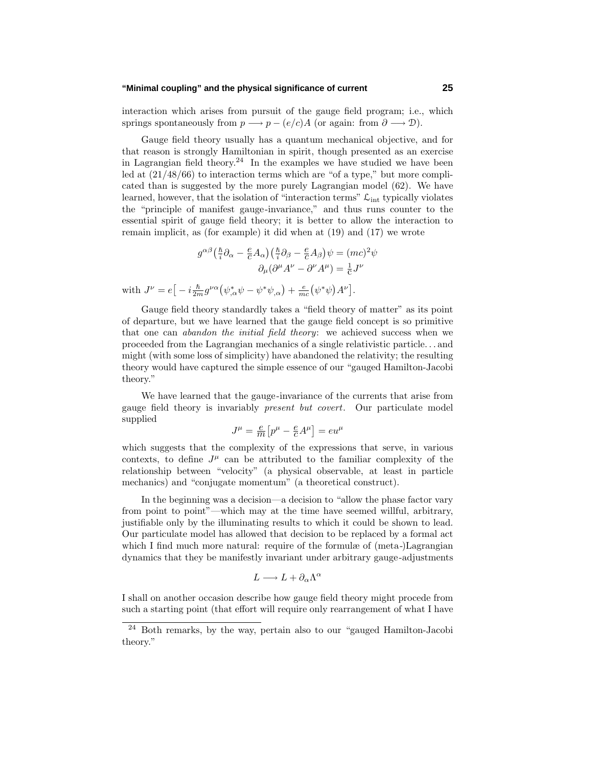### **"Minimal coupling" and the physical significance of current 25**

interaction which arises from pursuit of the gauge field program; i.e., which springs spontaneously from  $p \rightarrow p - (e/c)A$  (or again: from  $\partial \rightarrow \mathcal{D}$ ).

Gauge field theory usually has a quantum mechanical objective, and for that reason is strongly Hamiltonian in spirit, though presented as an exercise in Lagrangian field theory.<sup>24</sup> In the examples we have studied we have been led at (21/48/66) to interaction terms which are "of a type," but more complicated than is suggested by the more purely Lagrangian model (62). We have learned, however, that the isolation of "interaction terms"  $\mathcal{L}_{int}$  typically violates the "principle of manifest gauge-invariance," and thus runs counter to the essential spirit of gauge field theory; it is better to allow the interaction to remain implicit, as (for example) it did when at (19) and (17) we wrote

$$
g^{\alpha\beta} \left( \frac{\hbar}{i} \partial_{\alpha} - \frac{e}{c} A_{\alpha} \right) \left( \frac{\hbar}{i} \partial_{\beta} - \frac{e}{c} A_{\beta} \right) \psi = (mc)^2 \psi
$$

$$
\partial_{\mu} (\partial^{\mu} A^{\nu} - \partial^{\nu} A^{\mu}) = \frac{1}{c} J^{\nu}
$$
with  $J^{\nu} = e \left[ -i \frac{\hbar}{2m} g^{\nu\alpha} \left( \psi_{,\alpha}^* \psi - \psi^* \psi_{,\alpha} \right) + \frac{e}{mc} \left( \psi^* \psi \right) A^{\nu} \right].$ 

Gauge field theory standardly takes a "field theory of matter" as its point of departure, but we have learned that the gauge field concept is so primitive that one can *abandon the initial field theory*: we achieved success when we proceeded from the Lagrangian mechanics of a single relativistic particle*...* and might (with some loss of simplicity) have abandoned the relativity; the resulting theory would have captured the simple essence of our "gauged Hamilton-Jacobi theory."

We have learned that the gauge-invariance of the currents that arise from gauge field theory is invariably present but covert. Our particulate model supplied

$$
J^{\mu} = \frac{e}{m} \left[ p^{\mu} - \frac{e}{c} A^{\mu} \right] = e u^{\mu}
$$

which suggests that the complexity of the expressions that serve, in various contexts, to define  $J^{\mu}$  can be attributed to the familiar complexity of the relationship between "velocity" (a physical observable, at least in particle mechanics) and "conjugate momentum" (a theoretical construct).

In the beginning was a decision—a decision to "allow the phase factor vary from point to point"—which may at the time have seemed willful, arbitrary, justifiable only by the illuminating results to which it could be shown to lead. Our particulate model has allowed that decision to be replaced by a formal act which I find much more natural: require of the formulæ of (meta-)Lagrangian dynamics that they be manifestly invariant under arbitrary gauge-adjustments

$$
L \longrightarrow L + \partial_{\alpha} \Lambda^{\alpha}
$$

I shall on another occasion describe how gauge field theory might procede from such a starting point (that effort will require only rearrangement of what I have

<sup>24</sup> Both remarks, by the way, pertain also to our "gauged Hamilton-Jacobi theory."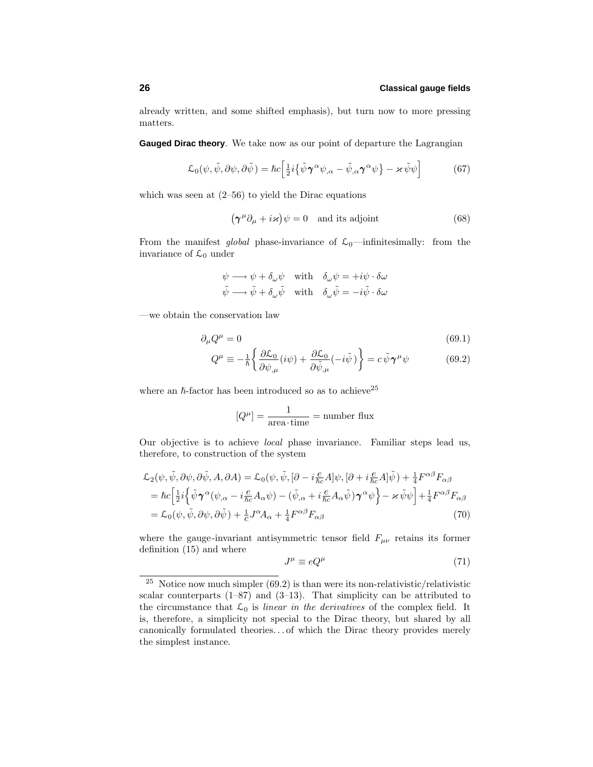already written, and some shifted emphasis), but turn now to more pressing matters.

**Gauged Dirac theory**. We take now as our point of departure the Lagrangian

$$
\mathcal{L}_0(\psi, \tilde{\psi}, \partial \psi, \partial \tilde{\psi}) = \hbar c \Big[ \frac{1}{2} i \big\{ \tilde{\psi} \gamma^\alpha \psi_{,\alpha} - \tilde{\psi}_{,\alpha} \gamma^\alpha \psi \big\} - \varkappa \tilde{\psi} \psi \Big] \tag{67}
$$

which was seen at  $(2-56)$  to yield the Dirac equations

$$
(\gamma^{\mu}\partial_{\mu} + i\varkappa)\psi = 0 \text{ and its adjoint} \qquad (68)
$$

From the manifest global phase-invariance of  $\mathcal{L}_0$ —infinitesimally: from the invariance of  $\mathcal{L}_0$  under

$$
\psi \longrightarrow \psi + \delta_{\omega}\psi \quad \text{with} \quad \delta_{\omega}\psi = +i\psi \cdot \delta\omega
$$
  

$$
\tilde{\psi} \longrightarrow \tilde{\psi} + \delta_{\omega}\tilde{\psi} \quad \text{with} \quad \delta_{\omega}\tilde{\psi} = -i\tilde{\psi} \cdot \delta\omega
$$

—we obtain the conservation law

$$
\partial_{\mu}Q^{\mu} = 0 \tag{69.1}
$$

$$
Q^{\mu} \equiv -\frac{1}{\hbar} \left\{ \frac{\partial \mathcal{L}_0}{\partial \psi_{,\mu}} (i\psi) + \frac{\partial \mathcal{L}_0}{\partial \tilde{\psi}_{,\mu}} (-i\tilde{\psi}) \right\} = c \tilde{\psi} \gamma^{\mu} \psi \tag{69.2}
$$

where an  $h$ -factor has been introduced so as to achieve<sup>25</sup>

$$
[Q^{\mu}] = \frac{1}{\text{area-time}} = \text{number flux}
$$

Our objective is to achieve local phase invariance. Familiar steps lead us, therefore, to construction of the system

$$
\mathcal{L}_{2}(\psi, \tilde{\psi}, \partial \psi, \partial \tilde{\psi}, A, \partial A) = \mathcal{L}_{0}(\psi, \tilde{\psi}, [\partial - i\frac{e}{\hbar c}A]\psi, [\partial + i\frac{e}{\hbar c}A]\tilde{\psi}) + \frac{1}{4}F^{\alpha\beta}F_{\alpha\beta}
$$
\n
$$
= \hbar c \left[ \frac{1}{2}i \left\{ \tilde{\psi}\gamma^{\alpha}(\psi_{,\alpha} - i\frac{e}{\hbar c}A_{\alpha}\psi) - (\tilde{\psi}_{,\alpha} + i\frac{e}{\hbar c}A_{\alpha}\tilde{\psi})\gamma^{\alpha}\psi \right\} - \varkappa \tilde{\psi}\psi \right] + \frac{1}{4}F^{\alpha\beta}F_{\alpha\beta}
$$
\n
$$
= \mathcal{L}_{0}(\psi, \tilde{\psi}, \partial\psi, \partial\tilde{\psi}) + \frac{1}{c}J^{\alpha}A_{\alpha} + \frac{1}{4}F^{\alpha\beta}F_{\alpha\beta}
$$
\n(70)

where the gauge-invariant antisymmetric tensor field  $F_{\mu\nu}$  retains its former definition (15) and where

$$
J^{\mu} \equiv e Q^{\mu} \tag{71}
$$

<sup>&</sup>lt;sup>25</sup> Notice now much simpler  $(69.2)$  is than were its non-relativistic/relativistic scalar counterparts  $(1-87)$  and  $(3-13)$ . That simplicity can be attributed to the circumstance that  $\mathcal{L}_0$  is linear in the derivatives of the complex field. It is, therefore, a simplicity not special to the Dirac theory, but shared by all canonically formulated theories*...* of which the Dirac theory provides merely the simplest instance.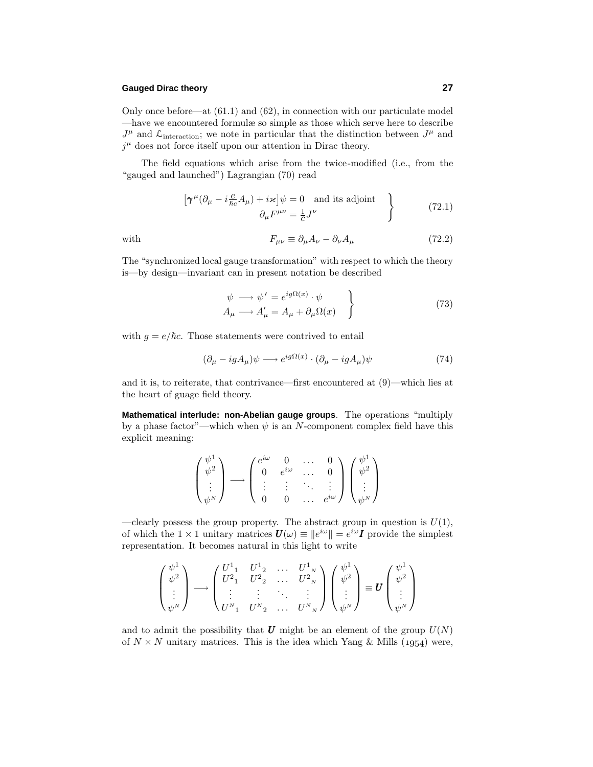### **Gauged Dirac theory 27**

Only once before—at (61.1) and (62), in connection with our particulate model —have we encountered formulæ so simple as those which serve here to describe  $J^{\mu}$  and  $\mathcal{L}_{\text{interaction}}$ ; we note in particular that the distinction between  $J^{\mu}$  and  $j^{\mu}$  does not force itself upon our attention in Dirac theory.

The field equations which arise from the twice-modified (i.e., from the "gauged and launched") Lagrangian (70) read

$$
\left[\boldsymbol{\gamma}^{\mu}(\partial_{\mu} - i\frac{e}{\hbar c}A_{\mu}) + i\varkappa\right]\psi = 0 \text{ and its adjoint}
$$
\n
$$
\partial_{\mu}F^{\mu\nu} = \frac{1}{c}J^{\nu}
$$
\n(72.1)

with 
$$
F_{\mu\nu} \equiv \partial_{\mu}A_{\nu} - \partial_{\nu}A_{\mu} \tag{72.2}
$$

The "synchronized local gauge transformation" with respect to which the theory is—by design—invariant can in present notation be described

$$
\begin{aligned}\n\psi \longrightarrow \psi' &= e^{ig\Omega(x)} \cdot \psi \\
A_{\mu} \longrightarrow A_{\mu}' &= A_{\mu} + \partial_{\mu}\Omega(x)\n\end{aligned} \tag{73}
$$

with  $g = e/\hbar c$ . Those statements were contrived to entail

$$
(\partial_{\mu} - igA_{\mu})\psi \longrightarrow e^{ig\Omega(x)} \cdot (\partial_{\mu} - igA_{\mu})\psi \tag{74}
$$

and it is, to reiterate, that contrivance—first encountered at (9)—which lies at the heart of guage field theory.

**Mathematical interlude: non-Abelian gauge groups**. The operations "multiply by a phase factor"—which when  $\psi$  is an *N*-component complex field have this explicit meaning:

$$
\begin{pmatrix} \psi^1 \\ \psi^2 \\ \vdots \\ \psi^N \end{pmatrix} \longrightarrow \begin{pmatrix} e^{i\omega} & 0 & \dots & 0 \\ 0 & e^{i\omega} & \dots & 0 \\ \vdots & \vdots & \ddots & \vdots \\ 0 & 0 & \dots & e^{i\omega} \end{pmatrix} \begin{pmatrix} \psi^1 \\ \psi^2 \\ \vdots \\ \psi^N \end{pmatrix}
$$

—clearly possess the group property. The abstract group in question is  $U(1)$ , of which the  $1 \times 1$  unitary matrices  $\mathbf{U}(\omega) \equiv \|e^{i\omega}\| = e^{i\omega} \mathbf{I}$  provide the simplest representation. It becomes natural in this light to write

$$
\begin{pmatrix} \psi^1 \\ \psi^2 \\ \vdots \\ \psi^N \end{pmatrix} \longrightarrow \begin{pmatrix} U^1{}_1 & U^1{}_2 & \dots & U^1{}_N \\ U^2{}_1 & U^2{}_2 & \dots & U^2{}_N \\ \vdots & \vdots & \ddots & \vdots \\ U^N{}_1 & U^N{}_2 & \dots & U^N{}_N \end{pmatrix} \begin{pmatrix} \psi^1 \\ \psi^2 \\ \vdots \\ \psi^N \end{pmatrix} \equiv \mathbf{U} \begin{pmatrix} \psi^1 \\ \psi^2 \\ \vdots \\ \psi^N \end{pmatrix}
$$

and to admit the possibility that  $\boldsymbol{U}$  might be an element of the group  $U(N)$ of  $N \times N$  unitary matrices. This is the idea which Yang & Mills (1954) were,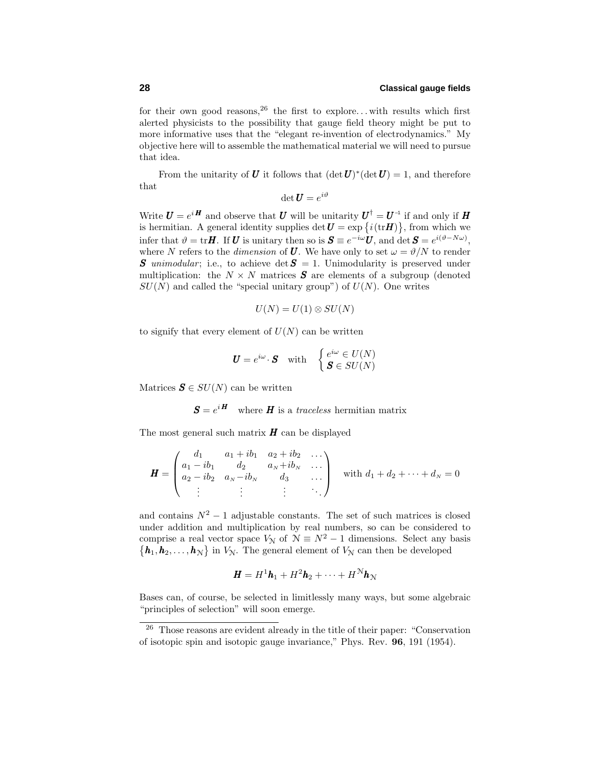for their own good reasons,  $2^6$  the first to explore... with results which first alerted physicists to the possibility that gauge field theory might be put to more informative uses that the "elegant re-invention of electrodynamics." My objective here will to assemble the mathematical material we will need to pursue that idea.

From the unitarity of *U* it follows that  $(\det U)^*(\det U) = 1$ , and therefore that

$$
\det \boldsymbol{U}=e^{i\vartheta}
$$

Write  $U = e^{iH}$  and observe that *U* will be unitarity  $U^{\dagger} = U^{-1}$  if and only if *H* is hermitian. A general identity supplies  $\det U = \exp\{i(\text{tr}H)\}\text{, from which we}$ infer that  $\vartheta = \text{tr}\mathbf{H}$ . If *U* is unitary then so is  $\mathbf{S} \equiv e^{-i\omega}\mathbf{U}$ , and  $\det \mathbf{S} = e^{i(\vartheta - N\omega)}$ , where *N* refers to the *dimension* of *U*. We have only to set  $\omega = \vartheta/N$  to render *S* unimodular; i.e., to achieve det  $S = 1$ . Unimodularity is preserved under multiplication: the  $N \times N$  matrices **S** are elements of a subgroup (denoted  $SU(N)$  and called the "special unitary group") of  $U(N)$ . One writes

$$
U(N) = U(1) \otimes SU(N)
$$

to signify that every element of  $U(N)$  can be written

$$
\boldsymbol{U} = e^{i\omega} \cdot \boldsymbol{S} \quad \text{with} \quad \begin{cases} e^{i\omega} \in U(N) \\ \boldsymbol{S} \in SU(N) \end{cases}
$$

Matrices  $\mathbf{S} \in SU(N)$  can be written

 $S = e^{iH}$  where *H* is a *traceless* hermitian matrix

The most general such matrix  $H$  can be displayed

$$
\boldsymbol{H} = \begin{pmatrix} d_1 & a_1 + ib_1 & a_2 + ib_2 & \cdots \\ a_1 - ib_1 & d_2 & a_N + ib_N & \cdots \\ a_2 - ib_2 & a_N - ib_N & d_3 & \cdots \\ \vdots & \vdots & \vdots & \ddots \end{pmatrix} \text{ with } d_1 + d_2 + \cdots + d_N = 0
$$

and contains  $N^2 - 1$  adjustable constants. The set of such matrices is closed under addition and multiplication by real numbers, so can be considered to comprise a real vector space  $V_N$  of  $N \equiv N^2 - 1$  dimensions. Select any basis  $\{\boldsymbol{h}_1, \boldsymbol{h}_2, \ldots, \boldsymbol{h}_N\}$  in  $V_N$ . The general element of  $V_N$  can then be developed

$$
\boldsymbol{H} = H^1 \boldsymbol{h}_1 + H^2 \boldsymbol{h}_2 + \cdots + H^N \boldsymbol{h}_N
$$

Bases can, of course, be selected in limitlessly many ways, but some algebraic "principles of selection" will soon emerge.

<sup>26</sup> Those reasons are evident already in the title of their paper: "Conservation of isotopic spin and isotopic gauge invariance," Phys. Rev. **96**, 191 (1954).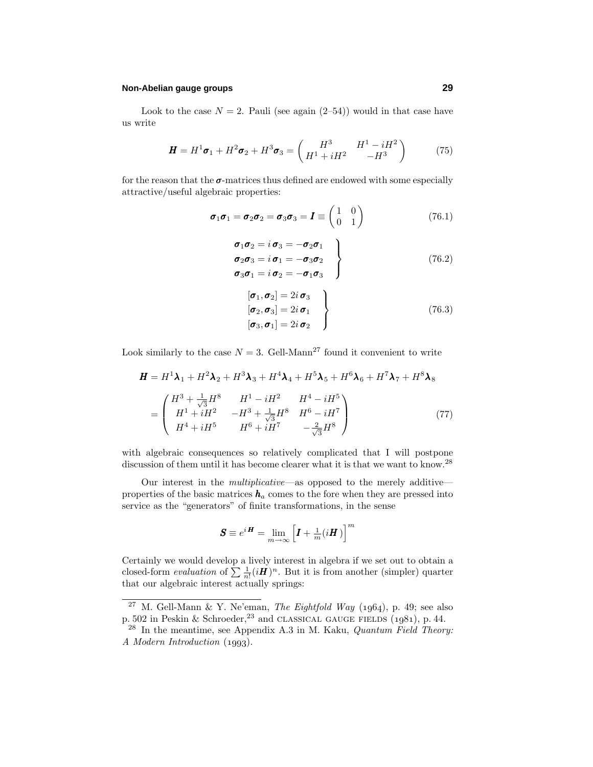### **Non-Abelian gauge groups 29**

Look to the case  $N = 2$ . Pauli (see again  $(2-54)$ ) would in that case have us write

$$
\mathbf{H} = H^1 \sigma_1 + H^2 \sigma_2 + H^3 \sigma_3 = \begin{pmatrix} H^3 & H^1 - iH^2 \\ H^1 + iH^2 & -H^3 \end{pmatrix}
$$
 (75)

for the reason that the *σ*-matrices thus defined are endowed with some especially attractive/useful algebraic properties:

$$
\boldsymbol{\sigma}_1 \boldsymbol{\sigma}_1 = \boldsymbol{\sigma}_2 \boldsymbol{\sigma}_2 = \boldsymbol{\sigma}_3 \boldsymbol{\sigma}_3 = \boldsymbol{I} \equiv \begin{pmatrix} 1 & 0 \\ 0 & 1 \end{pmatrix} \tag{76.1}
$$

$$
\begin{aligned}\n\sigma_1 \sigma_2 &= i \sigma_3 = -\sigma_2 \sigma_1 \\
\sigma_2 \sigma_3 &= i \sigma_1 = -\sigma_3 \sigma_2 \\
\sigma_3 \sigma_1 &= i \sigma_2 = -\sigma_1 \sigma_3\n\end{aligned}\n\right\} \tag{76.2}
$$

$$
\begin{aligned}\n[\boldsymbol{\sigma}_1, \boldsymbol{\sigma}_2] &= 2i \, \boldsymbol{\sigma}_3 \\
[\boldsymbol{\sigma}_2, \boldsymbol{\sigma}_3] &= 2i \, \boldsymbol{\sigma}_1 \\
[\boldsymbol{\sigma}_3, \boldsymbol{\sigma}_1] &= 2i \, \boldsymbol{\sigma}_2\n\end{aligned}\n\right\} \tag{76.3}
$$

Look similarly to the case  $N = 3$ . Gell-Mann<sup>27</sup> found it convenient to write

$$
\mathbf{H} = H^{1}\mathbf{\lambda}_{1} + H^{2}\mathbf{\lambda}_{2} + H^{3}\mathbf{\lambda}_{3} + H^{4}\mathbf{\lambda}_{4} + H^{5}\mathbf{\lambda}_{5} + H^{6}\mathbf{\lambda}_{6} + H^{7}\mathbf{\lambda}_{7} + H^{8}\mathbf{\lambda}_{8}
$$

$$
= \begin{pmatrix} H^{3} + \frac{1}{\sqrt{3}}H^{8} & H^{1} - iH^{2} & H^{4} - iH^{5} \\ H^{1} + iH^{2} & -H^{3} + \frac{1}{\sqrt{3}}H^{8} & H^{6} - iH^{7} \\ H^{4} + iH^{5} & H^{6} + iH^{7} & -\frac{2}{\sqrt{3}}H^{8} \end{pmatrix} (77)
$$

with algebraic consequences so relatively complicated that I will postpone discussion of them until it has become clearer what it is that we want to know.<sup>28</sup>

Our interest in the multiplicative—as opposed to the merely additive properties of the basic matrices  $h_a$  comes to the fore when they are pressed into service as the "generators" of finite transformations, in the sense

$$
\boldsymbol{S} \equiv e^{i\boldsymbol{H}} = \lim_{m \to \infty} \left[ \boldsymbol{I} + \frac{1}{m} (i\boldsymbol{H}) \right]^m
$$

Certainly we would develop a lively interest in algebra if we set out to obtain a closed-form *evaluation* of  $\sum \frac{1}{n!} (i\boldsymbol{H})^n$ . But it is from another (simpler) quarter that our algebraic interest actually springs:

<sup>&</sup>lt;sup>27</sup> M. Gell-Mann & Y. Ne'eman, *The Eightfold Way* (1964), p. 49; see also p. 502 in Peskin & Schroeder,  $23$  and CLASSICAL GAUGE FIELDS  $(1981)$ , p. 44.

 $^{28}$  In the meantime, see Appendix A.3 in M. Kaku, *Quantum Field Theory:* A Modern Introduction (1993).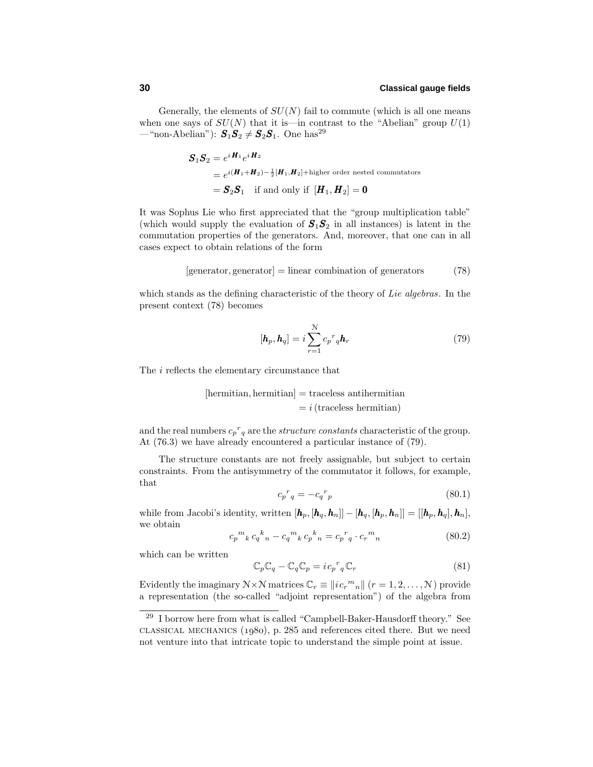Generally, the elements of  $SU(N)$  fail to commute (which is all one means when one says of  $SU(N)$  that it is—in contrast to the "Abelian" group  $U(1)$ —"non-Abelian"):  $S_1S_2 \neq S_2S_1$ . One has<sup>29</sup>

$$
S_1 S_2 = e^{i \mathbf{H}_1} e^{i \mathbf{H}_2}
$$
  
=  $e^{i(\mathbf{H}_1 + \mathbf{H}_2) - \frac{1}{2}[\mathbf{H}_1, \mathbf{H}_2] + \text{higher order nested commutators}}$   
=  $S_2 S_1$  if and only if  $[\mathbf{H}_1, \mathbf{H}_2] = 0$ 

It was Sophus Lie who first appreciated that the "group multiplication table" (which would supply the evaluation of  $S_1S_2$  in all instances) is latent in the commutation properties of the generators. And, moreover, that one can in all cases expect to obtain relations of the form

$$
[generator, generator] = linear combination of generators \t(78)
$$

which stands as the defining characteristic of the theory of Lie algebras. In the present context (78) becomes

$$
[\boldsymbol{h}_p, \boldsymbol{h}_q] = i \sum_{r=1}^{N} c_p^r q \boldsymbol{h}_r
$$
\n(79)

The *i* reflects the elementary circumstance that

[hermitian, hermitian] = traceless antihermitian  
= 
$$
i
$$
 (traceless hermitian)

and the real numbers  $c_p^r_q$  are the *structure constants* characteristic of the group. At (76.3) we have already encountered a particular instance of (79).

The structure constants are not freely assignable, but subject to certain constraints. From the antisymmetry of the commutator it follows, for example, that

$$
c_p{}^r{}_q = -c_q{}^r{}_p \tag{80.1}
$$

while from Jacobi's identity, written  $[\mathbf{h}_p, [\mathbf{h}_q, \mathbf{h}_n]] - [\mathbf{h}_q, [\mathbf{h}_p, \mathbf{h}_n]] = [[\mathbf{h}_p, \mathbf{h}_q], \mathbf{h}_n]$ , we obtain

$$
c_p{}^m{}_k\,c_q{}^k{}_n - c_q{}^m{}_k\,c_p{}^k{}_n = c_p{}^r{}_q \cdot c_r{}^m{}_n \tag{80.2}
$$

which can be written

$$
\mathbb{C}_p \mathbb{C}_q - \mathbb{C}_q \mathbb{C}_p = i c_p^r{}_q \mathbb{C}_r \tag{81}
$$

Evidently the imaginary  $N \times N$  matrices  $\mathbb{C}_r \equiv ||i c_r^m{}_n||$   $(r = 1, 2, ..., N)$  provide a representation (the so-called "adjoint representation") of the algebra from

<sup>&</sup>lt;sup>29</sup> I borrow here from what is called "Campbell-Baker-Hausdorff theory." See classical mechanics (1980), p. 285 and references cited there. But we need not venture into that intricate topic to understand the simple point at issue.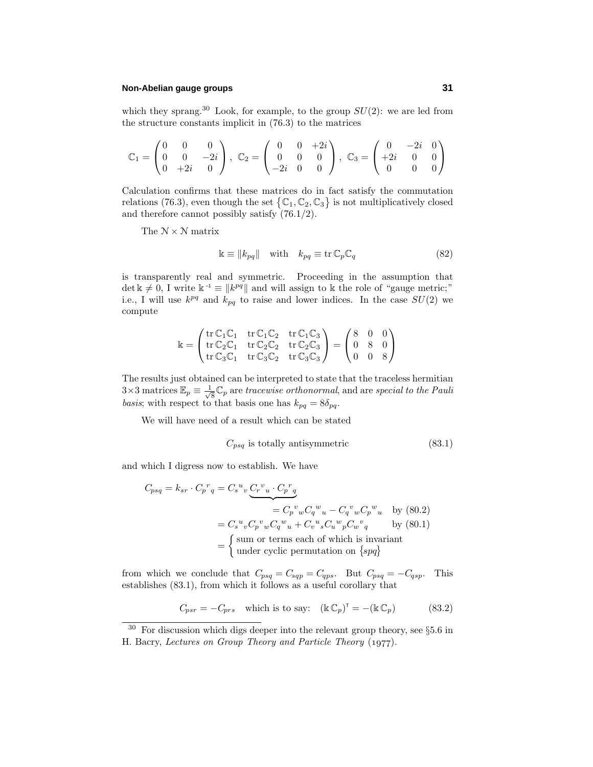### **Non-Abelian gauge groups 31**

which they sprang.<sup>30</sup> Look, for example, to the group  $SU(2)$ : we are led from the structure constants implicit in (76.3) to the matrices

$$
\mathbb{C}_1 = \begin{pmatrix} 0 & 0 & 0 \\ 0 & 0 & -2i \\ 0 & +2i & 0 \end{pmatrix}, \ \mathbb{C}_2 = \begin{pmatrix} 0 & 0 & +2i \\ 0 & 0 & 0 \\ -2i & 0 & 0 \end{pmatrix}, \ \mathbb{C}_3 = \begin{pmatrix} 0 & -2i & 0 \\ +2i & 0 & 0 \\ 0 & 0 & 0 \end{pmatrix}
$$

Calculation confirms that these matrices do in fact satisfy the commutation relations (76.3), even though the set  $\{C_1, C_2, C_3\}$  is not multiplicatively closed and therefore cannot possibly satisfy (76.1/2).

The  $\mathcal{N} \times \mathcal{N}$  matrix

$$
\mathbb{k} \equiv ||k_{pq}|| \quad \text{with} \quad k_{pq} \equiv \text{tr}\,\mathbb{C}_p \mathbb{C}_q \tag{82}
$$

is transparently real and symmetric. Proceeding in the assumption that  $\det k \neq 0$ , I write  $k^{-1} \equiv ||k^{pq}||$  and will assign to k the role of "gauge metric;" i.e., I will use  $k^{pq}$  and  $k_{pq}$  to raise and lower indices. In the case  $SU(2)$  we compute

$$
\Bbbk = \begin{pmatrix} \operatorname{tr} \mathbb{C}_1 \mathbb{C}_1 & \operatorname{tr} \mathbb{C}_1 \mathbb{C}_2 & \operatorname{tr} \mathbb{C}_1 \mathbb{C}_3 \\ \operatorname{tr} \mathbb{C}_2 \mathbb{C}_1 & \operatorname{tr} \mathbb{C}_2 \mathbb{C}_2 & \operatorname{tr} \mathbb{C}_2 \mathbb{C}_3 \\ \operatorname{tr} \mathbb{C}_3 \mathbb{C}_1 & \operatorname{tr} \mathbb{C}_3 \mathbb{C}_2 & \operatorname{tr} \mathbb{C}_3 \mathbb{C}_3 \end{pmatrix} = \begin{pmatrix} 8 & 0 & 0 \\ 0 & 8 & 0 \\ 0 & 0 & 8 \end{pmatrix}
$$

The results just obtained can be interpreted to state that the traceless hermitian  $3\times 3$  matrices  $\mathbb{E}_p \equiv \frac{1}{\sqrt{8}} \mathbb{C}_p$  are tracewise orthonormal, and are special to the Pauli basis; with respect to that basis one has  $k_{pq} = 8\delta_{pq}$ .

We will have need of a result which can be stated

$$
C_{psq} \text{ is totally antisymmetric} \tag{83.1}
$$

and which I digress now to establish. We have

$$
C_{psq} = k_{sr} \cdot C_p{}^r{}_q = C_s{}^u{}_v \underbrace{C_r{}^v{}_u \cdot C_p{}^r{}_q}_{= C_p{}^v{}_w C_q{}^w{}_u - C_q{}^v{}_w C_p{}^w{}_u \quad \text{by (80.2)}
$$
  
\n
$$
= C_s{}^u{}_v C_p{}^v{}_w C_q{}^w{}_u + C_v{}^u{}_s C_u{}^w{}_p C_w{}^v{}_q \qquad \text{by (80.1)}
$$
  
\n
$$
= \begin{cases} \text{sum or terms each of which is invariant} \\ \text{under cyclic permutation on } \{spq\} \end{cases}
$$

from which we conclude that  $C_{psq} = C_{sqp} = C_{qps}$ . But  $C_{psq} = -C_{qsp}$ . This establishes (83.1), from which it follows as a useful corollary that

$$
C_{psr} = -C_{prs} \quad \text{which is to say:} \quad (\mathbb{K}\,\mathbb{C}_p)^\mathsf{T} = -(\mathbb{K}\,\mathbb{C}_p) \tag{83.2}
$$

 $30\,$  For discussion which digs deeper into the relevant group theory, see  $\S 5.6$  in H. Bacry, Lectures on Group Theory and Particle Theory (1977).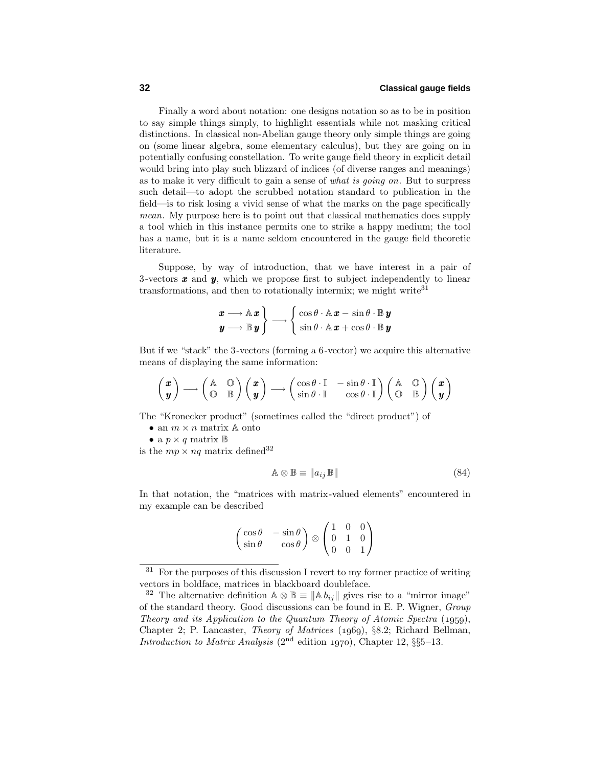Finally a word about notation: one designs notation so as to be in position to say simple things simply, to highlight essentials while not masking critical distinctions. In classical non-Abelian gauge theory only simple things are going on (some linear algebra, some elementary calculus), but they are going on in potentially confusing constellation. To write gauge field theory in explicit detail would bring into play such blizzard of indices (of diverse ranges and meanings) as to make it very difficult to gain a sense of what is going on. But to surpress such detail—to adopt the scrubbed notation standard to publication in the field—is to risk losing a vivid sense of what the marks on the page specifically mean. My purpose here is to point out that classical mathematics does supply a tool which in this instance permits one to strike a happy medium; the tool has a name, but it is a name seldom encountered in the gauge field theoretic literature.

Suppose, by way of introduction, that we have interest in a pair of 3-vectors *x* and *y*, which we propose first to subject independently to linear transformations, and then to rotationally intermix; we might write  $31$ 

$$
\begin{array}{c}\n\boldsymbol{x} \longrightarrow \mathbb{A} \, \boldsymbol{x} \\
\boldsymbol{y} \longrightarrow \mathbb{B} \, \boldsymbol{y}\n\end{array}\n\right\} \longrightarrow \begin{cases}\n\cos \theta \cdot \mathbb{A} \, \boldsymbol{x} - \sin \theta \cdot \mathbb{B} \, \boldsymbol{y} \\
\sin \theta \cdot \mathbb{A} \, \boldsymbol{x} + \cos \theta \cdot \mathbb{B} \, \boldsymbol{y}\n\end{array}
$$

But if we "stack" the 3-vectors (forming a 6-vector) we acquire this alternative means of displaying the same information:

$$
\begin{pmatrix} x \\ y \end{pmatrix} \longrightarrow \begin{pmatrix} \mathbb{A} & \mathbb{O} \\ \mathbb{O} & \mathbb{B} \end{pmatrix} \begin{pmatrix} x \\ y \end{pmatrix} \longrightarrow \begin{pmatrix} \cos \theta \cdot \mathbb{I} & -\sin \theta \cdot \mathbb{I} \\ \sin \theta \cdot \mathbb{I} & \cos \theta \cdot \mathbb{I} \end{pmatrix} \begin{pmatrix} \mathbb{A} & \mathbb{O} \\ \mathbb{O} & \mathbb{B} \end{pmatrix} \begin{pmatrix} x \\ y \end{pmatrix}
$$

The "Kronecker product" (sometimes called the "direct product") of

• an  $m \times n$  matrix  $\mathbb{A}$  onto

• a  $p \times q$  matrix  $\mathbb{B}$ 

is the  $mp \times nq$  matrix defined<sup>32</sup>

$$
\mathbb{A} \otimes \mathbb{B} \equiv ||a_{ij} \mathbb{B}|| \tag{84}
$$

In that notation, the "matrices with matrix-valued elements" encountered in my example can be described

$$
\begin{pmatrix}\n\cos \theta & -\sin \theta \\
\sin \theta & \cos \theta\n\end{pmatrix}\n\otimes\n\begin{pmatrix}\n1 & 0 & 0 \\
0 & 1 & 0 \\
0 & 0 & 1\n\end{pmatrix}
$$

 $31$  For the purposes of this discussion I revert to my former practice of writing vectors in boldface, matrices in blackboard doubleface.

<sup>&</sup>lt;sup>32</sup> The alternative definition  $\mathbb{A} \otimes \mathbb{B} \equiv \|\mathbb{A} b_{ij}\|$  gives rise to a "mirror image" of the standard theory. Good discussions can be found in E. P. Wigner, Group Theory and its Application to the Quantum Theory of Atomic Spectra  $(1959)$ , Chapter 2; P. Lancaster, Theory of Matrices (1969), §8.2; Richard Bellman, Introduction to Matrix Analysis  $(2^{nd}$  edition 1970), Chapter 12, §§5-13.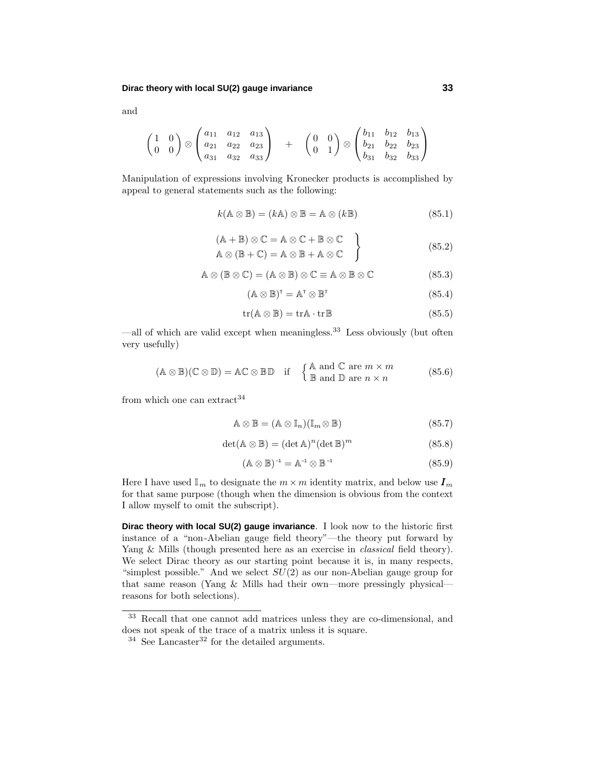$$
\begin{pmatrix}\n1 & 0 \\
0 & 0\n\end{pmatrix}\n\otimes\n\begin{pmatrix}\na_{11} & a_{12} & a_{13} \\
a_{21} & a_{22} & a_{23} \\
a_{31} & a_{32} & a_{33}\n\end{pmatrix}\n\quad + \quad\n\begin{pmatrix}\n0 & 0 \\
0 & 1\n\end{pmatrix}\n\otimes\n\begin{pmatrix}\nb_{11} & b_{12} & b_{13} \\
b_{21} & b_{22} & b_{23} \\
b_{31} & b_{32} & b_{33}\n\end{pmatrix}
$$

Manipulation of expressions involving Kronecker products is accomplished by appeal to general statements such as the following:

$$
k(\mathbb{A}\otimes\mathbb{B})=(k\mathbb{A})\otimes\mathbb{B}=\mathbb{A}\otimes(k\mathbb{B})
$$
\n(85.1)

$$
(A + B) \otimes C = A \otimes C + B \otimes C
$$
  
\n
$$
A \otimes (B + C) = A \otimes B + A \otimes C
$$
  
\n(85.2)

$$
A \otimes (\mathbb{B} \otimes \mathbb{C}) = (A \otimes \mathbb{B}) \otimes \mathbb{C} \equiv A \otimes \mathbb{B} \otimes \mathbb{C}
$$
 (85.3)

$$
(\mathbb{A} \otimes \mathbb{B})^{\mathsf{T}} = \mathbb{A}^{\mathsf{T}} \otimes \mathbb{B}^{\mathsf{T}}
$$
 (85.4)

$$
tr(A \otimes \mathbb{B}) = trA \cdot trB \tag{85.5}
$$

—all of which are valid except when meaningless.<sup>33</sup> Less obviously (but often very usefully)

$$
(\mathbb{A} \otimes \mathbb{B})(\mathbb{C} \otimes \mathbb{D}) = \mathbb{A}\mathbb{C} \otimes \mathbb{B}\mathbb{D} \quad \text{if} \quad \begin{cases} \mathbb{A} \text{ and } \mathbb{C} \text{ are } m \times m \\ \mathbb{B} \text{ and } \mathbb{D} \text{ are } n \times n \end{cases} \tag{85.6}
$$

from which one can extract  $34$ 

$$
\mathbb{A} \otimes \mathbb{B} = (\mathbb{A} \otimes \mathbb{I}_n)(\mathbb{I}_m \otimes \mathbb{B})
$$
\n(85.7)

$$
\det(\mathbb{A}\otimes\mathbb{B}) = (\det \mathbb{A})^n (\det \mathbb{B})^m
$$
\n(85.8)

$$
(\mathbb{A}\otimes\mathbb{B})^{-1}=\mathbb{A}^{-1}\otimes\mathbb{B}^{-1} \qquad (85.9)
$$

Here I have used  $\mathbb{I}_m$  to designate the  $m \times m$  identity matrix, and below use  $I_m$ for that same purpose (though when the dimension is obvious from the context I allow myself to omit the subscript).

**Dirac theory with local SU(2) gauge invariance**. I look now to the historic first instance of a "non-Abelian gauge field theory"—the theory put forward by Yang & Mills (though presented here as an exercise in *classical* field theory). We select Dirac theory as our starting point because it is, in many respects, "simplest possible." And we select *SU*(2) as our non-Abelian gauge group for that same reason (Yang & Mills had their own—more pressingly physical reasons for both selections).

and

<sup>33</sup> Recall that one cannot add matrices unless they are co-dimensional, and does not speak of the trace of a matrix unless it is square.

 $34$  See Lancaster<sup>32</sup> for the detailed arguments.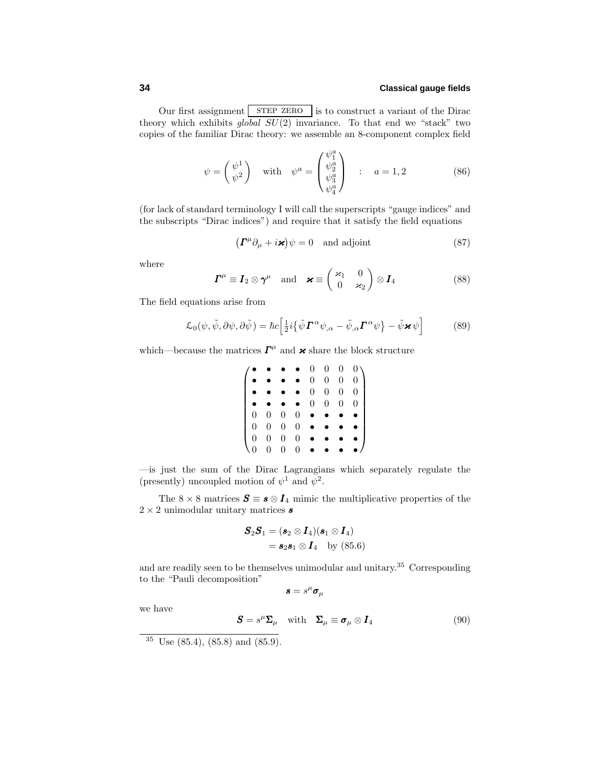Our first assignment STEP ZERO is to construct a variant of the Dirac theory which exhibits  $global \overline{SU(2)}$  invariance. To that end we "stack" two copies of the familiar Dirac theory: we assemble an 8-component complex field

$$
\psi = \begin{pmatrix} \psi^1 \\ \psi^2 \end{pmatrix} \quad \text{with} \quad \psi^a = \begin{pmatrix} \psi_1^a \\ \psi_2^a \\ \psi_3^a \\ \psi_4^a \end{pmatrix} \quad : \quad a = 1, 2 \tag{86}
$$

 $($ for lack of standard terminology I will call the superscripts "gauge indices" and the subscripts "Dirac indices") and require that it satisfy the field equations

$$
\left(\boldsymbol{\varGamma}^{\mu}\partial_{\mu} + i\boldsymbol{\varkappa}\right)\psi = 0 \quad \text{and adjoint} \tag{87}
$$

where

$$
\boldsymbol{\varGamma}^{\mu} \equiv \boldsymbol{I}_2 \otimes \boldsymbol{\gamma}^{\mu} \quad \text{and} \quad \boldsymbol{\varkappa} \equiv \begin{pmatrix} \varkappa_1 & 0 \\ 0 & \varkappa_2 \end{pmatrix} \otimes \boldsymbol{I}_4 \tag{88}
$$

The field equations arise from

$$
\mathcal{L}_0(\psi, \tilde{\psi}, \partial \psi, \partial \tilde{\psi}) = \hbar c \Big[ \frac{1}{2} i \{ \tilde{\psi} \boldsymbol{\Gamma}^{\alpha} \psi_{,\alpha} - \tilde{\psi}_{,\alpha} \boldsymbol{\Gamma}^{\alpha} \psi \} - \tilde{\psi} \boldsymbol{\varkappa} \psi \Big]
$$
(89)

which—because the matrices  $\Gamma^{\mu}$  and  $\times$  share the block structure

$$
\begin{pmatrix}\n\bullet & \bullet & \bullet & \bullet & 0 & 0 & 0 & 0 \\
\bullet & \bullet & \bullet & \bullet & 0 & 0 & 0 & 0 \\
\bullet & \bullet & \bullet & \bullet & 0 & 0 & 0 & 0 \\
\bullet & \bullet & \bullet & \bullet & 0 & 0 & 0 & 0 \\
0 & 0 & 0 & 0 & \bullet & \bullet & \bullet & \bullet \\
0 & 0 & 0 & 0 & \bullet & \bullet & \bullet & \bullet \\
0 & 0 & 0 & 0 & \bullet & \bullet & \bullet & \bullet \\
0 & 0 & 0 & 0 & \bullet & \bullet & \bullet & \bullet & \bullet\n\end{pmatrix}
$$

—is just the sum of the Dirac Lagrangians which separately regulate the (presently) uncoupled motion of  $\psi^1$  and  $\psi^2$ .

The 8  $\times$  8 matrices  $S \equiv s \otimes I_4$  mimic the multiplicative properties of the 2 × 2 unimodular unitary matrices *s*

$$
\mathbf{S}_2\mathbf{S}_1 = (\mathbf{s}_2 \otimes \mathbf{I}_4)(\mathbf{s}_1 \otimes \mathbf{I}_4)
$$
  
=  $\mathbf{s}_2\mathbf{s}_1 \otimes \mathbf{I}_4$  by (85.6)

and are readily seen to be themselves unimodular and unitary.<sup>35</sup> Corresponding to the "Pauli decomposition"

 $\boldsymbol{s} = s^{\mu} \boldsymbol{\sigma}_{\mu}$ 

we have

$$
\mathbf{S} = s^{\mu} \Sigma_{\mu} \quad \text{with} \quad \Sigma_{\mu} \equiv \boldsymbol{\sigma}_{\mu} \otimes \boldsymbol{I}_{4} \tag{90}
$$

 $35 \text{ Use } (85.4), (85.8) \text{ and } (85.9).$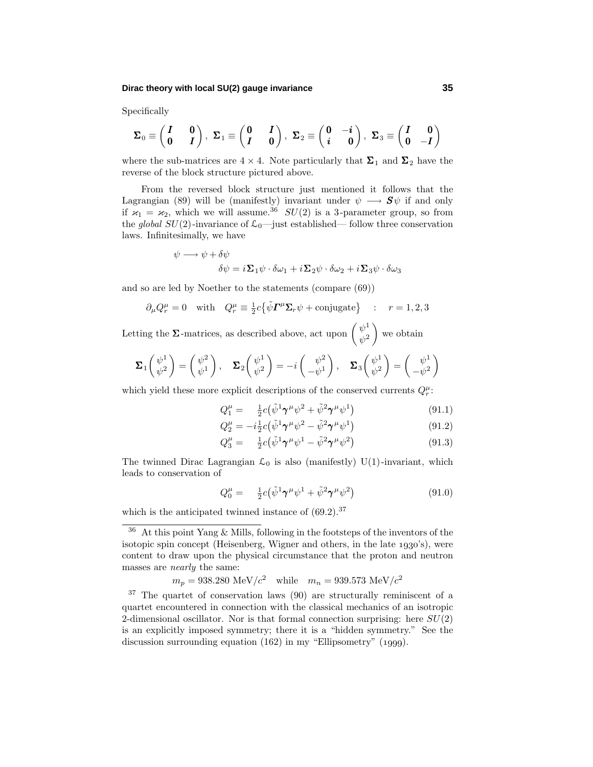### **Dirac theory with local SU(2) gauge invariance 35**

Specifically

$$
\Sigma_0\equiv\begin{pmatrix}I&0\\0&I\end{pmatrix},\ \Sigma_1\equiv\begin{pmatrix}0&I\\I&0\end{pmatrix},\ \Sigma_2\equiv\begin{pmatrix}0&-i\\i&0\end{pmatrix},\ \Sigma_3\equiv\begin{pmatrix}I&0\\0&-I\end{pmatrix}
$$

where the sub-matrices are  $4 \times 4$ . Note particularly that  $\Sigma_1$  and  $\Sigma_2$  have the reverse of the block structure pictured above.

From the reversed block structure just mentioned it follows that the Lagrangian (89) will be (manifestly) invariant under  $\psi \longrightarrow \mathbf{S}\psi$  if and only if  $\varkappa_1 = \varkappa_2$ , which we will assume.<sup>36</sup> *SU*(2) is a 3-parameter group, so from the global  $SU(2)$ -invariance of  $\mathcal{L}_0$ —just established— follow three conservation laws. Infinitesimally, we have

$$
\psi \longrightarrow \psi + \delta \psi
$$

$$
\delta \psi = i \Sigma_1 \psi \cdot \delta \omega_1 + i \Sigma_2 \psi \cdot \delta \omega_2 + i \Sigma_3 \psi \cdot \delta \omega_3
$$

and so are led by Noether to the statements (compare (69))

$$
\partial_{\mu}Q_{r}^{\mu} = 0
$$
 with  $Q_{r}^{\mu} \equiv \frac{1}{2}c\{\tilde{\psi}\mathbf{\Gamma}^{\mu}\Sigma_{r}\psi + \text{conjugate}\}\$ :  $r = 1, 2, 3$ 

Letting the  $\Sigma$ -matrices, as described above, act upon  $\begin{pmatrix} \psi^1 \\ \psi^2 \end{pmatrix}$  $\Big)$  we obtain

$$
\Sigma_1 \begin{pmatrix} \psi^1 \\ \psi^2 \end{pmatrix} = \begin{pmatrix} \psi^2 \\ \psi^1 \end{pmatrix}, \quad \Sigma_2 \begin{pmatrix} \psi^1 \\ \psi^2 \end{pmatrix} = -i \begin{pmatrix} \psi^2 \\ -\psi^1 \end{pmatrix}, \quad \Sigma_3 \begin{pmatrix} \psi^1 \\ \psi^2 \end{pmatrix} = \begin{pmatrix} \psi^1 \\ -\psi^2 \end{pmatrix}
$$

which yield these more explicit descriptions of the conserved currents  $Q_r^{\mu}$ :

$$
Q_1^{\mu} = \frac{1}{2}c(\tilde{\psi}^1 \boldsymbol{\gamma}^{\mu} \psi^2 + \tilde{\psi}^2 \boldsymbol{\gamma}^{\mu} \psi^1) \tag{91.1}
$$

$$
Q_2^{\mu} = -i\frac{1}{2}c(\tilde{\psi}^1 \boldsymbol{\gamma}^{\mu} \psi^2 - \tilde{\psi}^2 \boldsymbol{\gamma}^{\mu} \psi^1)
$$
\n(91.2)

$$
Q_3^{\mu} = \frac{1}{2}c(\tilde{\psi}^1 \boldsymbol{\gamma}^{\mu} \psi^1 - \tilde{\psi}^2 \boldsymbol{\gamma}^{\mu} \psi^2)
$$
 (91.3)

The twinned Dirac Lagrangian  $\mathcal{L}_0$  is also (manifestly) U(1)-invariant, which leads to conservation of

$$
Q_0^{\mu} = \frac{1}{2}c(\tilde{\psi}^1 \gamma^{\mu} \psi^1 + \tilde{\psi}^2 \gamma^{\mu} \psi^2)
$$
 (91.0)

which is the anticipated twinned instance of  $(69.2).^{37}$ 

$$
m_p = 938.280 \text{ MeV}/c^2 \text{ while } m_n = 939.573 \text{ MeV}/c^2
$$

 $36$  At this point Yang & Mills, following in the footsteps of the inventors of the isotopic spin concept (Heisenberg, Wigner and others, in the late  $1930's$ ), were content to draw upon the physical circumstance that the proton and neutron masses are nearly the same:

<sup>37</sup> The quartet of conservation laws (90) are structurally reminiscent of a quartet encountered in connection with the classical mechanics of an isotropic 2-dimensional oscillator. Nor is that formal connection surprising: here *SU*(2) is an explicitly imposed symmetry; there it is a "hidden symmetry." See the discussion surrounding equation  $(162)$  in my "Ellipsometry"  $(1999)$ .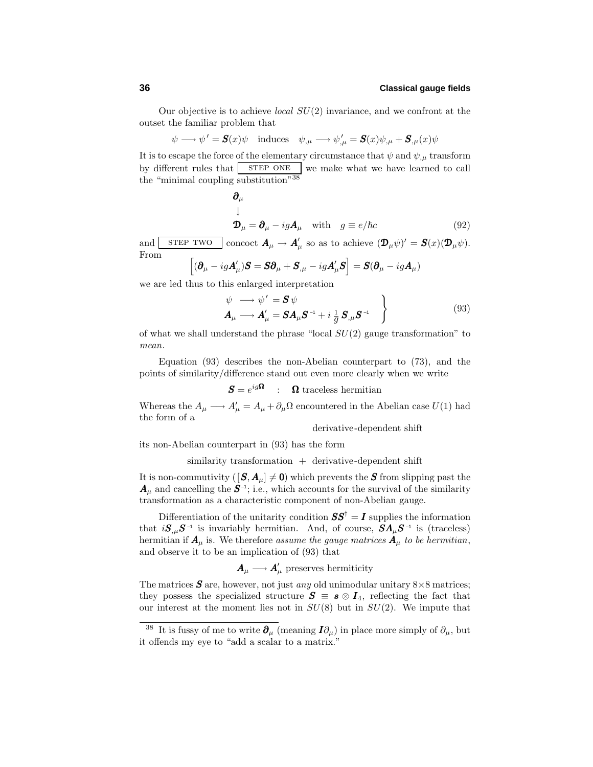Our objective is to achieve local *SU*(2) invariance, and we confront at the outset the familiar problem that

 $\psi \longrightarrow \psi' = \mathbf{S}(x)\psi \text{ \quad induces \quad } \psi_{,\mu} \longrightarrow \psi'_{,\mu} = \mathbf{S}(x)\psi_{,\mu} + \mathbf{S}_{,\mu}(x)\psi$ 

It is to escape the force of the elementary circumstance that  $\psi$  and  $\psi$ <sub>,*u*</sub> transform by different rules that  $s$  step one we make what we have learned to call the "minimal coupling substitution"<sup>38</sup>

$$
\begin{aligned}\n\boldsymbol{\partial}_{\mu} \\
\downarrow \\
\boldsymbol{\mathcal{D}}_{\mu} &= \boldsymbol{\partial}_{\mu} - ig \boldsymbol{A}_{\mu} \quad \text{with} \quad g \equiv e/\hbar c\n\end{aligned} \tag{92}
$$

and  $\boxed{\text{STEP TWO}}$  concoct  $\mathbf{A}_{\mu} \to \mathbf{A}'_{\mu}$  so as to achieve  $(\mathbf{D}_{\mu}\psi)' = \mathbf{S}(x)(\mathbf{D}_{\mu}\psi)$ . From

$$
\left[ (\boldsymbol{\partial}_{\mu} - ig \boldsymbol{A}'_{\mu}) \boldsymbol{S} = \boldsymbol{S} \boldsymbol{\partial}_{\mu} + \boldsymbol{S}_{,\mu} - ig \boldsymbol{A}'_{\mu} \boldsymbol{S} \right] = \boldsymbol{S} (\boldsymbol{\partial}_{\mu} - ig \boldsymbol{A}_{\mu})
$$

we are led thus to this enlarged interpretation

$$
\psi \longrightarrow \psi' = \mathbf{S} \psi
$$
  
\n
$$
\mathbf{A}_{\mu} \longrightarrow \mathbf{A}_{\mu}' = \mathbf{S} \mathbf{A}_{\mu} \mathbf{S}^{-1} + i \frac{1}{g} \mathbf{S}_{,\mu} \mathbf{S}^{-1}
$$
\n(93)

of what we shall understand the phrase "local *SU*(2) gauge transformation" to mean.

Equation (93) describes the non-Abelian counterpart to (73), and the points of similarity/difference stand out even more clearly when we write

 $S = e^{ig\Omega}$  :  $\Omega$  traceless hermitian

Whereas the  $A_{\mu} \longrightarrow A'_{\mu} = A_{\mu} + \partial_{\mu} \Omega$  encountered in the Abelian case  $U(1)$  had the form of a

derivative-dependent shift

its non-Abelian counterpart in (93) has the form

 $s$ imilarity transformation  $+$  derivative-dependent shift

It is non-commutivity  $([S, A<sub>µ</sub>] \neq 0)$  which prevents the *S* from slipping past the  $A_\mu$  and cancelling the  $S^{-1}$ ; i.e., which accounts for the survival of the similarity transformation as a characteristic component of non-Abelian gauge.

Differentiation of the unitarity condition  $SS^{\dagger} = I$  supplies the information that  $iS_{,\mu}S^{-1}$  is invariably hermitian. And, of course,  $SA_{\mu}S^{-1}$  is (traceless) hermitian if  $A_\mu$  is. We therefore assume the gauge matrices  $A_\mu$  to be hermitian, and observe it to be an implication of (93) that

 $A_\mu \longrightarrow A_\mu'$  preserves hermiticity

The matrices  $S$  are, however, not just *any* old unimodular unitary  $8 \times 8$  matrices; they possess the specialized structure  $S \equiv s \otimes I_4$ , reflecting the fact that our interest at the moment lies not in *SU*(8) but in *SU*(2). We impute that

It is fussy of me to write  $\partial_{\mu}$  (meaning  $I\partial_{\mu}$ ) in place more simply of  $\partial_{\mu}$ , but it offends my eye to "add a scalar to a matrix."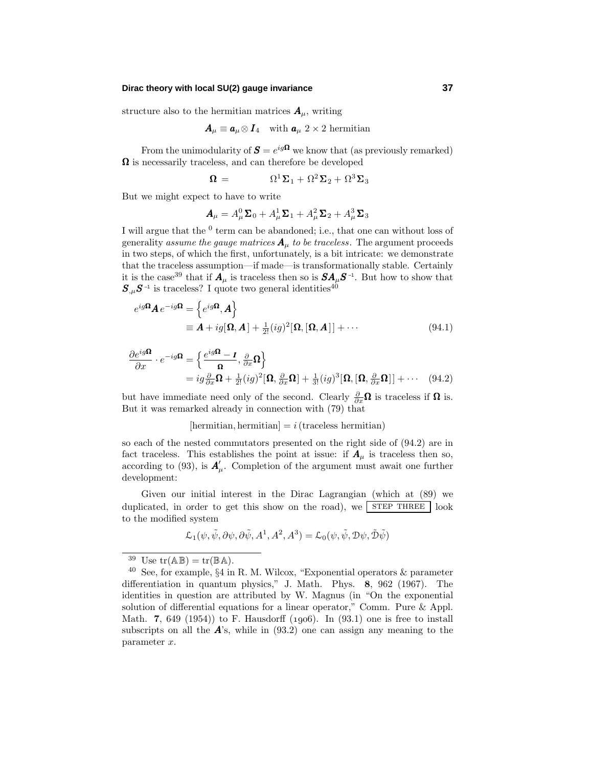### **Dirac theory with local SU(2) gauge invariance 37**

structure also to the hermitian matrices  $A_\mu$ , writing

$$
\boldsymbol{A}_{\mu}\equiv\boldsymbol{a}_{\mu}\otimes\boldsymbol{I}_{4}\quad\text{with }\boldsymbol{a}_{\mu}\,\,2\times2\,\,\text{hermitian}
$$

From the unimodularity of  $S = e^{ig\Omega}$  we know that (as previously remarked)  $\Omega$  is necessarily traceless, and can therefore be developed

$$
\mathbf{\Omega} = \mathbf{\Omega}^1 \mathbf{\Sigma}_1 + \mathbf{\Omega}^2 \mathbf{\Sigma}_2 + \mathbf{\Omega}^3 \mathbf{\Sigma}_3
$$

But we might expect to have to write

$$
\boldsymbol{A}_{\mu}=A^0_{\mu}\boldsymbol{\Sigma}_0+A^1_{\mu}\boldsymbol{\Sigma}_1+A^2_{\mu}\boldsymbol{\Sigma}_2+A^3_{\mu}\boldsymbol{\Sigma}_3
$$

I will argue that the <sup>0</sup> term can be abandoned; i.e., that one can without loss of generality assume the gauge matrices  $A_{\mu}$  to be traceless. The argument proceeds in two steps, of which the first, unfortunately, is a bit intricate: we demonstrate that the traceless assumption—if made—is transformationally stable. Certainly it is the case<sup>39</sup> that if  $A_\mu$  is traceless then so is  $SA_\mu S^{-1}$ . But how to show that  $S_{,\mu}S^{-1}$  is traceless? I quote two general identities<sup>40</sup>

$$
e^{ig\Omega}A e^{-ig\Omega} = \left\{ e^{ig\Omega}, A \right\}
$$
  
\n
$$
\equiv A + ig[\Omega, A] + \frac{1}{2!} (ig)^2 [\Omega, [\Omega, A]] + \cdots
$$
\n(94.1)

$$
\frac{\partial e^{ig\Omega}}{\partial x} \cdot e^{-ig\Omega} = \left\{ \frac{e^{ig\Omega} - I}{\Omega}, \frac{\partial}{\partial x} \Omega \right\}
$$
  
=  $ig \frac{\partial}{\partial x} \Omega + \frac{1}{2!} (ig)^2 [\Omega, \frac{\partial}{\partial x} \Omega] + \frac{1}{3!} (ig)^3 [\Omega, [\Omega, \frac{\partial}{\partial x} \Omega]] + \cdots$  (94.2)

but have immediate need only of the second. Clearly *<sup>∂</sup> ∂x*Ω is traceless if Ω is. But it was remarked already in connection with (79) that

### $[hermitian, hermitian] = i (traceless hermitian)$

so each of the nested commutators presented on the right side of (94.2) are in fact traceless. This establishes the point at issue: if  $A_\mu$  is traceless then so, according to (93), is  $A'_\mu$ . Completion of the argument must await one further development:

Given our initial interest in the Dirac Lagrangian (which at (89) we duplicated, in order to get this show on the road), we  $\sqrt{\text{STEP } \text{THREE}}$  look to the modified system

$$
\mathcal{L}_1(\psi, \tilde{\psi}, \partial \psi, \partial \tilde{\psi}, A^1, A^2, A^3) = \mathcal{L}_0(\psi, \tilde{\psi}, \mathcal{D}\psi, \tilde{\mathcal{D}}\tilde{\psi})
$$

<sup>&</sup>lt;sup>39</sup> Use  $tr(\mathbb{AB}) = tr(\mathbb{BA})$ .

 $40$  See, for example,  $\S 4$  in R. M. Wilcox, "Exponential operators  $\&$  parameter differentiation in quantum physics," J. Math. Phys. **8**, 962 (1967). The identities in question are attributed by W. Magnus (in "On the exponential solution of differential equations for a linear operator," Comm. Pure & Appl. Math. **7**, 649 (1954)) to F. Hausdorff (1906). In (93.1) one is free to install subscripts on all the  $\vec{A}$ 's, while in (93.2) one can assign any meaning to the parameter *x*.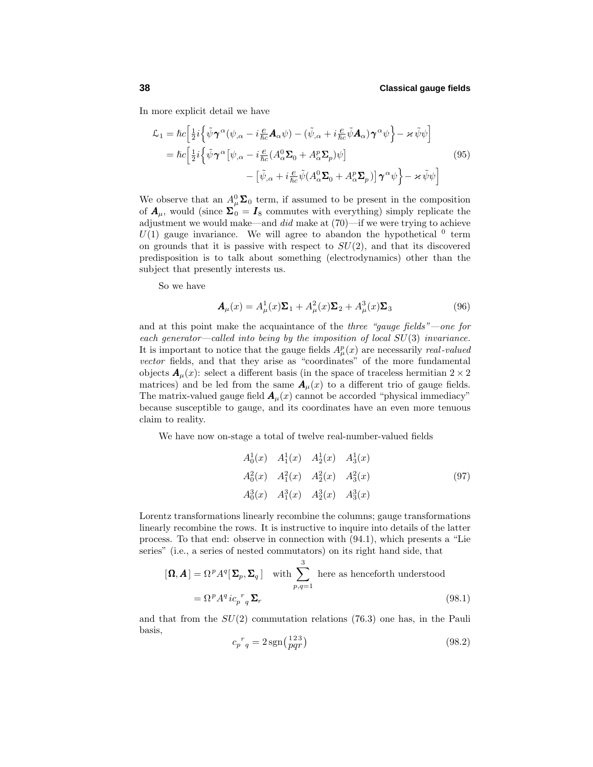In more explicit detail we have

$$
\mathcal{L}_{1} = \hbar c \Big[ \frac{1}{2} i \Big\{ \tilde{\psi} \gamma^{\alpha} (\psi_{,\alpha} - i \frac{e}{\hbar c} \mathbf{A}_{\alpha} \psi) - (\tilde{\psi}_{,\alpha} + i \frac{e}{\hbar c} \tilde{\psi} \mathbf{A}_{\alpha}) \gamma^{\alpha} \psi \Big\} - \varkappa \tilde{\psi} \psi \Big] \n= \hbar c \Big[ \frac{1}{2} i \Big\{ \tilde{\psi} \gamma^{\alpha} [\psi_{,\alpha} - i \frac{e}{\hbar c} (A_{\alpha}^{0} \Sigma_{0} + A_{\alpha}^{p} \Sigma_{p}) \psi] \n- [\tilde{\psi}_{,\alpha} + i \frac{e}{\hbar c} \tilde{\psi} (A_{\alpha}^{0} \Sigma_{0} + A_{\alpha}^{p} \Sigma_{p})] \gamma^{\alpha} \psi \Big\} - \varkappa \tilde{\psi} \psi \Big]
$$
\n(95)

We observe that an  $A^0_\mu\Sigma_0$  term, if assumed to be present in the composition of  $A_\mu$ , would (since  $\Sigma_0 = I_8$  commutes with everything) simply replicate the adjustment we would make—and did make at (70)—if we were trying to achieve  $U(1)$  gauge invariance. We will agree to abandon the hypothetical  $0$  term on grounds that it is passive with respect to *SU*(2), and that its discovered predisposition is to talkabout something (electrodynamics) other than the subject that presently interests us.

So we have

$$
\mathbf{A}_{\mu}(x) = A_{\mu}^{1}(x)\Sigma_{1} + A_{\mu}^{2}(x)\Sigma_{2} + A_{\mu}^{3}(x)\Sigma_{3}
$$
\n(96)

and at this point make the acquaintance of the three "gauge fields"—one for each generator—called into being by the imposition of local *SU*(3) invariance. It is important to notice that the gauge fields  $A^p_\mu(x)$  are necessarily *real-valued* vector fields, and that they arise as "coordinates" of the more fundamental objects  $\mathbf{A}_{\mu}(x)$ : select a different basis (in the space of traceless hermitian  $2 \times 2$ matrices) and be led from the same  $A_\mu(x)$  to a different trio of gauge fields. The matrix-valued gauge field  $A_\mu(x)$  cannot be accorded "physical immediacy" because susceptible to gauge, and its coordinates have an even more tenuous claim to reality.

We have now on-stage a total of twelve real-number-valued fields

$$
A_0^1(x) \t A_1^1(x) \t A_2^1(x) \t A_3^1(x)
$$
  
\n
$$
A_0^2(x) \t A_1^2(x) \t A_2^2(x) \t A_3^2(x)
$$
  
\n
$$
A_0^3(x) \t A_1^3(x) \t A_2^3(x) \t A_3^3(x)
$$
\n(97)

Lorentz transformations linearly recombine the columns; gauge transformations linearly recombine the rows. It is instructive to inquire into details of the latter process. To that end: observe in connection with (94.1), which presents a "Lie series" (i.e., a series of nested commutators) on its right hand side, that

$$
[\mathbf{\Omega}, \mathbf{A}] = \Omega^p A^q [\Sigma_p, \Sigma_q] \quad \text{with} \sum_{p,q=1}^3 \text{ here as henceforth understood}
$$

$$
= \Omega^p A^q i c_p^r q \Sigma_r \tag{98.1}
$$

and that from the *SU*(2) commutation relations (76.3) one has, in the Pauli basis,

$$
c_p{}^r{}_q = 2\operatorname{sgn}\left(\frac{123}{pq r}\right) \tag{98.2}
$$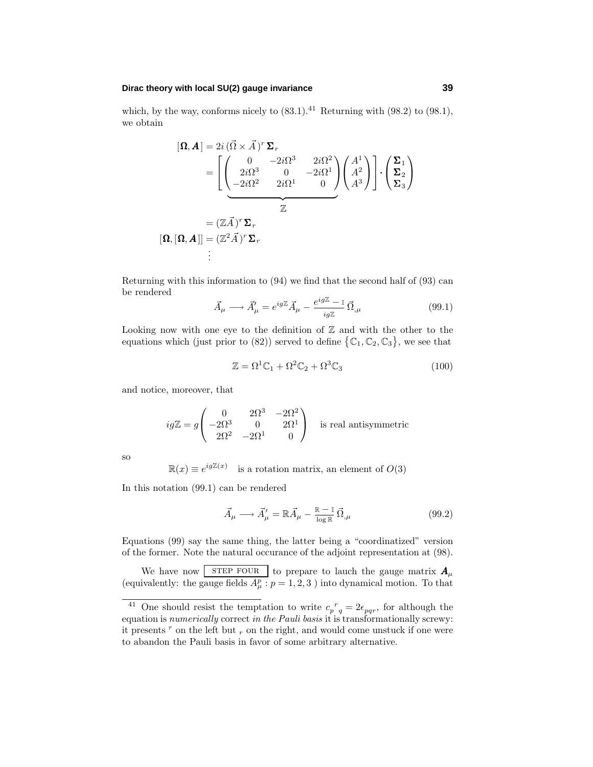### **Dirac theory with local SU(2) gauge invariance 39**

which, by the way, conforms nicely to  $(83.1).<sup>41</sup>$  Returning with  $(98.2)$  to  $(98.1)$ , we obtain

$$
[\mathbf{\Omega}, \mathbf{\Lambda}] = 2i (\vec{\Omega} \times \vec{A})^r \Sigma_r
$$
  
= 
$$
\left[ \begin{pmatrix} 0 & -2i\Omega^3 & 2i\Omega^2 \\ 2i\Omega^3 & 0 & -2i\Omega^1 \\ -2i\Omega^2 & 2i\Omega^1 & 0 \end{pmatrix} \begin{pmatrix} A^1 \\ A^2 \\ A^3 \end{pmatrix} \right] \cdot \begin{pmatrix} \Sigma_1 \\ \Sigma_2 \\ \Sigma_3 \end{pmatrix}
$$
  
=  $(\mathbb{Z}\vec{A})^r \Sigma_r$   

$$
[\mathbf{\Omega}, [\mathbf{\Omega}, \mathbf{\Lambda}]] = (\mathbb{Z}^2 \vec{A})^r \Sigma_r
$$
  
:

Returning with this information to (94) we find that the second half of (93) can be rendered

$$
\vec{A}_{\mu} \longrightarrow \vec{A}_{\mu}^{\prime} = e^{ig\mathbb{Z}} \vec{A}_{\mu} - \frac{e^{ig\mathbb{Z}} - 1}{ig\mathbb{Z}} \vec{\Omega}_{,\mu}
$$
\n(99.1)

Looking now with one eye to the definition of  $\mathbb Z$  and with the other to the equations which (just prior to (82)) served to define  $\{\mathbb{C}_1, \mathbb{C}_2, \mathbb{C}_3\}$ , we see that

$$
\mathbb{Z} = \Omega^1 \mathbb{C}_1 + \Omega^2 \mathbb{C}_2 + \Omega^3 \mathbb{C}_3 \tag{100}
$$

and notice, moreover, that

$$
ig\mathbb{Z} = g \begin{pmatrix} 0 & 2\Omega^3 & -2\Omega^2 \\ -2\Omega^3 & 0 & 2\Omega^1 \\ 2\Omega^2 & -2\Omega^1 & 0 \end{pmatrix}
$$
 is real antisymmetric

so

 $\mathbb{R}(x) \equiv e^{ig\mathbb{Z}(x)}$  is a rotation matrix, an element of  $O(3)$ 

In this notation (99.1) can be rendered

$$
\vec{A}_{\mu} \longrightarrow \vec{A}_{\mu}' = \mathbb{R}\vec{A}_{\mu} - \frac{\mathbb{R} - \mathbb{I}}{\log \mathbb{R}} \vec{\Omega}_{,\mu}
$$
\n(99.2)

Equations (99) say the same thing, the latter being a "coordinatized" version of the former. Note the natural occurance of the adjoint representation at (98).

We have now **STEP FOUR** to prepare to lauch the gauge matrix  $A_\mu$ (equivalently: the gauge fields  $A^p_\mu$ :  $p = 1, 2, 3$ ) into dynamical motion. To that

<sup>&</sup>lt;sup>41</sup> One should resist the temptation to write  $c_p{}^r{}_q = 2\epsilon_{pqr}$ , for although the equation is *numerically* correct in the Pauli basis it is transformationally screwy: it presents  $r$  on the left but  $r$  on the right, and would come unstuck if one were to abandon the Pauli basis in favor of some arbitrary alternative.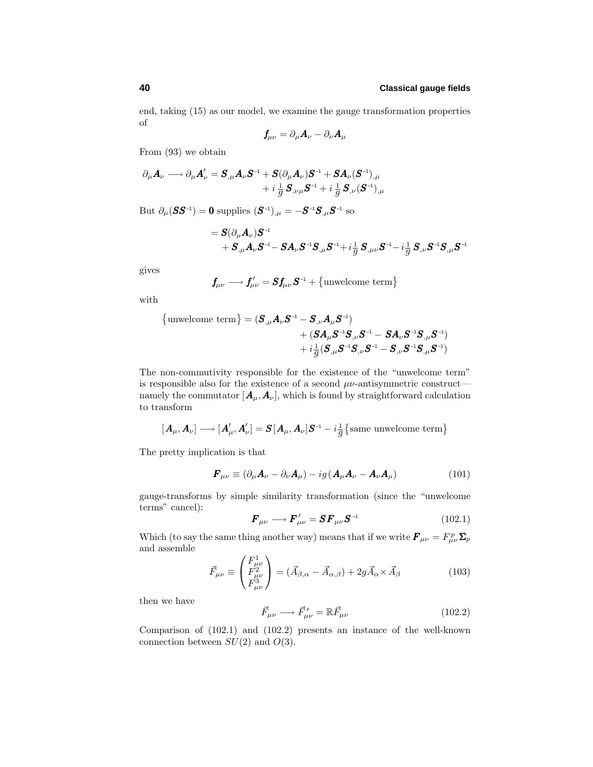end, taking (15) as our model, we examine the gauge transformation properties of

$$
\textbf{\textit{f}}_{\mu\nu}=\partial_{\mu}\textbf{\textit{A}}_{\nu}-\partial_{\nu}\textbf{\textit{A}}_{\mu}
$$

From (93) we obtain

$$
\begin{aligned} \partial_\mu A_\nu &\longrightarrow \partial_\mu A'_\nu = \pmb{S}_{,\mu} A_\nu \pmb{S}^{-1} + \pmb{S} (\partial_\mu A_\nu) \pmb{S}^{-1} + \pmb{S} A_\nu (\pmb{S}^{-1})_{,\mu} \\ &+ i \, \frac{1}{g} \, \pmb{S}_{,\nu \mu} \pmb{S}^{-1} + i \, \frac{1}{g} \, \pmb{S}_{,\nu} (\pmb{S}^{-1})_{,\mu} \end{aligned}
$$

 $\mathrm{But} \ \partial_{\mu} (\bm{S}\bm{S}^{-1})=\bm{0} \ \mathrm{supplies} \ (\bm{S}^{-1})_{,\mu}=-\bm{S}^{-1}\bm{S}_{,\mu}\bm{S}^{-1} \ \mathrm{so}$ 

$$
= \bm{S} ( \partial_\mu \bm{A}_\nu) \bm{S}^{-1} \\ + \bm{S}_{,\mu} \bm{A}_\nu \bm{S}^{-1} \! - \bm{S} \bm{A}_\nu \bm{S}^{-1} \bm{S}_{,\mu} \bm{S}^{-1} \! + \! i \frac{1}{g} \, \bm{S}_{,\mu \nu} \bm{S}^{-1} \! - \! i \frac{1}{g} \, \bm{S}_{,\nu} \bm{S}^{-1} \bm{S}_{,\mu} \bm{S}^{-1}
$$

gives

$$
\boldsymbol{f}_{\mu\nu} \longrightarrow \boldsymbol{f}_{\mu\nu}' = \boldsymbol{S} \boldsymbol{f}_{\mu\nu} \boldsymbol{S}^{-1} + \{\text{unwelcome term}\}
$$

with

{unwelcome term} = 
$$
(\mathbf{S}_{,\mu} \mathbf{A}_{\nu} \mathbf{S}^{-1} - \mathbf{S}_{,\nu} \mathbf{A}_{\mu} \mathbf{S}^{-1})
$$
  
+  $(\mathbf{S} \mathbf{A}_{\mu} \mathbf{S}^{-1} \mathbf{S}_{,\nu} \mathbf{S}^{-1} - \mathbf{S} \mathbf{A}_{\nu} \mathbf{S}^{-1} \mathbf{S}_{,\mu} \mathbf{S}^{-1})$   
+  $i \frac{1}{g} (\mathbf{S}_{,\mu} \mathbf{S}^{-1} \mathbf{S}_{,\nu} \mathbf{S}^{-1} - \mathbf{S}_{,\nu} \mathbf{S}^{-1} \mathbf{S}_{,\mu} \mathbf{S}^{-1})$ 

The non-commutivity responsible for the existence of the "unwelcome term" is responsible also for the existence of a second *µν*-antisymmetric construct namely the commutator  $[A_\mu, A_\nu]$ , which is found by straightforward calculation to transform

$$
[\boldsymbol{A}_{\mu},\boldsymbol{A}_{\nu}]\longrightarrow[\boldsymbol{A}'_{\mu},\boldsymbol{A}'_{\nu}]=\boldsymbol{S}[\boldsymbol{A}_{\mu},\boldsymbol{A}_{\nu}]\boldsymbol{S}^{-1}-i\frac{1}{g}\left\{\text{same unvelcome term}\right\}
$$

The pretty implication is that

$$
\boldsymbol{F}_{\mu\nu} \equiv (\partial_{\mu}\boldsymbol{A}_{\nu} - \partial_{\nu}\boldsymbol{A}_{\mu}) - ig(\boldsymbol{A}_{\mu}\boldsymbol{A}_{\nu} - \boldsymbol{A}_{\nu}\boldsymbol{A}_{\mu})
$$
(101)

gauge-transforms by simple similarity transformation (since the "unwelcome terms" cancel):

$$
\boldsymbol{F}_{\mu\nu} \longrightarrow \boldsymbol{F}_{\mu\nu}' = \boldsymbol{S} \boldsymbol{F}_{\mu\nu} \boldsymbol{S}^{-1} \tag{102.1}
$$

Which (to say the same thing another way) means that if we write  $\mathbf{F}_{\mu\nu} = F_{\mu\nu}^p \Sigma_p$ and assemble

$$
\vec{F}_{\mu\nu} \equiv \begin{pmatrix} F_{\mu\nu}^1 \\ F_{\mu\nu}^2 \\ F_{\mu\nu}^3 \end{pmatrix} = (\vec{A}_{\beta,\alpha} - \vec{A}_{\alpha,\beta}) + 2g\vec{A}_{\alpha} \times \vec{A}_{\beta} \tag{103}
$$

then we have

$$
\vec{F}_{\mu\nu} \longrightarrow \vec{F}_{\mu\nu}' = \mathbb{R}\vec{F}_{\mu\nu} \tag{102.2}
$$

Comparison of (102.1) and (102.2) presents an instance of the well-known connection between *SU*(2) and *O*(3).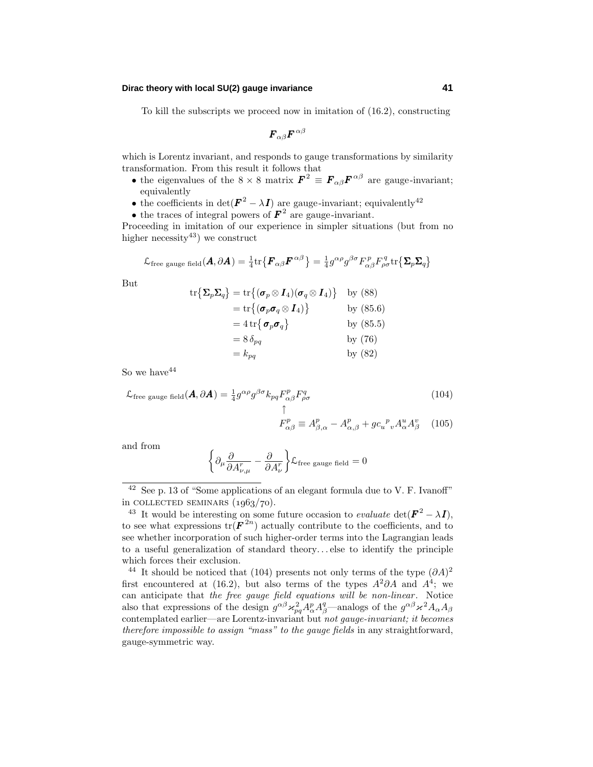### **Dirac theory with local SU(2) gauge invariance 41**

To kill the subscripts we proceed now in imitation of (16.2), constructing

$$
\boldsymbol{F}_{\alpha\beta}\boldsymbol{F}^{\,\alpha\beta}
$$

which is Lorentz invariant, and responds to gauge transformations by similarity transformation. From this result it follows that

- the eigenvalues of the  $8 \times 8$  matrix  $\mathbf{F}^2 \equiv \mathbf{F}_{\alpha\beta} \mathbf{F}^{\alpha\beta}$  are gauge-invariant; equivalently
- the coefficients in det( $\mathbf{F}^2 \lambda \mathbf{I}$ ) are gauge-invariant; equivalently<sup>42</sup>
- the traces of integral powers of  $\mathbf{F}^2$  are gauge-invariant.

Proceeding in imitation of our experience in simpler situations (but from no higher necessity<sup>43</sup>) we construct

$$
\mathcal{L}_{\text{free gauge field}}(\boldsymbol{A}, \partial \boldsymbol{A}) = \tfrac{1}{4} \text{tr} \big\{ \boldsymbol{F}_{\alpha \beta} \boldsymbol{F}^{\alpha \beta} \big\} = \tfrac{1}{4} g^{\alpha \rho} g^{\beta \sigma} F_{\alpha \beta}^p F_{\rho \sigma}^q \text{tr} \big\{ \boldsymbol{\Sigma}_p \boldsymbol{\Sigma}_q \big\}
$$

But

$$
\begin{aligned}\n\text{tr}\{\mathbf{\Sigma}_p \mathbf{\Sigma}_q\} &= \text{tr}\{(\boldsymbol{\sigma}_p \otimes \boldsymbol{I}_4)(\boldsymbol{\sigma}_q \otimes \boldsymbol{I}_4)\} & \text{by (88)} \\
&= \text{tr}\{(\boldsymbol{\sigma}_p \boldsymbol{\sigma}_q \otimes \boldsymbol{I}_4)\} & \text{by (85.6)} \\
&= 4 \,\text{tr}\{\boldsymbol{\sigma}_p \boldsymbol{\sigma}_q\} & \text{by (85.5)} \\
&= 8 \,\delta_{pq} & \text{by (76)} \\
&= k_{pq} & \text{by (82)}\n\end{aligned}
$$

So we have  $44$ 

$$
\mathcal{L}_{\text{free gauge field}}(\mathbf{A}, \partial \mathbf{A}) = \frac{1}{4} g^{\alpha \rho} g^{\beta \sigma} k_{pq} F_{\alpha \beta}^{p} F_{\rho \sigma}^{q}
$$
\n
$$
\uparrow
$$
\n
$$
F_{\alpha \beta}^{p} \equiv A_{\beta, \alpha}^{p} - A_{\alpha, \beta}^{p} + g c_{u}{}^{p} {}_{v} A_{\alpha}^{u} A_{\beta}^{v}
$$
\n(104)

and from

$$
\left\{\partial_{\mu}\frac{\partial}{\partial A^r_{\nu,\mu}} - \frac{\partial}{\partial A^r_{\nu}}\right\} \mathcal{L}_{\text{free gauge field}} = 0
$$

<sup>42</sup> See p. 13 of "Some applications of an elegant formula due to V. F. Ivanoff" in COLLECTED SEMINARS  $(1963/70)$ .

<sup>&</sup>lt;sup>43</sup> It would be interesting on some future occasion to *evaluate* det( $\mathbf{F}^2 - \lambda \mathbf{I}$ ), to see what expressions  $tr(\mathbf{F}^{2n})$  actually contribute to the coefficients, and to see whether incorporation of such higher-order terms into the Lagrangian leads to a useful generalization of standard theory*...* else to identify the principle which forces their exclusion.

<sup>&</sup>lt;sup>44</sup> It should be noticed that (104) presents not only terms of the type  $(\partial A)^2$ first encountered at (16.2), but also terms of the types  $A^2 \partial A$  and  $A^4$ ; we can anticipate that the free gauge field equations will be non-linear. Notice also that expressions of the design  $g^{\alpha\beta} \varkappa_{pq}^2 A^p_\alpha A^q_\beta$ —analogs of the  $g^{\alpha\beta} \varkappa^2 A_\alpha A_\beta$ contemplated earlier—are Lorentz-invariant but not gauge-invariant; it becomes therefore impossible to assign "mass" to the gauge fields in any straightforward, gauge-symmetric way.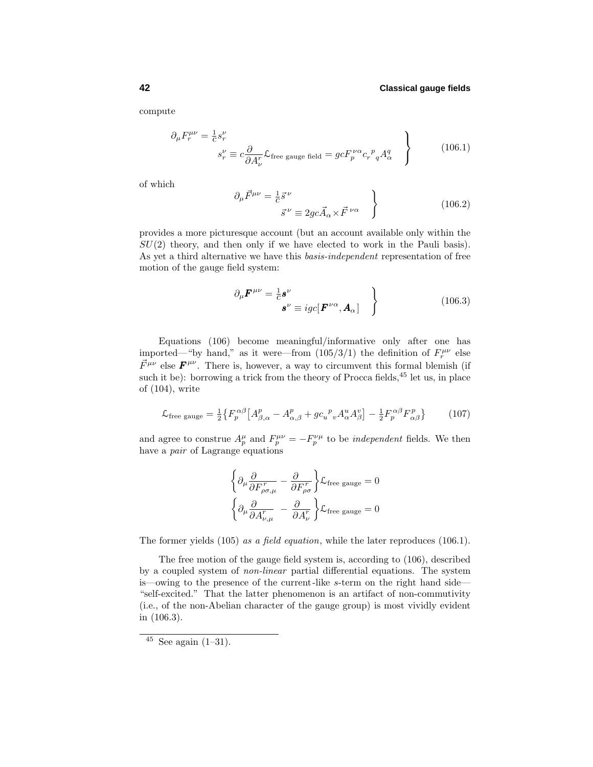compute

$$
\partial_{\mu} F_{r}^{\mu\nu} = \frac{1}{c} s_{r}^{\nu}
$$
\n
$$
s_{r}^{\nu} \equiv c \frac{\partial}{\partial A_{\nu}^{r}} \mathcal{L}_{\text{free gauge field}} = g c F_{p}^{\nu\alpha} c_{r}^{\ p} {_{q} A_{\alpha}^{q}}
$$
\n(106.1)

of which

$$
\partial_{\mu}\vec{F}^{\mu\nu} = \frac{1}{c}\vec{s}^{\nu}
$$
  

$$
\vec{s}^{\nu} \equiv 2gc\vec{A}_{\alpha} \times \vec{F}^{\nu\alpha}
$$
 (106.2)

provides a more picturesque account (but an account available only within the  $SU(2)$  theory, and then only if we have elected to work in the Pauli basis). As yet a third alternative we have this basis-independent representation of free motion of the gauge field system:

$$
\partial_{\mu} \boldsymbol{F}^{\mu \nu} = \frac{1}{c} \boldsymbol{s}^{\nu} \n\boldsymbol{s}^{\nu} \equiv igc[\boldsymbol{F}^{\nu \alpha}, \boldsymbol{A}_{\alpha}]
$$
\n(106.3)

Equations (106) become meaningful/informative only after one has imported—"by hand," as it were—from  $(105/3/1)$  the definition of  $F_r^{\mu\nu}$  else  $\vec{F}^{\mu\nu}$  else  $\vec{F}^{\mu\nu}$ . There is, however, a way to circumvent this formal blemish (if such it be): borrowing a trick from the theory of Procca fields, $45$  let us, in place of (104), write

$$
\mathcal{L}_{\text{free gauge}} = \frac{1}{2} \left\{ F_p^{\alpha\beta} \left[ A_{\beta,\alpha}^p - A_{\alpha,\beta}^p + g c_u^p{}_v A_\alpha^u A_\beta^v \right] - \frac{1}{2} F_p^{\alpha\beta} F_{\alpha\beta}^p \right\} \tag{107}
$$

and agree to construe  $A_p^{\mu}$  and  $F_p^{\mu\nu} = -F_p^{\nu\mu}$  to be *independent* fields. We then have a *pair* of Lagrange equations

$$
\begin{aligned} &\bigg\{ \partial_\mu \frac{\partial}{\partial F^r_{\rho\sigma,\mu}} - \frac{\partial}{\partial F^r_{\rho\sigma}} \bigg\} \mathcal{L}_{\rm free~gauge}=0 \\ &\bigg\{ \partial_\mu \frac{\partial}{\partial A^r_{\nu,\mu}} \ - \ \frac{\partial}{\partial A^r_{\nu}} \bigg\} \mathcal{L}_{\rm free~gauge}=0 \end{aligned}
$$

The former yields (105) as a field equation, while the later reproduces (106.1).

The free motion of the gauge field system is, according to (106), described by a coupled system of non-linear partial differential equations. The system is—owing to the presence of the current-like *s*-term on the right hand side— "self-excited." That the latter phenomenon is an artifact of non-commutivity (i.e., of the non-Abelian character of the gauge group) is most vividly evident in (106.3).

 $45$  See again  $(1-31)$ .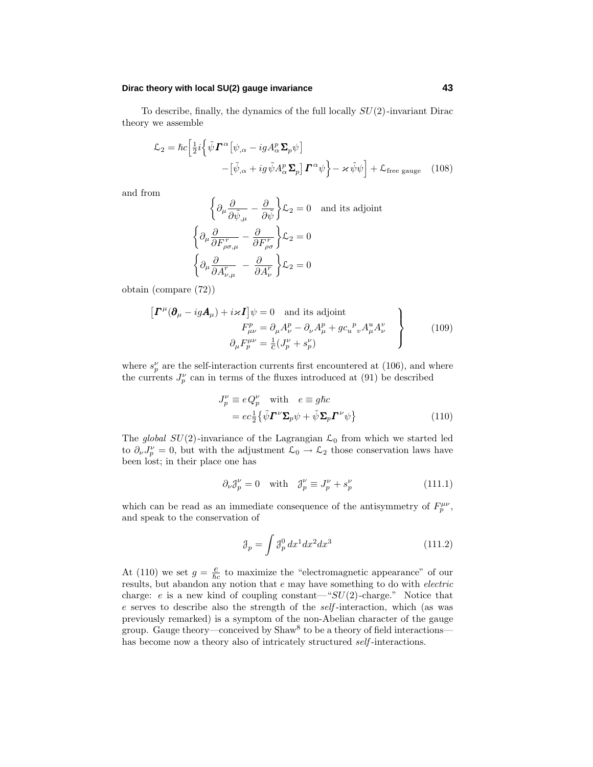### **Dirac theory with local SU(2) gauge invariance 43**

To describe, finally, the dynamics of the full locally *SU*(2)-invariant Dirac theory we assemble

$$
\mathcal{L}_2 = \hbar c \Big[ \frac{1}{2} i \Big\{ \tilde{\psi} \mathbf{\Gamma}^{\alpha} \big[ \psi_{,\alpha} - ig A_{\alpha}^p \Sigma_p \psi \big] - \big[ \tilde{\psi}_{,\alpha} + ig \tilde{\psi} A_{\alpha}^p \Sigma_p \big] \mathbf{\Gamma}^{\alpha} \psi \Big\} - \varkappa \tilde{\psi} \psi \Big] + \mathcal{L}_{\text{free gauge}} \quad (108)
$$

and from

$$
\left\{\partial_{\mu}\frac{\partial}{\partial \tilde{\psi}_{,\mu}} - \frac{\partial}{\partial \tilde{\psi}}\right\}\mathcal{L}_{2} = 0 \text{ and its adjoint}
$$

$$
\left\{\partial_{\mu}\frac{\partial}{\partial F^{r}_{\rho\sigma,\mu}} - \frac{\partial}{\partial F^{r}_{\rho\sigma}}\right\}\mathcal{L}_{2} = 0
$$

$$
\left\{\partial_{\mu}\frac{\partial}{\partial A^{r}_{\nu,\mu}} - \frac{\partial}{\partial A^{r}_{\nu}}\right\}\mathcal{L}_{2} = 0
$$

obtain (compare (72))

$$
\left[\boldsymbol{\varGamma}^{\mu}(\boldsymbol{\partial}_{\mu} - ig\boldsymbol{A}_{\mu}) + i \varkappa \boldsymbol{I}\right] \psi = 0 \text{ and its adjoint}
$$
  
\n
$$
F_{\mu\nu}^{p} = \partial_{\mu} A_{\nu}^{p} - \partial_{\nu} A_{\mu}^{p} + g c_{u}{}^{p}{}_{v} A_{\mu}^{u} A_{\nu}^{v}
$$
  
\n
$$
\partial_{\mu} F_{p}^{\mu\nu} = \frac{1}{c} (J_{p}^{\nu} + s_{p}^{\nu})
$$
\n(109)

where  $s_p^{\nu}$  are the self-interaction currents first encountered at (106), and where the currents  $J_p^{\nu}$  can in terms of the fluxes introduced at (91) be described

$$
J_p^{\nu} \equiv e Q_p^{\nu} \quad \text{with} \quad e \equiv g \hbar c
$$
  
= 
$$
e c_{\frac{1}{2}} \{ \tilde{\psi} \boldsymbol{\Gamma}^{\nu} \boldsymbol{\Sigma}_p \psi + \tilde{\psi} \boldsymbol{\Sigma}_p \boldsymbol{\Gamma}^{\nu} \psi \}
$$
(110)

The *global SU*(2)-invariance of the Lagrangian  $\mathcal{L}_0$  from which we started led to  $\partial_{\nu}J_{p}^{\nu}=0$ , but with the adjustment  $\mathcal{L}_0 \to \mathcal{L}_2$  those conservation laws have been lost; in their place one has

$$
\partial_{\nu} \mathcal{J}_{p}^{\nu} = 0 \quad \text{with} \quad \mathcal{J}_{p}^{\nu} \equiv J_{p}^{\nu} + s_{p}^{\nu} \tag{111.1}
$$

which can be read as an immediate consequence of the antisymmetry of  $F_p^{\mu\nu}$ , and speak to the conservation of

$$
\mathcal{J}_p = \int \mathcal{J}_p^0 dx^1 dx^2 dx^3 \tag{111.2}
$$

At (110) we set  $g = \frac{e}{\hbar c}$  to maximize the "electromagnetic appearance" of our results, but abandon any notion that  $e$  may have something to do with *electric* charge:  $e$  is a new kind of coupling constant—" $SU(2)$ -charge." Notice that *e* serves to describe also the strength of the self -interaction, which (as was previously remarked) is a symptom of the non-Abelian character of the gauge group. Gauge theory—conceived by  $Shaw^8$  to be a theory of field interactions has become now a theory also of intricately structured self-interactions.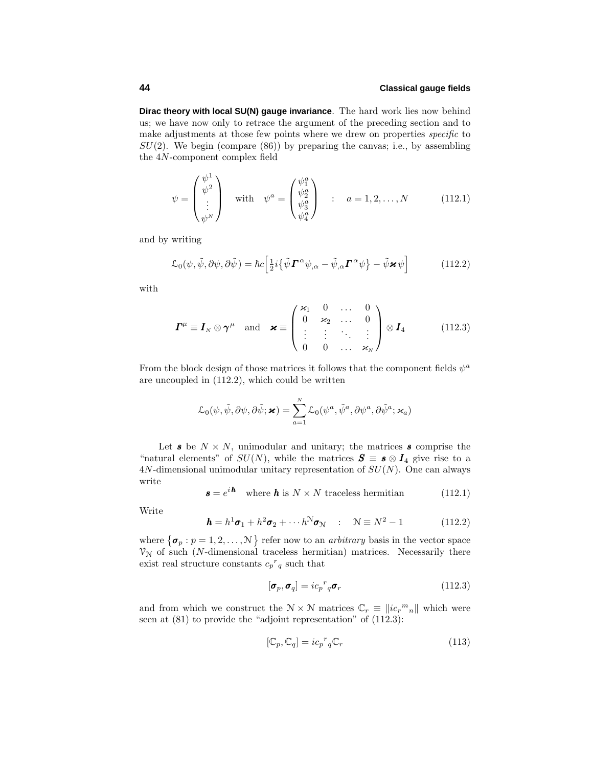**Dirac theory with local SU(N) gauge invariance**. The hard work lies now behind us; we have now only to retrace the argument of the preceding section and to make adjustments at those few points where we drew on properties *specific* to *SU*(2). We begin (compare (86)) by preparing the canvas; i.e., by assembling the 4*N*-component complex field

$$
\psi = \begin{pmatrix} \psi^1 \\ \psi^2 \\ \vdots \\ \psi^N \end{pmatrix} \quad \text{with} \quad \psi^a = \begin{pmatrix} \psi_1^a \\ \psi_2^a \\ \psi_3^a \\ \psi_4^a \end{pmatrix} \quad : \quad a = 1, 2, \dots, N \tag{112.1}
$$

and by writing

$$
\mathcal{L}_0(\psi, \tilde{\psi}, \partial \psi, \partial \tilde{\psi}) = \hbar c \Big[ \frac{1}{2} i \big\{ \tilde{\psi} \mathbf{\Gamma}^{\alpha} \psi_{,\alpha} - \tilde{\psi}_{,\alpha} \mathbf{\Gamma}^{\alpha} \psi \big\} - \tilde{\psi} \mathbf{x} \psi \Big]
$$
(112.2)

with

$$
\boldsymbol{\varGamma}^{\mu} \equiv \boldsymbol{I}_{N} \otimes \boldsymbol{\gamma}^{\mu} \quad \text{and} \quad \boldsymbol{\varkappa} \equiv \begin{pmatrix} \varkappa_{1} & 0 & \dots & 0 \\ 0 & \varkappa_{2} & \dots & 0 \\ \vdots & \vdots & \ddots & \vdots \\ 0 & 0 & \dots & \varkappa_{N} \end{pmatrix} \otimes \boldsymbol{I}_{4} \quad (112.3)
$$

From the block design of those matrices it follows that the component fields  $\psi^a$ are uncoupled in (112.2), which could be written

$$
\mathcal{L}_0(\psi, \tilde{\psi}, \partial \psi, \partial \tilde{\psi}; \mathbf{x}) = \sum_{a=1}^N \mathcal{L}_0(\psi^a, \tilde{\psi}^a, \partial \psi^a, \partial \tilde{\psi}^a; \varkappa_a)
$$

Let  $s$  be  $N \times N$ , unimodular and unitary; the matrices  $s$  comprise the "natural elements" of  $SU(N)$ , while the matrices  $S \equiv s \otimes I_4$  give rise to a 4*N*-dimensional unimodular unitary representation of *SU*(*N*). One can always write

$$
\mathbf{s} = e^{i\mathbf{h}} \quad \text{where } \mathbf{h} \text{ is } N \times N \text{ traceless hermitian} \tag{112.1}
$$

Write

$$
\mathbf{h} = h^1 \boldsymbol{\sigma}_1 + h^2 \boldsymbol{\sigma}_2 + \cdots + h^N \boldsymbol{\sigma}_N \quad : \quad \mathcal{N} \equiv N^2 - 1 \tag{112.2}
$$

where  $\{\boldsymbol{\sigma}_p : p = 1, 2, ..., N\}$  refer now to an *arbitrary* basis in the vector space  $V_N$  of such (*N*-dimensional traceless hermitian) matrices. Necessarily there exist real structure constants  $c_p^r q$  such that

$$
[\boldsymbol{\sigma}_p, \boldsymbol{\sigma}_q] = ic_p{}^r{}_q \boldsymbol{\sigma}_r \tag{112.3}
$$

and from which we construct the  $N \times N$  matrices  $\mathbb{C}_r \equiv ||ic_r^m{}_n||$  which were seen at (81) to provide the "adjoint representation" of (112.3):

$$
[\mathbb{C}_p, \mathbb{C}_q] = ic_p{}^r{}_q \mathbb{C}_r \tag{113}
$$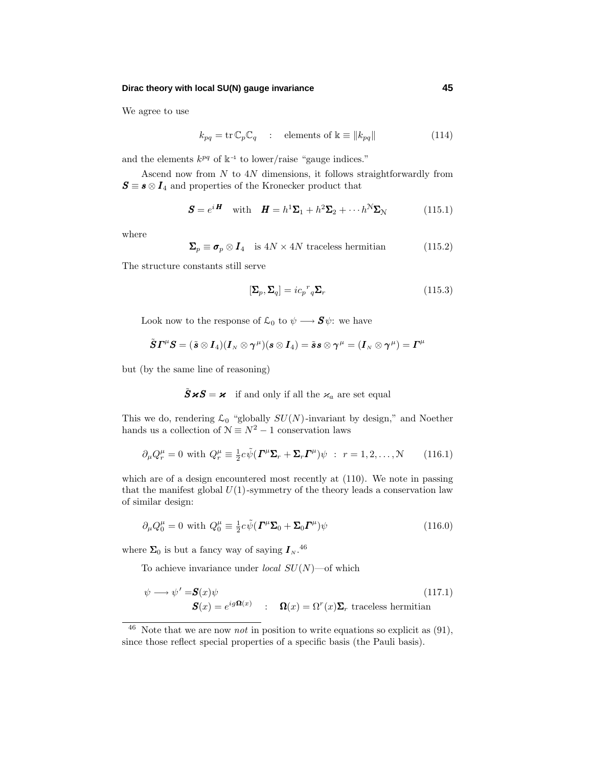### **Dirac theory with local SU(N) gauge invariance 45**

We agree to use

$$
k_{pq} = \text{tr}\,\mathbb{C}_p\mathbb{C}_q \quad : \quad \text{elements of } \mathbb{k} \equiv ||k_{pq}|| \tag{114}
$$

and the elements  $k^{pq}$  of  $\mathbb{k}^{-1}$  to lower/raise "gauge indices."

Ascend now from *N* to 4*N* dimensions, it follows straightforwardly from  $S \equiv s \otimes I_4$  and properties of the Kronecker product that

$$
\mathbf{S} = e^{i\mathbf{H}} \quad \text{with} \quad \mathbf{H} = h^1 \mathbf{\Sigma}_1 + h^2 \mathbf{\Sigma}_2 + \cdots h^N \mathbf{\Sigma}_N \tag{115.1}
$$

where

$$
\Sigma_p \equiv \sigma_p \otimes I_4 \quad \text{is } 4N \times 4N \text{ traceless hermitian} \tag{115.2}
$$

The structure constants still serve

$$
[\Sigma_p, \Sigma_q] = ic_p{}^r{}_q \Sigma_r \tag{115.3}
$$

Look now to the response of  $\mathcal{L}_0$  to  $\psi \longrightarrow \mathbf{S}\psi$ : we have

$$
\tilde{\boldsymbol S}\boldsymbol\varGamma^{\mu}\boldsymbol S=(\tilde{\boldsymbol s}\otimes\boldsymbol I_4)(\boldsymbol I_{\scriptscriptstyle N}\otimes \boldsymbol\gamma^{\mu})(\boldsymbol s\otimes\boldsymbol I_4)=\tilde{\boldsymbol s}\boldsymbol s\otimes \boldsymbol\gamma^{\mu}=(\boldsymbol I_{\scriptscriptstyle N}\otimes \boldsymbol\gamma^{\mu})=\boldsymbol\varGamma^{\mu}
$$

but (by the same line of reasoning)

$$
\tilde{\mathbf{S}}\boldsymbol{\varkappa}\mathbf{S} = \boldsymbol{\varkappa} \quad \text{if and only if all the } \varkappa_a \text{ are set equal}
$$

This we do, rendering  $\mathcal{L}_0$  "globally  $SU(N)$ -invariant by design," and Noether hands us a collection of  $\mathcal{N} \equiv N^2 - 1$  conservation laws

$$
\partial_{\mu} Q_{r}^{\mu} = 0 \text{ with } Q_{r}^{\mu} \equiv \frac{1}{2} c \tilde{\psi} (\boldsymbol{\Gamma}^{\mu} \boldsymbol{\Sigma}_{r} + \boldsymbol{\Sigma}_{r} \boldsymbol{\Gamma}^{\mu}) \psi : r = 1, 2, ..., N \qquad (116.1)
$$

which are of a design encountered most recently at  $(110)$ . We note in passing that the manifest global  $U(1)$ -symmetry of the theory leads a conservation law of similar design:

$$
\partial_{\mu} Q_0^{\mu} = 0 \text{ with } Q_0^{\mu} \equiv \frac{1}{2} c \tilde{\psi} (\boldsymbol{\varGamma}^{\mu} \boldsymbol{\Sigma}_0 + \boldsymbol{\Sigma}_0 \boldsymbol{\varGamma}^{\mu}) \psi \tag{116.0}
$$

where  $\Sigma_0$  is but a fancy way of saying  $I_{N}$ .<sup>46</sup>

To achieve invariance under local *SU*(*N*)—of which

$$
\psi \longrightarrow \psi' = \mathbf{S}(x)\psi
$$
\n
$$
\mathbf{S}(x) = e^{ig\mathbf{\Omega}(x)} \qquad : \quad \mathbf{\Omega}(x) = \Omega^r(x)\mathbf{\Sigma}_r \text{ traceless hermitian}
$$
\n(117.1)

 $46$  Note that we are now *not* in position to write equations so explicit as  $(91)$ , since those reflect special properties of a specific basis (the Pauli basis).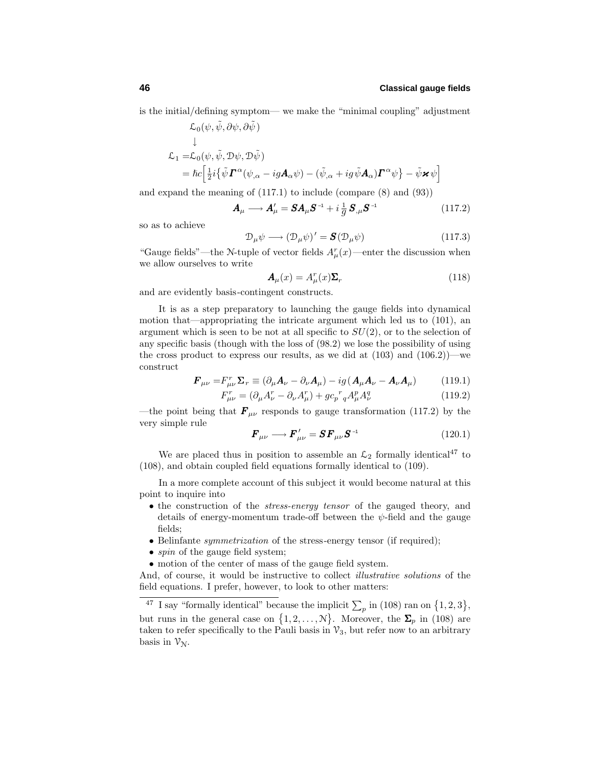1

is the initial/defining symptom— we make the "minimal coupling" adjustment

 $\mathcal{L}_0(\psi, \tilde{\psi}, \partial \psi, \partial \tilde{\psi})$ 

$$
\mathcal{L}_1 = \mathcal{L}_0(\psi, \tilde{\psi}, \mathcal{D}\psi, \mathcal{D}\tilde{\psi})
$$
\n
$$
= \hbar c \Big[ \frac{1}{2} i \big\{ \tilde{\psi} \mathbf{\Gamma}^{\alpha}(\psi_{,\alpha} - ig \mathbf{A}_{\alpha}\psi) - (\tilde{\psi}_{,\alpha} + ig \tilde{\psi} \mathbf{A}_{\alpha}) \mathbf{\Gamma}^{\alpha}\psi \big\} - \tilde{\psi} \mathbf{x} \psi
$$

and expand the meaning of (117.1) to include (compare (8) and (93))

$$
\mathbf{A}_{\mu} \longrightarrow \mathbf{A}_{\mu}' = \mathbf{S} \mathbf{A}_{\mu} \mathbf{S}^{-1} + i \frac{1}{g} \mathbf{S}_{,\mu} \mathbf{S}^{-1} \tag{117.2}
$$

so as to achieve

$$
\mathcal{D}_{\mu}\psi \longrightarrow (\mathcal{D}_{\mu}\psi)' = \mathbf{S}(\mathcal{D}_{\mu}\psi) \tag{117.3}
$$

"Gauge fields"—the N-tuple of vector fields  $A^r_\mu(x)$ —enter the discussion when we allow ourselves to write

$$
\mathbf{A}_{\mu}(x) = A_{\mu}^{r}(x)\mathbf{\Sigma}_{r} \tag{118}
$$

and are evidently basis-contingent constructs.

It is as a step preparatory to launching the gauge fields into dynamical motion that—appropriating the intricate argument which led us to (101), an argument which is seen to be not at all specific to *SU*(2), or to the selection of any specific basis (though with the loss of (98.2) we lose the possibility of using the cross product to express our results, as we did at  $(103)$  and  $(106.2)$ )—we construct

$$
\boldsymbol{F}_{\mu\nu} = F_{\mu\nu}^{\mathrm{T}} \boldsymbol{\Sigma}_{r} \equiv (\partial_{\mu} \boldsymbol{A}_{\nu} - \partial_{\nu} \boldsymbol{A}_{\mu}) - ig(\boldsymbol{A}_{\mu} \boldsymbol{A}_{\nu} - \boldsymbol{A}_{\nu} \boldsymbol{A}_{\mu}) \qquad (119.1)
$$

$$
F_{\mu\nu}^{r} = (\partial_{\mu}A_{\nu}^{r} - \partial_{\nu}A_{\mu}^{r}) + gc_{p}^{r}{}_{q}A_{\mu}^{p}A_{\nu}^{q}
$$
\n(119.2)

—the point being that  $\mathbf{F}_{\mu\nu}$  responds to gauge transformation (117.2) by the very simple rule

$$
\boldsymbol{F}_{\mu\nu} \longrightarrow \boldsymbol{F}_{\mu\nu}' = \boldsymbol{S} \boldsymbol{F}_{\mu\nu} \boldsymbol{S}^{-1} \tag{120.1}
$$

We are placed thus in position to assemble an  $\mathcal{L}_2$  formally identical<sup>47</sup> to (108), and obtain coupled field equations formally identical to (109).

In a more complete account of this subject it would become natural at this point to inquire into

- the construction of the *stress-energy tensor* of the gauged theory, and details of energy-momentum trade-off between the  $\psi$ -field and the gauge fields;
- Belinfante *symmetrization* of the stress-energy tensor (if required);
- *spin* of the gauge field system;
- motion of the center of mass of the gauge field system.

And, of course, it would be instructive to collect *illustrative solutions* of the field equations. I prefer, however, to look to other matters:

<sup>&</sup>lt;sup>47</sup> I say "formally identical" because the implicit  $\sum_{p}$  in (108) ran on  $\{1, 2, 3\}$ , but runs in the general case on  $\{1, 2, ..., N\}$ . Moreover, the  $\Sigma_p$  in (108) are taken to refer specifically to the Pauli basis in  $\mathcal{V}_3$ , but refer now to an arbitrary basis in  $\mathcal{V}_{\mathcal{N}}$ .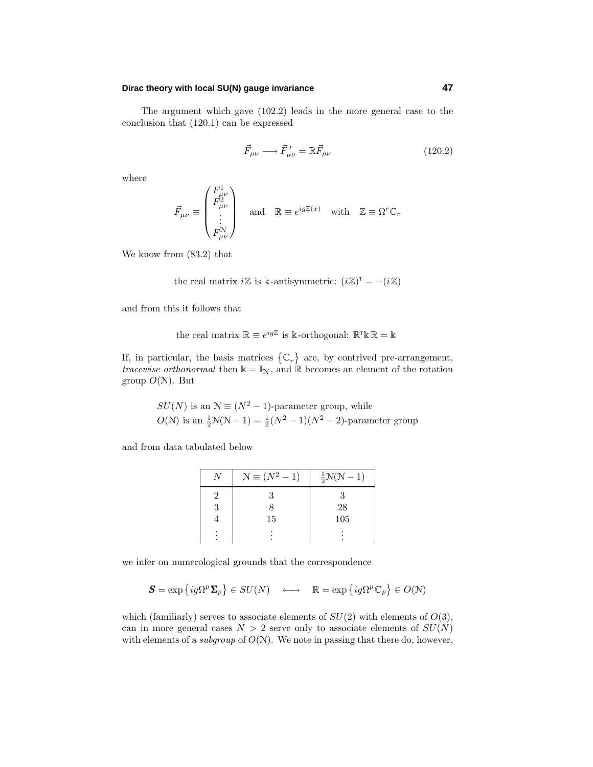### **Dirac theory with local SU(N) gauge invariance 47**

The argument which gave (102.2) leads in the more general case to the conclusion that (120.1) can be expressed

$$
\vec{F}_{\mu\nu} \longrightarrow \vec{F}_{\mu\nu}' = \mathbb{R}\vec{F}_{\mu\nu} \tag{120.2}
$$

where

$$
\vec{F}_{\mu\nu}\equiv\begin{pmatrix}F_{\mu\nu}^1\\F_{\mu\nu}^2\\ \vdots\\F_{\mu\nu}^{\mathcal{N}}\end{pmatrix}\quad\text{and}\quad \mathbb{R}\equiv e^{ig\mathbb{Z}(x)}\quad\text{with}\quad \mathbb{Z}\equiv\Omega^r\mathbb{C}_r
$$

We know from (83.2) that

the real matrix  $i\mathbb{Z}$  is k-antisymmetric:  $(i\mathbb{Z})^{\mathsf{T}} = -(i\mathbb{Z})$ 

and from this it follows that

the real matrix 
$$
\mathbb{R} \equiv e^{ig\mathbb{Z}}
$$
 is k-orthogonal:  $\mathbb{R}^\mathsf{T} \mathbb{k} \mathbb{R} = \mathbb{k}$ 

If, in particular, the basis matrices  $\{\mathbb{C}_r\}$  are, by contrived pre-arrangement, tracewise orthonormal then  $\Bbbk=\mathbb{I}_{\mathbb{N}}$  , and  $\mathbb{\mathbb{R}}$  becomes an element of the rotation group  $O(N)$ . But

$$
SU(N) \text{ is an } \mathcal{N} \equiv (N^2 - 1)\text{-parameter group, while}
$$
  

$$
O(\mathcal{N}) \text{ is an } \frac{1}{2}\mathcal{N}(\mathcal{N} - 1) = \frac{1}{2}(N^2 - 1)(N^2 - 2)\text{-parameter group}
$$

and from data tabulated below

| $\mathcal{N} \equiv (N^2 - 1)$ | $\frac{1}{2}N(N-1)$ |
|--------------------------------|---------------------|
|                                |                     |
|                                | 28                  |
| 15                             | 105                 |
|                                |                     |

we infer on numerological grounds that the correspondence

$$
\mathbf{S} = \exp\left\{ig\Omega^p \mathbf{\Sigma}_p\right\} \in SU(N) \quad \longleftrightarrow \quad \mathbb{R} = \exp\left\{ig\Omega^p \mathbb{C}_p\right\} \in O(N)
$$

which (familiarly) serves to associate elements of  $SU(2)$  with elements of  $O(3)$ , can in more general cases  $N > 2$  serve only to associate elements of  $SU(N)$ with elements of a *subgroup* of  $O(N)$ . We note in passing that there do, however,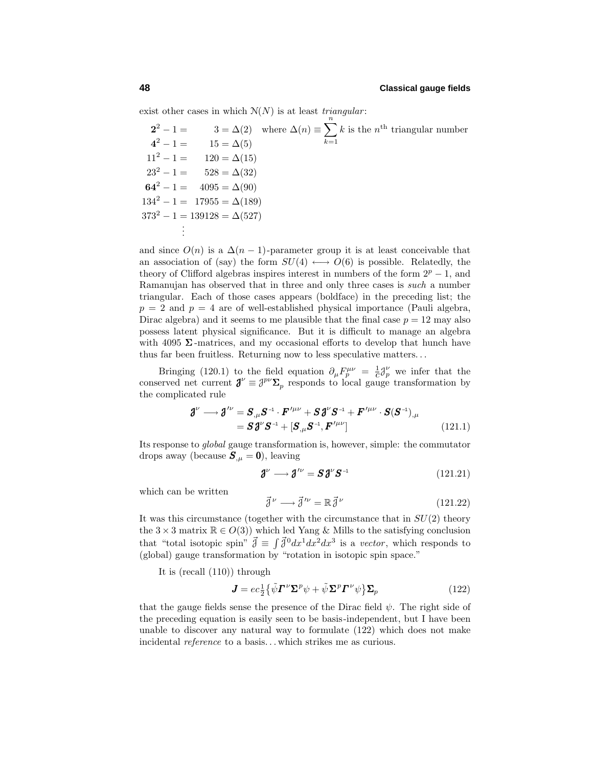exist other cases in which  $N(N)$  is at least *triangular*:

 $2^2 - 1 = 3 = \Delta(2)$  where  $\Delta(n) \equiv \sum^{n}$ *k*=1  $k$  is the  $n^{\text{th}}$  triangular number  $4^2 - 1 = 15 = \Delta(5)$  $11^2 - 1 = 120 = \Delta(15)$  $23^2 - 1 = 528 = \Delta(32)$ **64**<sup>2</sup> − 1 = 4095 =  $\Delta(90)$  $134^2 - 1 = 17955 = \Delta(189)$  $373^2 - 1 = 139128 = \Delta(527)$ . .

and since  $O(n)$  is a  $\Delta(n-1)$ -parameter group it is at least conceivable that an association of (say) the form  $SU(4) \longleftrightarrow O(6)$  is possible. Relatedly, the theory of Clifford algebras inspires interest in numbers of the form  $2^p - 1$ , and Ramanujan has observed that in three and only three cases is such a number triangular. Each of those cases appears (boldface) in the preceding list; the  $p = 2$  and  $p = 4$  are of well-established physical importance (Pauli algebra, Dirac algebra) and it seems to me plausible that the final case  $p = 12$  may also possess latent physical significance. But it is difficult to manage an algebra with 4095  $\Sigma$ -matrices, and my occasional efforts to develop that hunch have thus far been fruitless. Returning now to less speculative matters*...*

Bringing (120.1) to the field equation  $\partial_{\mu}F_{p}^{\mu\nu} = \frac{1}{c}\partial_{p}^{\nu}$  we infer that the conserved net current  $\mathbf{J}^{\nu} \equiv \mathbf{J}^{p\nu} \mathbf{\Sigma}_p$  responds to local gauge transformation by the complicated rule

$$
\mathbf{\mathcal{J}}^{\nu} \longrightarrow \mathbf{\mathcal{J}}^{\prime\nu} = \mathbf{S}_{,\mu} \mathbf{S}^{-1} \cdot \mathbf{F}^{\prime\mu\nu} + \mathbf{S} \mathbf{\mathcal{J}}^{\nu} \mathbf{S}^{-1} + \mathbf{F}^{\prime\mu\nu} \cdot \mathbf{S} (\mathbf{S}^{-1})_{,\mu} = \mathbf{S} \mathbf{\mathcal{J}}^{\nu} \mathbf{S}^{-1} + [\mathbf{S}_{,\mu} \mathbf{S}^{-1}, \mathbf{F}^{\prime\mu\nu}]
$$
(121.1)

Its response to global gauge transformation is, however, simple: the commutator drops away (because  $S_{\mu} = 0$ ), leaving

$$
\mathbf{J}^{\nu} \longrightarrow \mathbf{J}^{\prime \nu} = \mathbf{S} \mathbf{J}^{\nu} \mathbf{S}^{-1} \tag{121.21}
$$

which can be written

$$
\vec{\mathbf{J}}^{\nu} \longrightarrow \vec{\mathbf{J}}^{\prime \nu} = \mathbb{R} \vec{\mathbf{J}}^{\nu} \tag{121.22}
$$

It was this circumstance (together with the circumstance that in *SU*(2) theory the  $3 \times 3$  matrix  $\mathbb{R} \in O(3)$ ) which led Yang & Mills to the satisfying conclusion that "total isotopic spin"  $\vec{\beta} \equiv \int \vec{\beta}^0 dx^1 dx^2 dx^3$  is a vector, which responds to (global) gauge transformation by "rotation in isotopic spin space."

It is (recall (110)) through

$$
\mathbf{J} = ec^1_2 \{ \tilde{\psi} \mathbf{\Gamma}^{\nu} \mathbf{\Sigma}^p \psi + \tilde{\psi} \mathbf{\Sigma}^p \mathbf{\Gamma}^{\nu} \psi \} \mathbf{\Sigma}_p \tag{122}
$$

that the gauge fields sense the presence of the Dirac field  $\psi$ . The right side of the preceding equation is easily seen to be basis-independent, but I have been unable to discover any natural way to formulate (122) which does not make incidental reference to a basis*...* which strikes me as curious.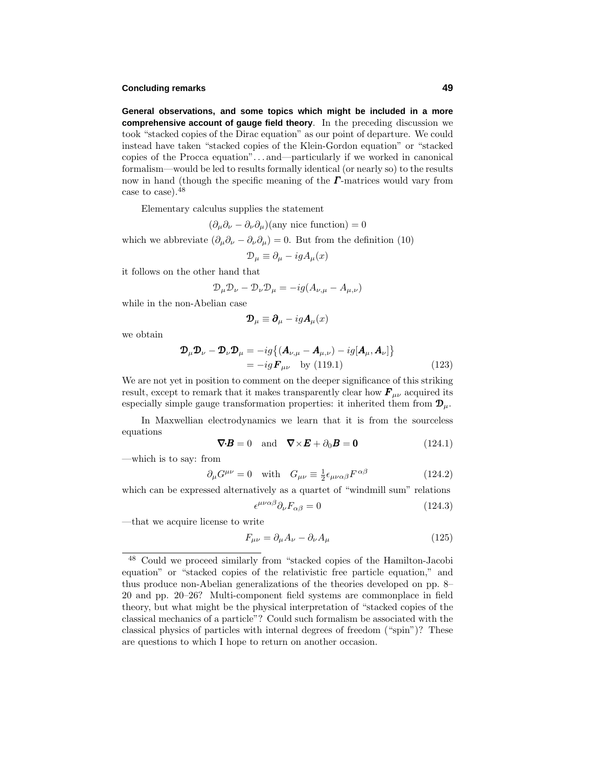### **Concluding remarks 49**

**General observations, and some topics which might be included in a more comprehensive account of gauge field theory**. In the preceding discussion we took"stacked copies of the Dirac equation" as our point of departure. We could instead have taken "stacked copies of the Klein-Gordon equation" or "stacked copies of the Procca equation"*...* and—particularly if we worked in canonical formalism—would be led to results formally identical (or nearly so) to the results now in hand (though the specific meaning of the *Γ* -matrices would vary from case to case).<sup>48</sup>

Elementary calculus supplies the statement

$$
(\partial_{\mu}\partial_{\nu}-\partial_{\nu}\partial_{\mu})(\text{any nice function})=0
$$

which we abbreviate  $(\partial_{\mu}\partial_{\nu} - \partial_{\nu}\partial_{\mu}) = 0$ . But from the definition (10)

$$
\mathcal{D}_{\mu} \equiv \partial_{\mu} - igA_{\mu}(x)
$$

it follows on the other hand that

$$
\mathcal{D}_{\mu}\mathcal{D}_{\nu} - \mathcal{D}_{\nu}\mathcal{D}_{\mu} = -ig(A_{\nu,\mu} - A_{\mu,\nu})
$$

while in the non-Abelian case

$$
\mathbf{D}_{\mu} \equiv \boldsymbol{\partial}_{\mu} - ig\boldsymbol{A}_{\mu}(x)
$$

we obtain

$$
\mathcal{D}_{\mu} \mathcal{D}_{\nu} - \mathcal{D}_{\nu} \mathcal{D}_{\mu} = -ig \{ (\mathbf{A}_{\nu,\mu} - \mathbf{A}_{\mu,\nu}) - ig[\mathbf{A}_{\mu}, \mathbf{A}_{\nu}] \}
$$
  
=  $-ig \mathbf{F}_{\mu\nu}$  by (119.1) (123)

We are not yet in position to comment on the deeper significance of this striking result, except to remark that it makes transparently clear how  $\mathbf{F}_{\mu\nu}$  acquired its especially simple gauge transformation properties: it inherited them from  $\mathbf{D}_{\mu}$ .

In Maxwellian electrodynamics we learn that it is from the sourceless equations

$$
\nabla \cdot \mathbf{B} = 0 \quad \text{and} \quad \nabla \times \mathbf{E} + \partial_0 \mathbf{B} = \mathbf{0} \tag{124.1}
$$

—which is to say: from

$$
\partial_{\mu}G^{\mu\nu} = 0 \quad \text{with} \quad G_{\mu\nu} \equiv \frac{1}{2} \epsilon_{\mu\nu\alpha\beta} F^{\alpha\beta} \tag{124.2}
$$

which can be expressed alternatively as a quartet of "windmill sum" relations

$$
\epsilon^{\mu\nu\alpha\beta}\partial_{\nu}F_{\alpha\beta} = 0 \tag{124.3}
$$

—that we acquire license to write

$$
F_{\mu\nu} = \partial_{\mu}A_{\nu} - \partial_{\nu}A_{\mu} \tag{125}
$$

<sup>48</sup> Could we proceed similarly from "stacked copies of the Hamilton-Jacobi equation" or "stacked copies of the relativistic free particle equation," and thus produce non-Abelian generalizations of the theories developed on pp. 8– 20 and pp. 20–26? Multi-component field systems are commonplace in field theory, but what might be the physical interpretation of "stacked copies of the classical mechanics of a particle"? Could such formalism be associated with the classical physics of particles with internal degrees of freedom ("spin")? These are questions to which I hope to return on another occasion.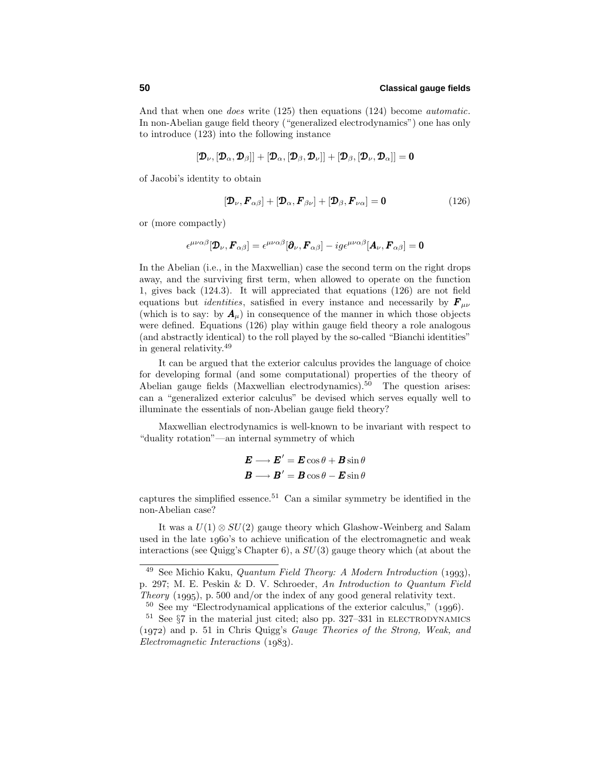And that when one does write (125) then equations (124) become automatic. In non-Abelian gauge field theory ("generalized electrodynamics") one has only to introduce (123) into the following instance

$$
[\boldsymbol{\mathcal{D}}_\nu,[\boldsymbol{\mathcal{D}}_\alpha,\boldsymbol{\mathcal{D}}_\beta]]+[\boldsymbol{\mathcal{D}}_\alpha,[\boldsymbol{\mathcal{D}}_\beta,\boldsymbol{\mathcal{D}}_\nu]]+[\boldsymbol{\mathcal{D}}_\beta,[\boldsymbol{\mathcal{D}}_\nu,\boldsymbol{\mathcal{D}}_\alpha]]=\mathbf{0}
$$

of Jacobi's identity to obtain

$$
[\mathbf{\mathcal{D}}_{\nu}, \mathbf{F}_{\alpha\beta}] + [\mathbf{\mathcal{D}}_{\alpha}, \mathbf{F}_{\beta\nu}] + [\mathbf{\mathcal{D}}_{\beta}, \mathbf{F}_{\nu\alpha}] = \mathbf{0}
$$
\n(126)

or (more compactly)

$$
\epsilon^{\mu\nu\alpha\beta}[\mathbf{\mathcal{D}}_{\nu},\boldsymbol{F}_{\alpha\beta}] = \epsilon^{\mu\nu\alpha\beta}[\boldsymbol{\partial}_{\nu},\boldsymbol{F}_{\alpha\beta}] - ig \epsilon^{\mu\nu\alpha\beta}[\boldsymbol{A}_{\nu},\boldsymbol{F}_{\alpha\beta}] = \mathbf{0}
$$

In the Abelian (i.e., in the Maxwellian) case the second term on the right drops away, and the surviving first term, when allowed to operate on the function 1, gives back  $(124.3)$ . It will appreciated that equations  $(126)$  are not field equations but *identities*, satisfied in every instance and necessarily by  $\mathbf{F}_{\mu\nu}$ (which is to say: by  $A_\mu$ ) in consequence of the manner in which those objects were defined. Equations (126) play within gauge field theory a role analogous (and abstractly identical) to the roll played by the so-called "Bianchi identities" in general relativity.<sup>49</sup>

It can be argued that the exterior calculus provides the language of choice for developing formal (and some computational) properties of the theory of Abelian gauge fields (Maxwellian electrodynamics).<sup>50</sup> The question arises: can a "generalized exterior calculus" be devised which serves equally well to illuminate the essentials of non-Abelian gauge field theory?

Maxwellian electrodynamics is well-known to be invariant with respect to "duality rotation"—an internal symmetry of which

$$
\mathbf{E} \longrightarrow \mathbf{E}' = \mathbf{E} \cos \theta + \mathbf{B} \sin \theta
$$

$$
\mathbf{B} \longrightarrow \mathbf{B}' = \mathbf{B} \cos \theta - \mathbf{E} \sin \theta
$$

captures the simplified essence.<sup>51</sup> Can a similar symmetry be identified in the non-Abelian case?

It was a  $U(1) \otimes SU(2)$  gauge theory which Glashow-Weinberg and Salam used in the late  $1960$ 's to achieve unification of the electromagnetic and weak interactions (see Quigg's Chapter 6), a *SU*(3) gauge theory which (at about the

 $^{49}$  See Michio Kaku, *Quantum Field Theory: A Modern Introduction* (1993). p. 297; M. E. Peskin & D. V. Schroeder, An Introduction to Quantum Field Theory  $(1995)$ , p. 500 and/or the index of any good general relativity text.

 $50$  See my "Electrodynamical applications of the exterior calculus," (1996).

 $51$  See  $\S7$  in the material just cited; also pp. 327–331 in ELECTRODYNAMICS  $(1972)$  and p. 51 in Chris Quigg's *Gauge Theories of the Strong, Weak, and*  $Electromagnetic\ Interactions (1983).$